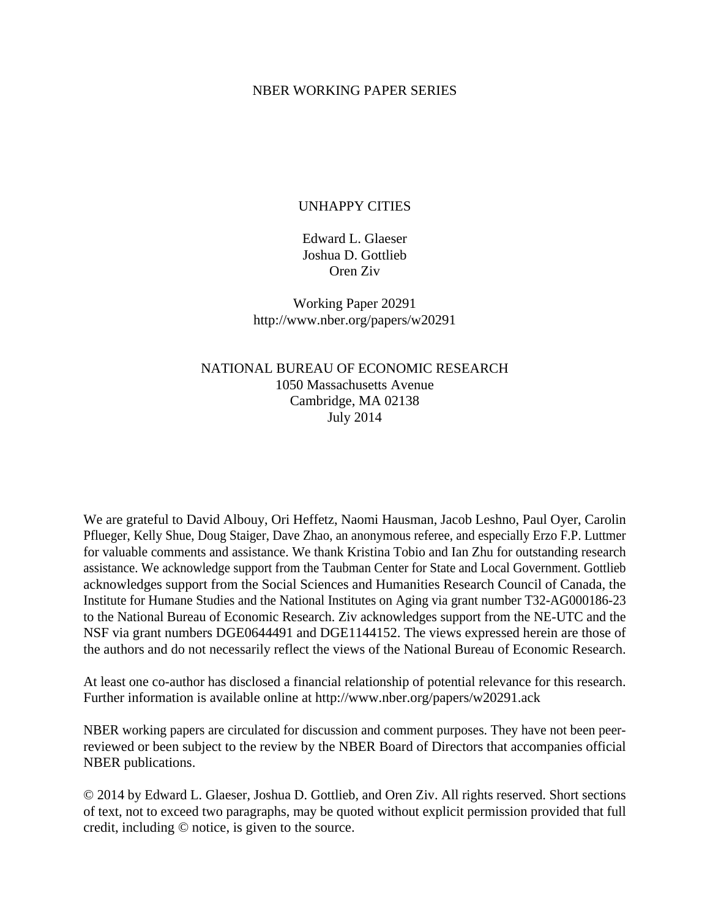#### NBER WORKING PAPER SERIES

#### UNHAPPY CITIES

Edward L. Glaeser Joshua D. Gottlieb Oren Ziv

Working Paper 20291 http://www.nber.org/papers/w20291

NATIONAL BUREAU OF ECONOMIC RESEARCH 1050 Massachusetts Avenue Cambridge, MA 02138 July 2014

We are grateful to David Albouy, Ori Heffetz, Naomi Hausman, Jacob Leshno, Paul Oyer, Carolin Pflueger, Kelly Shue, Doug Staiger, Dave Zhao, an anonymous referee, and especially Erzo F.P. Luttmer for valuable comments and assistance. We thank Kristina Tobio and Ian Zhu for outstanding research assistance. We acknowledge support from the Taubman Center for State and Local Government. Gottlieb acknowledges support from the Social Sciences and Humanities Research Council of Canada, the Institute for Humane Studies and the National Institutes on Aging via grant number T32-AG000186-23 to the National Bureau of Economic Research. Ziv acknowledges support from the NE-UTC and the NSF via grant numbers DGE0644491 and DGE1144152. The views expressed herein are those of the authors and do not necessarily reflect the views of the National Bureau of Economic Research.

At least one co-author has disclosed a financial relationship of potential relevance for this research. Further information is available online at http://www.nber.org/papers/w20291.ack

NBER working papers are circulated for discussion and comment purposes. They have not been peerreviewed or been subject to the review by the NBER Board of Directors that accompanies official NBER publications.

© 2014 by Edward L. Glaeser, Joshua D. Gottlieb, and Oren Ziv. All rights reserved. Short sections of text, not to exceed two paragraphs, may be quoted without explicit permission provided that full credit, including © notice, is given to the source.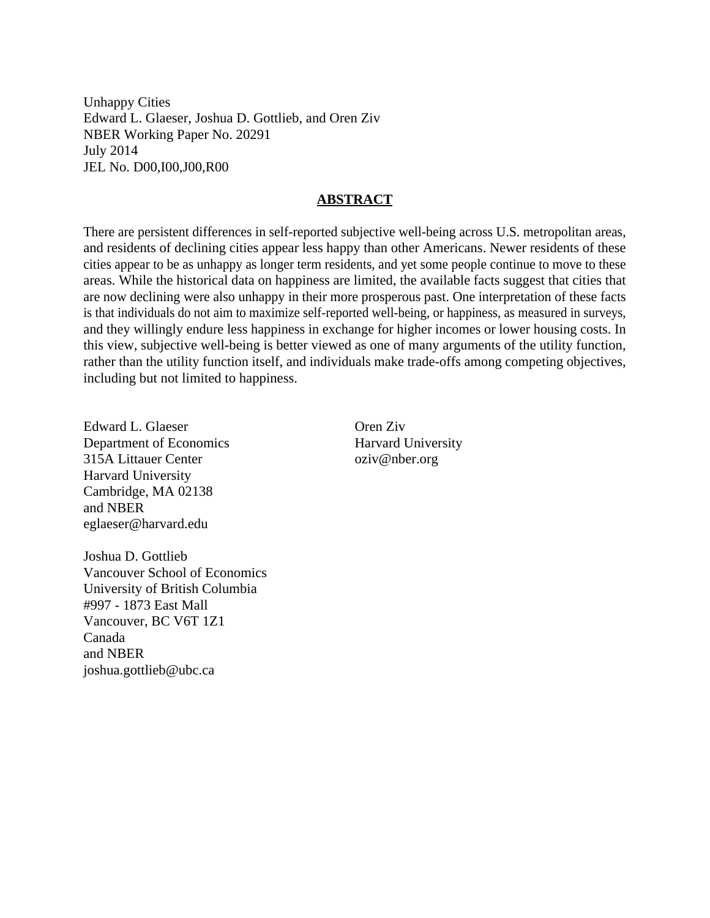Unhappy Cities Edward L. Glaeser, Joshua D. Gottlieb, and Oren Ziv NBER Working Paper No. 20291 July 2014 JEL No. D00,I00,J00,R00

#### **ABSTRACT**

There are persistent differences in self-reported subjective well-being across U.S. metropolitan areas, and residents of declining cities appear less happy than other Americans. Newer residents of these cities appear to be as unhappy as longer term residents, and yet some people continue to move to these areas. While the historical data on happiness are limited, the available facts suggest that cities that are now declining were also unhappy in their more prosperous past. One interpretation of these facts is that individuals do not aim to maximize self-reported well-being, or happiness, as measured in surveys, and they willingly endure less happiness in exchange for higher incomes or lower housing costs. In this view, subjective well-being is better viewed as one of many arguments of the utility function, rather than the utility function itself, and individuals make trade-offs among competing objectives, including but not limited to happiness.

Edward L. Glaeser Department of Economics 315A Littauer Center Harvard University Cambridge, MA 02138 and NBER eglaeser@harvard.edu

Oren Ziv Harvard University oziv@nber.org

Joshua D. Gottlieb Vancouver School of Economics University of British Columbia #997 - 1873 East Mall Vancouver, BC V6T 1Z1 Canada and NBER joshua.gottlieb@ubc.ca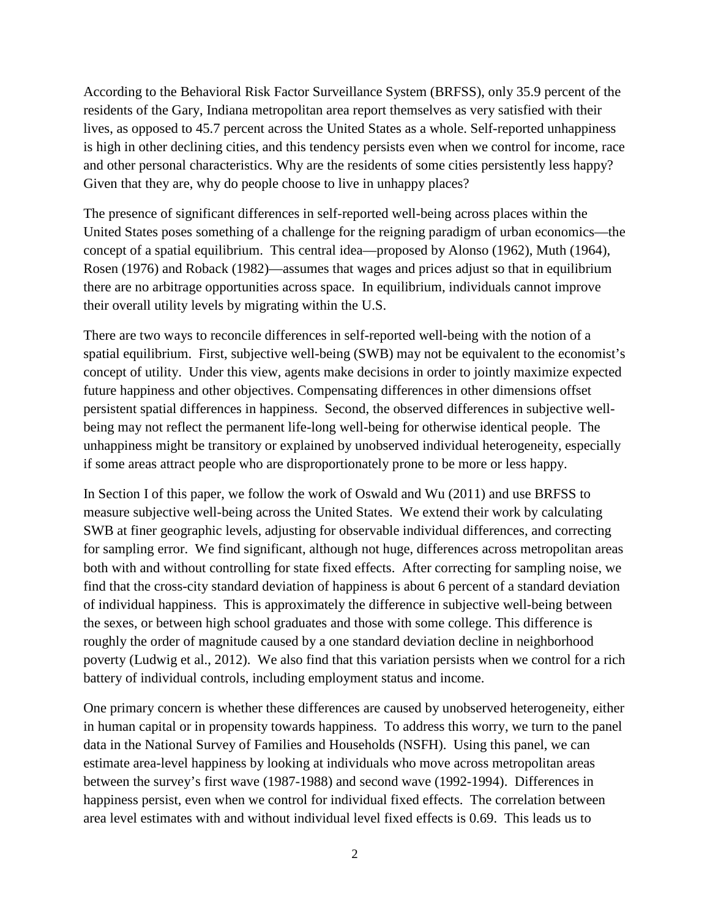According to the Behavioral Risk Factor Surveillance System (BRFSS), only 35.9 percent of the residents of the Gary, Indiana metropolitan area report themselves as very satisfied with their lives, as opposed to 45.7 percent across the United States as a whole. Self-reported unhappiness is high in other declining cities, and this tendency persists even when we control for income, race and other personal characteristics. Why are the residents of some cities persistently less happy? Given that they are, why do people choose to live in unhappy places?

The presence of significant differences in self-reported well-being across places within the United States poses something of a challenge for the reigning paradigm of urban economics—the concept of a spatial equilibrium. This central idea—proposed by Alonso (1962), Muth (1964), Rosen (1976) and Roback (1982)—assumes that wages and prices adjust so that in equilibrium there are no arbitrage opportunities across space. In equilibrium, individuals cannot improve their overall utility levels by migrating within the U.S.

There are two ways to reconcile differences in self-reported well-being with the notion of a spatial equilibrium. First, subjective well-being (SWB) may not be equivalent to the economist's concept of utility. Under this view, agents make decisions in order to jointly maximize expected future happiness and other objectives. Compensating differences in other dimensions offset persistent spatial differences in happiness. Second, the observed differences in subjective wellbeing may not reflect the permanent life-long well-being for otherwise identical people. The unhappiness might be transitory or explained by unobserved individual heterogeneity, especially if some areas attract people who are disproportionately prone to be more or less happy.

In Section I of this paper, we follow the work of Oswald and Wu (2011) and use BRFSS to measure subjective well-being across the United States. We extend their work by calculating SWB at finer geographic levels, adjusting for observable individual differences, and correcting for sampling error. We find significant, although not huge, differences across metropolitan areas both with and without controlling for state fixed effects. After correcting for sampling noise, we find that the cross-city standard deviation of happiness is about 6 percent of a standard deviation of individual happiness. This is approximately the difference in subjective well-being between the sexes, or between high school graduates and those with some college. This difference is roughly the order of magnitude caused by a one standard deviation decline in neighborhood poverty (Ludwig et al., 2012). We also find that this variation persists when we control for a rich battery of individual controls, including employment status and income.

One primary concern is whether these differences are caused by unobserved heterogeneity, either in human capital or in propensity towards happiness. To address this worry, we turn to the panel data in the National Survey of Families and Households (NSFH). Using this panel, we can estimate area-level happiness by looking at individuals who move across metropolitan areas between the survey's first wave (1987-1988) and second wave (1992-1994). Differences in happiness persist, even when we control for individual fixed effects. The correlation between area level estimates with and without individual level fixed effects is 0.69. This leads us to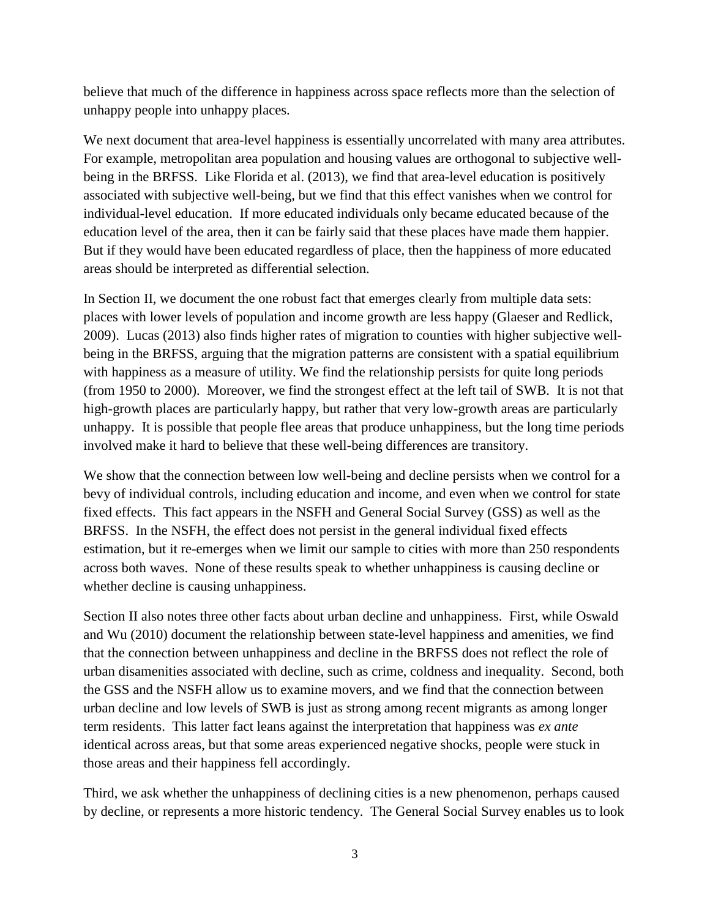believe that much of the difference in happiness across space reflects more than the selection of unhappy people into unhappy places.

We next document that area-level happiness is essentially uncorrelated with many area attributes. For example, metropolitan area population and housing values are orthogonal to subjective wellbeing in the BRFSS. Like Florida et al. (2013), we find that area-level education is positively associated with subjective well-being, but we find that this effect vanishes when we control for individual-level education. If more educated individuals only became educated because of the education level of the area, then it can be fairly said that these places have made them happier. But if they would have been educated regardless of place, then the happiness of more educated areas should be interpreted as differential selection.

In Section II, we document the one robust fact that emerges clearly from multiple data sets: places with lower levels of population and income growth are less happy (Glaeser and Redlick, 2009). Lucas (2013) also finds higher rates of migration to counties with higher subjective wellbeing in the BRFSS, arguing that the migration patterns are consistent with a spatial equilibrium with happiness as a measure of utility. We find the relationship persists for quite long periods (from 1950 to 2000). Moreover, we find the strongest effect at the left tail of SWB. It is not that high-growth places are particularly happy, but rather that very low-growth areas are particularly unhappy. It is possible that people flee areas that produce unhappiness, but the long time periods involved make it hard to believe that these well-being differences are transitory.

We show that the connection between low well-being and decline persists when we control for a bevy of individual controls, including education and income, and even when we control for state fixed effects. This fact appears in the NSFH and General Social Survey (GSS) as well as the BRFSS. In the NSFH, the effect does not persist in the general individual fixed effects estimation, but it re-emerges when we limit our sample to cities with more than 250 respondents across both waves. None of these results speak to whether unhappiness is causing decline or whether decline is causing unhappiness.

Section II also notes three other facts about urban decline and unhappiness. First, while Oswald and Wu (2010) document the relationship between state-level happiness and amenities, we find that the connection between unhappiness and decline in the BRFSS does not reflect the role of urban disamenities associated with decline, such as crime, coldness and inequality. Second, both the GSS and the NSFH allow us to examine movers, and we find that the connection between urban decline and low levels of SWB is just as strong among recent migrants as among longer term residents. This latter fact leans against the interpretation that happiness was *ex ante* identical across areas, but that some areas experienced negative shocks, people were stuck in those areas and their happiness fell accordingly.

Third, we ask whether the unhappiness of declining cities is a new phenomenon, perhaps caused by decline, or represents a more historic tendency. The General Social Survey enables us to look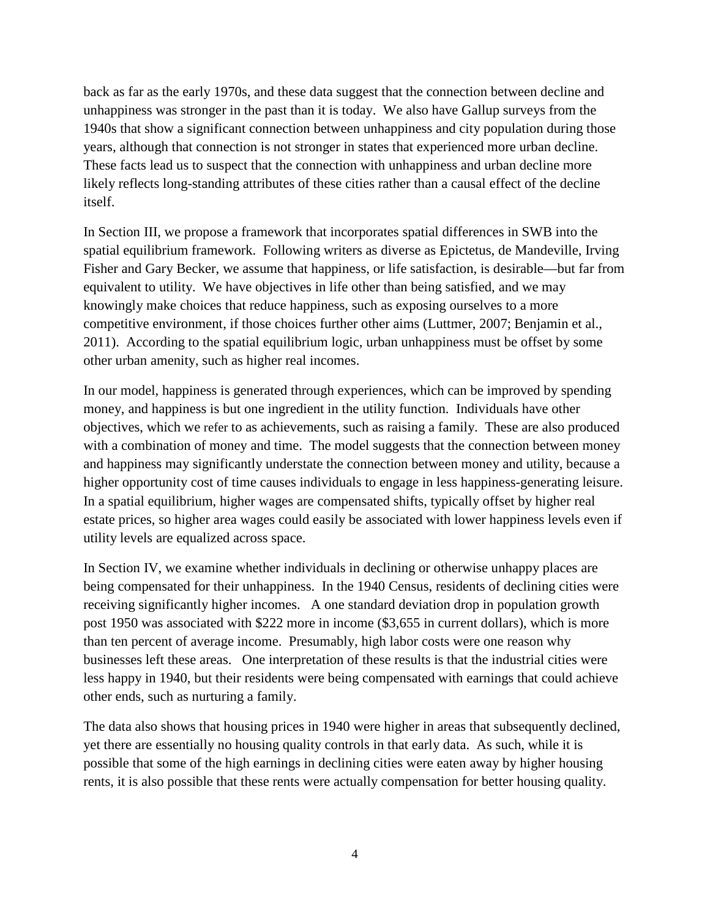back as far as the early 1970s, and these data suggest that the connection between decline and unhappiness was stronger in the past than it is today. We also have Gallup surveys from the 1940s that show a significant connection between unhappiness and city population during those years, although that connection is not stronger in states that experienced more urban decline. These facts lead us to suspect that the connection with unhappiness and urban decline more likely reflects long-standing attributes of these cities rather than a causal effect of the decline itself.

In Section III, we propose a framework that incorporates spatial differences in SWB into the spatial equilibrium framework. Following writers as diverse as Epictetus, de Mandeville, Irving Fisher and Gary Becker, we assume that happiness, or life satisfaction, is desirable—but far from equivalent to utility. We have objectives in life other than being satisfied, and we may knowingly make choices that reduce happiness, such as exposing ourselves to a more competitive environment, if those choices further other aims (Luttmer, 2007; Benjamin et al., 2011). According to the spatial equilibrium logic, urban unhappiness must be offset by some other urban amenity, such as higher real incomes.

In our model, happiness is generated through experiences, which can be improved by spending money, and happiness is but one ingredient in the utility function. Individuals have other objectives, which we refer to as achievements, such as raising a family. These are also produced with a combination of money and time. The model suggests that the connection between money and happiness may significantly understate the connection between money and utility, because a higher opportunity cost of time causes individuals to engage in less happiness-generating leisure. In a spatial equilibrium, higher wages are compensated shifts, typically offset by higher real estate prices, so higher area wages could easily be associated with lower happiness levels even if utility levels are equalized across space.

In Section IV, we examine whether individuals in declining or otherwise unhappy places are being compensated for their unhappiness. In the 1940 Census, residents of declining cities were receiving significantly higher incomes. A one standard deviation drop in population growth post 1950 was associated with \$222 more in income (\$3,655 in current dollars), which is more than ten percent of average income. Presumably, high labor costs were one reason why businesses left these areas. One interpretation of these results is that the industrial cities were less happy in 1940, but their residents were being compensated with earnings that could achieve other ends, such as nurturing a family.

The data also shows that housing prices in 1940 were higher in areas that subsequently declined, yet there are essentially no housing quality controls in that early data. As such, while it is possible that some of the high earnings in declining cities were eaten away by higher housing rents, it is also possible that these rents were actually compensation for better housing quality.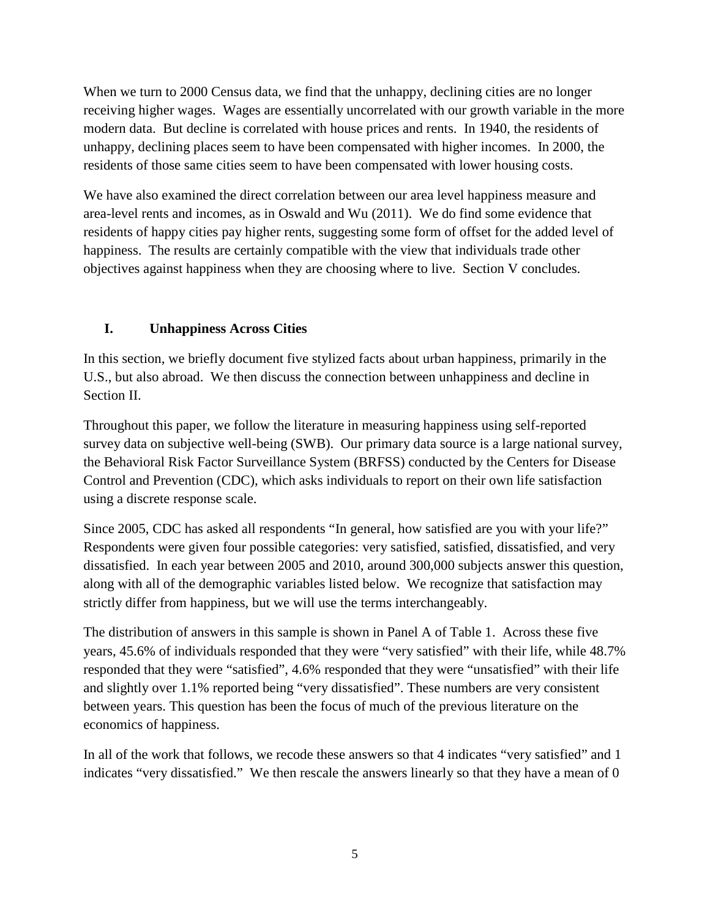When we turn to 2000 Census data, we find that the unhappy, declining cities are no longer receiving higher wages. Wages are essentially uncorrelated with our growth variable in the more modern data. But decline is correlated with house prices and rents. In 1940, the residents of unhappy, declining places seem to have been compensated with higher incomes. In 2000, the residents of those same cities seem to have been compensated with lower housing costs.

We have also examined the direct correlation between our area level happiness measure and area-level rents and incomes, as in Oswald and Wu (2011). We do find some evidence that residents of happy cities pay higher rents, suggesting some form of offset for the added level of happiness. The results are certainly compatible with the view that individuals trade other objectives against happiness when they are choosing where to live. Section V concludes.

# **I. Unhappiness Across Cities**

In this section, we briefly document five stylized facts about urban happiness, primarily in the U.S., but also abroad. We then discuss the connection between unhappiness and decline in Section II.

Throughout this paper, we follow the literature in measuring happiness using self-reported survey data on subjective well-being (SWB). Our primary data source is a large national survey, the Behavioral Risk Factor Surveillance System (BRFSS) conducted by the Centers for Disease Control and Prevention (CDC), which asks individuals to report on their own life satisfaction using a discrete response scale.

Since 2005, CDC has asked all respondents "In general, how satisfied are you with your life?" Respondents were given four possible categories: very satisfied, satisfied, dissatisfied, and very dissatisfied. In each year between 2005 and 2010, around 300,000 subjects answer this question, along with all of the demographic variables listed below. We recognize that satisfaction may strictly differ from happiness, but we will use the terms interchangeably.

The distribution of answers in this sample is shown in Panel A of Table 1. Across these five years, 45.6% of individuals responded that they were "very satisfied" with their life, while 48.7% responded that they were "satisfied", 4.6% responded that they were "unsatisfied" with their life and slightly over 1.1% reported being "very dissatisfied". These numbers are very consistent between years. This question has been the focus of much of the previous literature on the economics of happiness.

In all of the work that follows, we recode these answers so that 4 indicates "very satisfied" and 1 indicates "very dissatisfied." We then rescale the answers linearly so that they have a mean of 0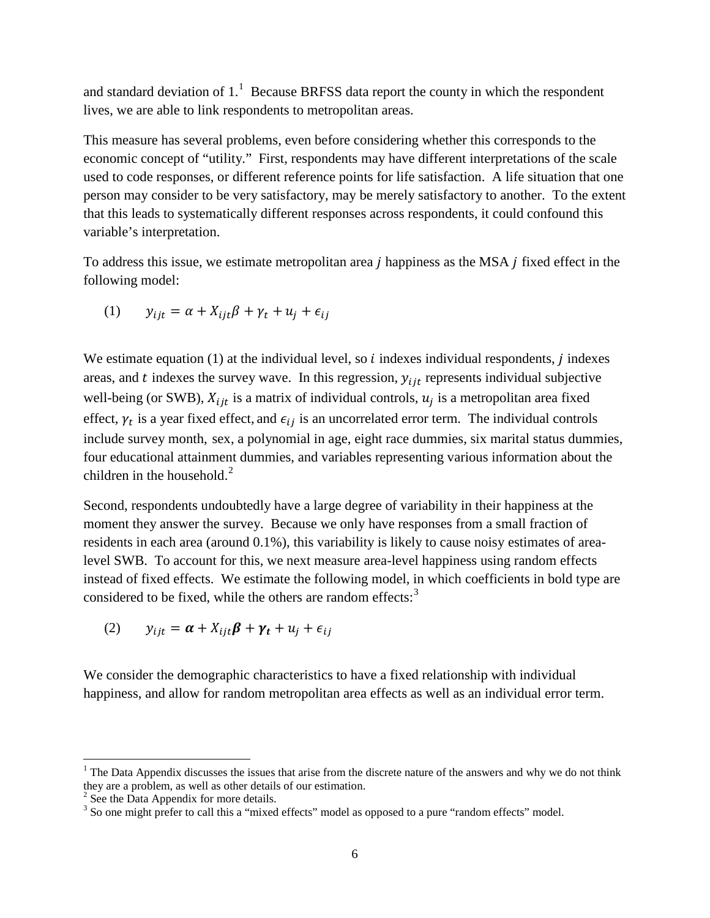and standard deviation of  $1<sup>1</sup>$  $1<sup>1</sup>$  Because BRFSS data report the county in which the respondent lives, we are able to link respondents to metropolitan areas.

This measure has several problems, even before considering whether this corresponds to the economic concept of "utility." First, respondents may have different interpretations of the scale used to code responses, or different reference points for life satisfaction. A life situation that one person may consider to be very satisfactory, may be merely satisfactory to another. To the extent that this leads to systematically different responses across respondents, it could confound this variable's interpretation.

To address this issue, we estimate metropolitan area  $j$  happiness as the MSA  $j$  fixed effect in the following model:

$$
(1) \t y_{ijt} = \alpha + X_{ijt}\beta + \gamma_t + u_j + \epsilon_{ij}
$$

We estimate equation  $(1)$  at the individual level, so *i* indexes individual respondents, *j* indexes areas, and  $t$  indexes the survey wave. In this regression,  $y_{ijt}$  represents individual subjective well-being (or SWB),  $X_{ijt}$  is a matrix of individual controls,  $u_j$  is a metropolitan area fixed effect,  $\gamma_t$  is a year fixed effect, and  $\epsilon_{ij}$  is an uncorrelated error term. The individual controls include survey month, sex, a polynomial in age, eight race dummies, six marital status dummies, four educational attainment dummies, and variables representing various information about the children in the household. $2$ 

Second, respondents undoubtedly have a large degree of variability in their happiness at the moment they answer the survey. Because we only have responses from a small fraction of residents in each area (around 0.1%), this variability is likely to cause noisy estimates of arealevel SWB. To account for this, we next measure area-level happiness using random effects instead of fixed effects. We estimate the following model, in which coefficients in bold type are considered to be fixed, while the others are random effects:<sup>[3](#page-6-2)</sup>

$$
(2) \t y_{ijt} = \boldsymbol{\alpha} + X_{ijt}\boldsymbol{\beta} + \boldsymbol{\gamma_t} + u_j + \epsilon_{ij}
$$

We consider the demographic characteristics to have a fixed relationship with individual happiness, and allow for random metropolitan area effects as well as an individual error term.

l

<span id="page-6-0"></span> $1$  The Data Appendix discusses the issues that arise from the discrete nature of the answers and why we do not think they are a problem, as well as other details of our estimation.

<span id="page-6-1"></span> $2$  See the Data Appendix for more details.

<span id="page-6-2"></span><sup>&</sup>lt;sup>3</sup> So one might prefer to call this a "mixed effects" model as opposed to a pure "random effects" model.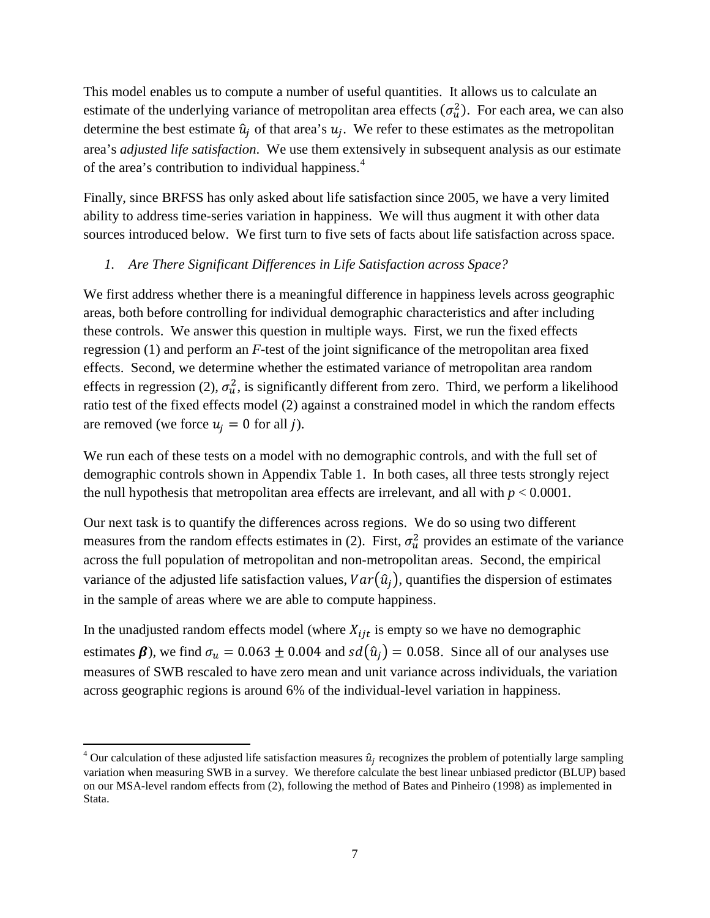This model enables us to compute a number of useful quantities. It allows us to calculate an estimate of the underlying variance of metropolitan area effects  $(\sigma_u^2)$ . For each area, we can also determine the best estimate  $\hat{u}_j$  of that area's  $u_j$ . We refer to these estimates as the metropolitan area's *adjusted life satisfaction*. We use them extensively in subsequent analysis as our estimate of the area's contribution to individual happiness.<sup>[4](#page-7-0)</sup>

Finally, since BRFSS has only asked about life satisfaction since 2005, we have a very limited ability to address time-series variation in happiness. We will thus augment it with other data sources introduced below. We first turn to five sets of facts about life satisfaction across space.

## *1. Are There Significant Differences in Life Satisfaction across Space?*

We first address whether there is a meaningful difference in happiness levels across geographic areas, both before controlling for individual demographic characteristics and after including these controls. We answer this question in multiple ways. First, we run the fixed effects regression (1) and perform an *F*-test of the joint significance of the metropolitan area fixed effects. Second, we determine whether the estimated variance of metropolitan area random effects in regression (2),  $\sigma_u^2$ , is significantly different from zero. Third, we perform a likelihood ratio test of the fixed effects model (2) against a constrained model in which the random effects are removed (we force  $u_i = 0$  for all j).

We run each of these tests on a model with no demographic controls, and with the full set of demographic controls shown in Appendix Table 1. In both cases, all three tests strongly reject the null hypothesis that metropolitan area effects are irrelevant, and all with  $p < 0.0001$ .

Our next task is to quantify the differences across regions. We do so using two different measures from the random effects estimates in (2). First,  $\sigma_u^2$  provides an estimate of the variance across the full population of metropolitan and non-metropolitan areas. Second, the empirical variance of the adjusted life satisfaction values,  $Var(\hat{u}_i)$ , quantifies the dispersion of estimates in the sample of areas where we are able to compute happiness.

In the unadjusted random effects model (where  $X_{i}$  is empty so we have no demographic estimates  $\beta$ ), we find  $\sigma_u = 0.063 \pm 0.004$  and  $sd(\hat{u}_i) = 0.058$ . Since all of our analyses use measures of SWB rescaled to have zero mean and unit variance across individuals, the variation across geographic regions is around 6% of the individual-level variation in happiness.

 $\overline{\phantom{a}}$ 

<span id="page-7-0"></span><sup>&</sup>lt;sup>4</sup> Our calculation of these adjusted life satisfaction measures  $\hat{u}_i$  recognizes the problem of potentially large sampling variation when measuring SWB in a survey. We therefore calculate the best linear unbiased predictor (BLUP) based on our MSA-level random effects from (2), following the method of Bates and Pinheiro (1998) as implemented in Stata.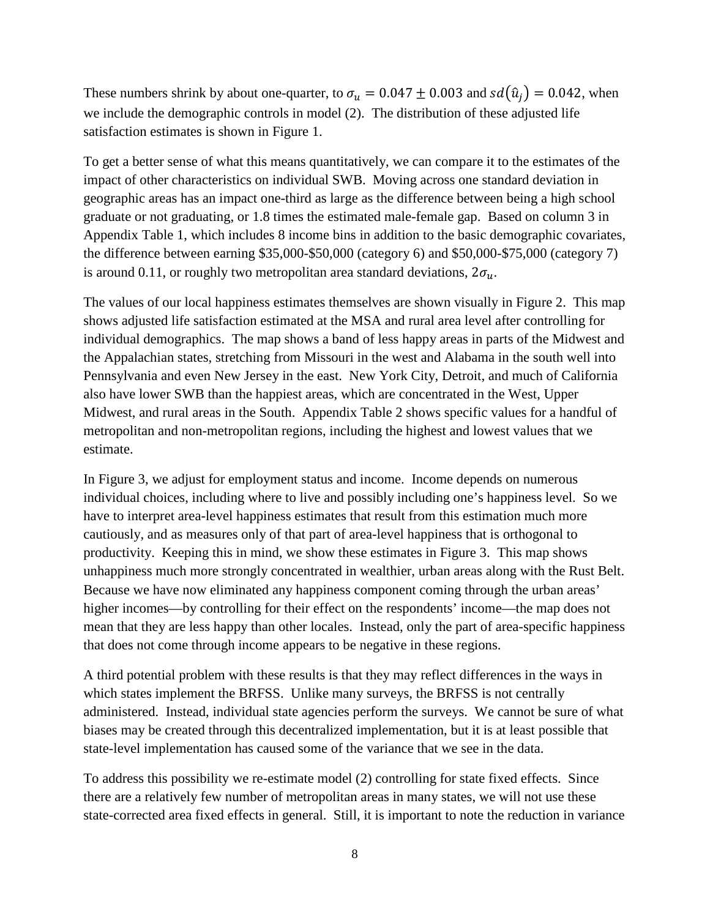These numbers shrink by about one-quarter, to  $\sigma_u = 0.047 \pm 0.003$  and  $sd(\hat{u}_i) = 0.042$ , when we include the demographic controls in model (2). The distribution of these adjusted life satisfaction estimates is shown in Figure 1.

To get a better sense of what this means quantitatively, we can compare it to the estimates of the impact of other characteristics on individual SWB. Moving across one standard deviation in geographic areas has an impact one-third as large as the difference between being a high school graduate or not graduating, or 1.8 times the estimated male-female gap. Based on column 3 in Appendix Table 1, which includes 8 income bins in addition to the basic demographic covariates, the difference between earning \$35,000-\$50,000 (category 6) and \$50,000-\$75,000 (category 7) is around 0.11, or roughly two metropolitan area standard deviations,  $2\sigma_u$ .

The values of our local happiness estimates themselves are shown visually in Figure 2. This map shows adjusted life satisfaction estimated at the MSA and rural area level after controlling for individual demographics. The map shows a band of less happy areas in parts of the Midwest and the Appalachian states, stretching from Missouri in the west and Alabama in the south well into Pennsylvania and even New Jersey in the east. New York City, Detroit, and much of California also have lower SWB than the happiest areas, which are concentrated in the West, Upper Midwest, and rural areas in the South. Appendix Table 2 shows specific values for a handful of metropolitan and non-metropolitan regions, including the highest and lowest values that we estimate.

In Figure 3, we adjust for employment status and income. Income depends on numerous individual choices, including where to live and possibly including one's happiness level. So we have to interpret area-level happiness estimates that result from this estimation much more cautiously, and as measures only of that part of area-level happiness that is orthogonal to productivity. Keeping this in mind, we show these estimates in Figure 3. This map shows unhappiness much more strongly concentrated in wealthier, urban areas along with the Rust Belt. Because we have now eliminated any happiness component coming through the urban areas' higher incomes—by controlling for their effect on the respondents' income—the map does not mean that they are less happy than other locales. Instead, only the part of area-specific happiness that does not come through income appears to be negative in these regions.

A third potential problem with these results is that they may reflect differences in the ways in which states implement the BRFSS. Unlike many surveys, the BRFSS is not centrally administered. Instead, individual state agencies perform the surveys. We cannot be sure of what biases may be created through this decentralized implementation, but it is at least possible that state-level implementation has caused some of the variance that we see in the data.

To address this possibility we re-estimate model (2) controlling for state fixed effects. Since there are a relatively few number of metropolitan areas in many states, we will not use these state-corrected area fixed effects in general. Still, it is important to note the reduction in variance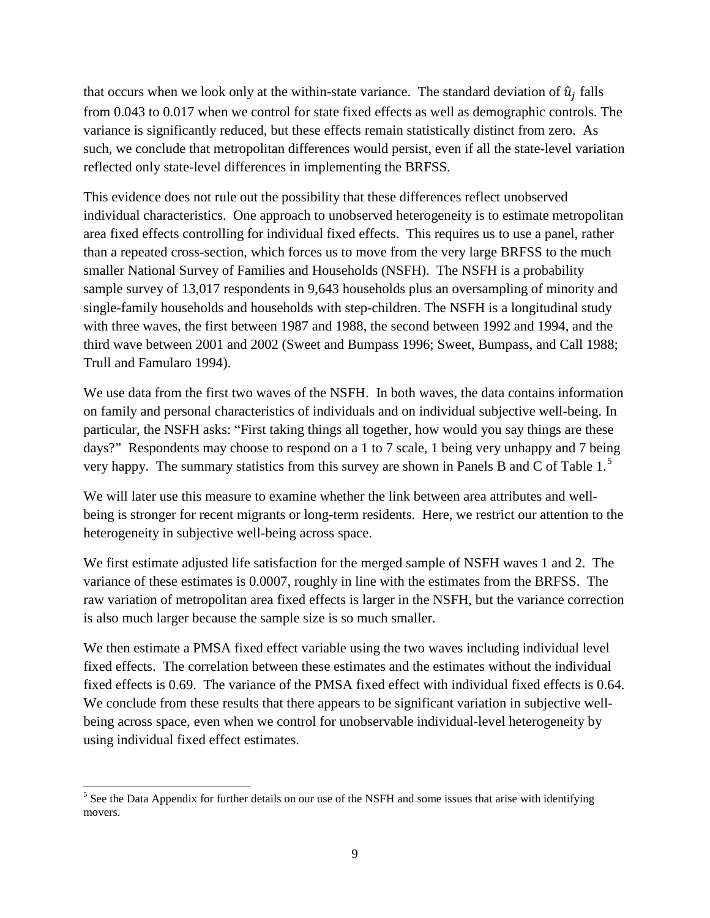that occurs when we look only at the within-state variance. The standard deviation of  $\hat{u}_i$  falls from 0.043 to 0.017 when we control for state fixed effects as well as demographic controls. The variance is significantly reduced, but these effects remain statistically distinct from zero. As such, we conclude that metropolitan differences would persist, even if all the state-level variation reflected only state-level differences in implementing the BRFSS.

This evidence does not rule out the possibility that these differences reflect unobserved individual characteristics. One approach to unobserved heterogeneity is to estimate metropolitan area fixed effects controlling for individual fixed effects. This requires us to use a panel, rather than a repeated cross-section, which forces us to move from the very large BRFSS to the much smaller National Survey of Families and Households (NSFH). The NSFH is a probability sample survey of 13,017 respondents in 9,643 households plus an oversampling of minority and single-family households and households with step-children. The NSFH is a longitudinal study with three waves, the first between 1987 and 1988, the second between 1992 and 1994, and the third wave between 2001 and 2002 (Sweet and Bumpass 1996; Sweet, Bumpass, and Call 1988; Trull and Famularo 1994).

We use data from the first two waves of the NSFH. In both waves, the data contains information on family and personal characteristics of individuals and on individual subjective well-being. In particular, the NSFH asks: "First taking things all together, how would you say things are these days?" Respondents may choose to respond on a 1 to 7 scale, 1 being very unhappy and 7 being very happy. The summary statistics from this survey are shown in Panels B and C of Table  $1<sup>5</sup>$  $1<sup>5</sup>$  $1<sup>5</sup>$ 

We will later use this measure to examine whether the link between area attributes and wellbeing is stronger for recent migrants or long-term residents. Here, we restrict our attention to the heterogeneity in subjective well-being across space.

We first estimate adjusted life satisfaction for the merged sample of NSFH waves 1 and 2. The variance of these estimates is 0.0007, roughly in line with the estimates from the BRFSS. The raw variation of metropolitan area fixed effects is larger in the NSFH, but the variance correction is also much larger because the sample size is so much smaller.

We then estimate a PMSA fixed effect variable using the two waves including individual level fixed effects. The correlation between these estimates and the estimates without the individual fixed effects is 0.69. The variance of the PMSA fixed effect with individual fixed effects is 0.64. We conclude from these results that there appears to be significant variation in subjective wellbeing across space, even when we control for unobservable individual-level heterogeneity by using individual fixed effect estimates.

 $\overline{\phantom{a}}$ 

<span id="page-9-0"></span> $<sup>5</sup>$  See the Data Appendix for further details on our use of the NSFH and some issues that arise with identifying</sup> movers.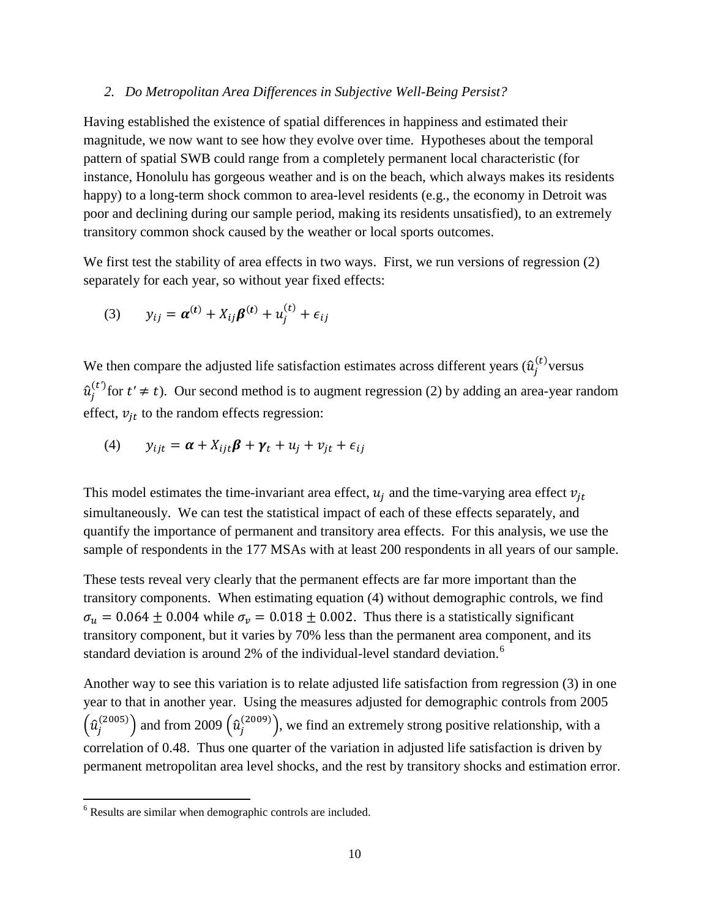#### *2. Do Metropolitan Area Differences in Subjective Well-Being Persist?*

Having established the existence of spatial differences in happiness and estimated their magnitude, we now want to see how they evolve over time. Hypotheses about the temporal pattern of spatial SWB could range from a completely permanent local characteristic (for instance, Honolulu has gorgeous weather and is on the beach, which always makes its residents happy) to a long-term shock common to area-level residents (e.g., the economy in Detroit was poor and declining during our sample period, making its residents unsatisfied), to an extremely transitory common shock caused by the weather or local sports outcomes.

We first test the stability of area effects in two ways. First, we run versions of regression (2) separately for each year, so without year fixed effects:

(3) 
$$
y_{ij} = \alpha^{(t)} + X_{ij}\beta^{(t)} + u_j^{(t)} + \epsilon_{ij}
$$

We then compare the adjusted life satisfaction estimates across different years  $(\hat{u}_j^{(t)})$  versus  $\hat{u}^{(t)}_j$  for  $t' \neq t$ ). Our second method is to augment regression (2) by adding an area-year random effect,  $v_{it}$  to the random effects regression:

(4) 
$$
y_{ijt} = \boldsymbol{\alpha} + X_{ijt}\boldsymbol{\beta} + \boldsymbol{\gamma}_t + u_j + v_{jt} + \epsilon_{ij}
$$

This model estimates the time-invariant area effect,  $u_i$  and the time-varying area effect  $v_{it}$ simultaneously. We can test the statistical impact of each of these effects separately, and quantify the importance of permanent and transitory area effects. For this analysis, we use the sample of respondents in the 177 MSAs with at least 200 respondents in all years of our sample.

These tests reveal very clearly that the permanent effects are far more important than the transitory components. When estimating equation (4) without demographic controls, we find  $\sigma_u = 0.064 \pm 0.004$  while  $\sigma_v = 0.018 \pm 0.002$ . Thus there is a statistically significant transitory component, but it varies by 70% less than the permanent area component, and its standard deviation is around 2% of the individual-level standard deviation.<sup>[6](#page-10-0)</sup>

Another way to see this variation is to relate adjusted life satisfaction from regression (3) in one year to that in another year. Using the measures adjusted for demographic controls from 2005  $\left(\hat{u}_j^{(2005)}\right)$  and from 2009  $\left(\hat{u}_j^{(2009)}\right)$ , we find an extremely strong positive relationship, with a correlation of 0.48. Thus one quarter of the variation in adjusted life satisfaction is driven by permanent metropolitan area level shocks, and the rest by transitory shocks and estimation error.

l

<span id="page-10-0"></span><sup>6</sup> Results are similar when demographic controls are included.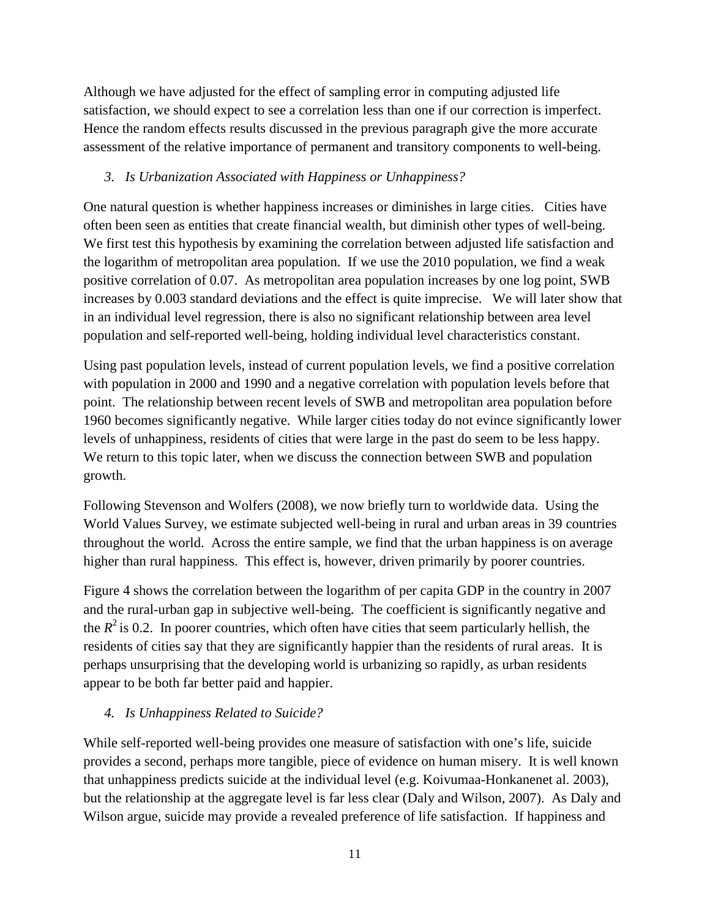Although we have adjusted for the effect of sampling error in computing adjusted life satisfaction, we should expect to see a correlation less than one if our correction is imperfect. Hence the random effects results discussed in the previous paragraph give the more accurate assessment of the relative importance of permanent and transitory components to well-being.

# *3. Is Urbanization Associated with Happiness or Unhappiness?*

One natural question is whether happiness increases or diminishes in large cities. Cities have often been seen as entities that create financial wealth, but diminish other types of well-being. We first test this hypothesis by examining the correlation between adjusted life satisfaction and the logarithm of metropolitan area population. If we use the 2010 population, we find a weak positive correlation of 0.07. As metropolitan area population increases by one log point, SWB increases by 0.003 standard deviations and the effect is quite imprecise. We will later show that in an individual level regression, there is also no significant relationship between area level population and self-reported well-being, holding individual level characteristics constant.

Using past population levels, instead of current population levels, we find a positive correlation with population in 2000 and 1990 and a negative correlation with population levels before that point. The relationship between recent levels of SWB and metropolitan area population before 1960 becomes significantly negative. While larger cities today do not evince significantly lower levels of unhappiness, residents of cities that were large in the past do seem to be less happy. We return to this topic later, when we discuss the connection between SWB and population growth.

Following Stevenson and Wolfers (2008), we now briefly turn to worldwide data. Using the World Values Survey, we estimate subjected well-being in rural and urban areas in 39 countries throughout the world. Across the entire sample, we find that the urban happiness is on average higher than rural happiness. This effect is, however, driven primarily by poorer countries.

Figure 4 shows the correlation between the logarithm of per capita GDP in the country in 2007 and the rural-urban gap in subjective well-being. The coefficient is significantly negative and the  $R^2$  is 0.2. In poorer countries, which often have cities that seem particularly hellish, the residents of cities say that they are significantly happier than the residents of rural areas. It is perhaps unsurprising that the developing world is urbanizing so rapidly, as urban residents appear to be both far better paid and happier.

# *4. Is Unhappiness Related to Suicide?*

While self-reported well-being provides one measure of satisfaction with one's life, suicide provides a second, perhaps more tangible, piece of evidence on human misery. It is well known that unhappiness predicts suicide at the individual level (e.g. Koivumaa-Honkanenet al. 2003), but the relationship at the aggregate level is far less clear (Daly and Wilson, 2007). As Daly and Wilson argue, suicide may provide a revealed preference of life satisfaction. If happiness and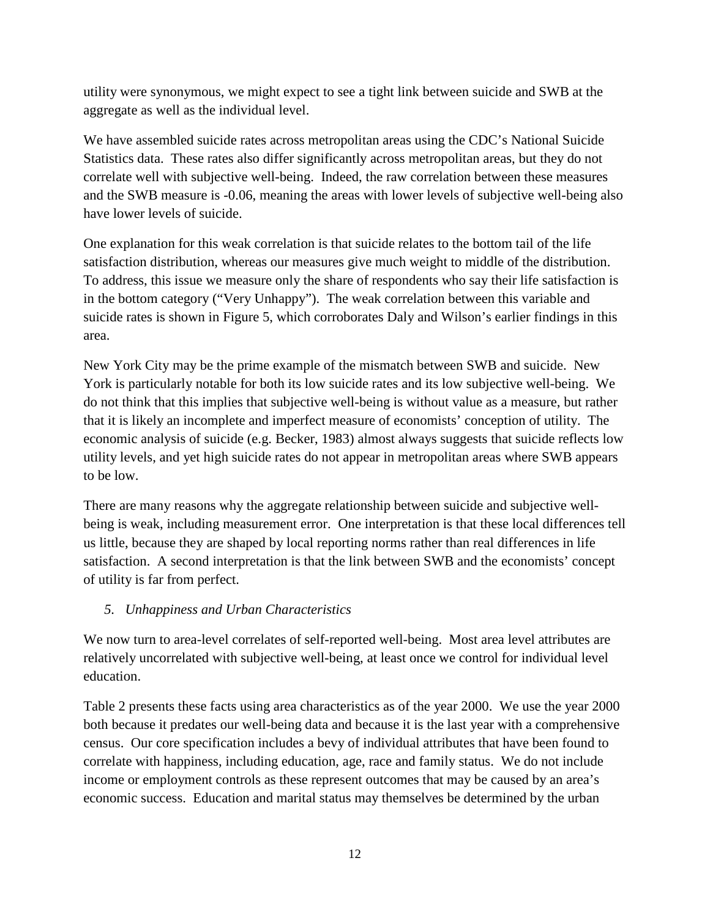utility were synonymous, we might expect to see a tight link between suicide and SWB at the aggregate as well as the individual level.

We have assembled suicide rates across metropolitan areas using the CDC's National Suicide Statistics data. These rates also differ significantly across metropolitan areas, but they do not correlate well with subjective well-being. Indeed, the raw correlation between these measures and the SWB measure is -0.06, meaning the areas with lower levels of subjective well-being also have lower levels of suicide.

One explanation for this weak correlation is that suicide relates to the bottom tail of the life satisfaction distribution, whereas our measures give much weight to middle of the distribution. To address, this issue we measure only the share of respondents who say their life satisfaction is in the bottom category ("Very Unhappy"). The weak correlation between this variable and suicide rates is shown in Figure 5, which corroborates Daly and Wilson's earlier findings in this area.

New York City may be the prime example of the mismatch between SWB and suicide. New York is particularly notable for both its low suicide rates and its low subjective well-being. We do not think that this implies that subjective well-being is without value as a measure, but rather that it is likely an incomplete and imperfect measure of economists' conception of utility. The economic analysis of suicide (e.g. Becker, 1983) almost always suggests that suicide reflects low utility levels, and yet high suicide rates do not appear in metropolitan areas where SWB appears to be low.

There are many reasons why the aggregate relationship between suicide and subjective wellbeing is weak, including measurement error. One interpretation is that these local differences tell us little, because they are shaped by local reporting norms rather than real differences in life satisfaction. A second interpretation is that the link between SWB and the economists' concept of utility is far from perfect.

## *5. Unhappiness and Urban Characteristics*

We now turn to area-level correlates of self-reported well-being. Most area level attributes are relatively uncorrelated with subjective well-being, at least once we control for individual level education.

Table 2 presents these facts using area characteristics as of the year 2000. We use the year 2000 both because it predates our well-being data and because it is the last year with a comprehensive census. Our core specification includes a bevy of individual attributes that have been found to correlate with happiness, including education, age, race and family status. We do not include income or employment controls as these represent outcomes that may be caused by an area's economic success. Education and marital status may themselves be determined by the urban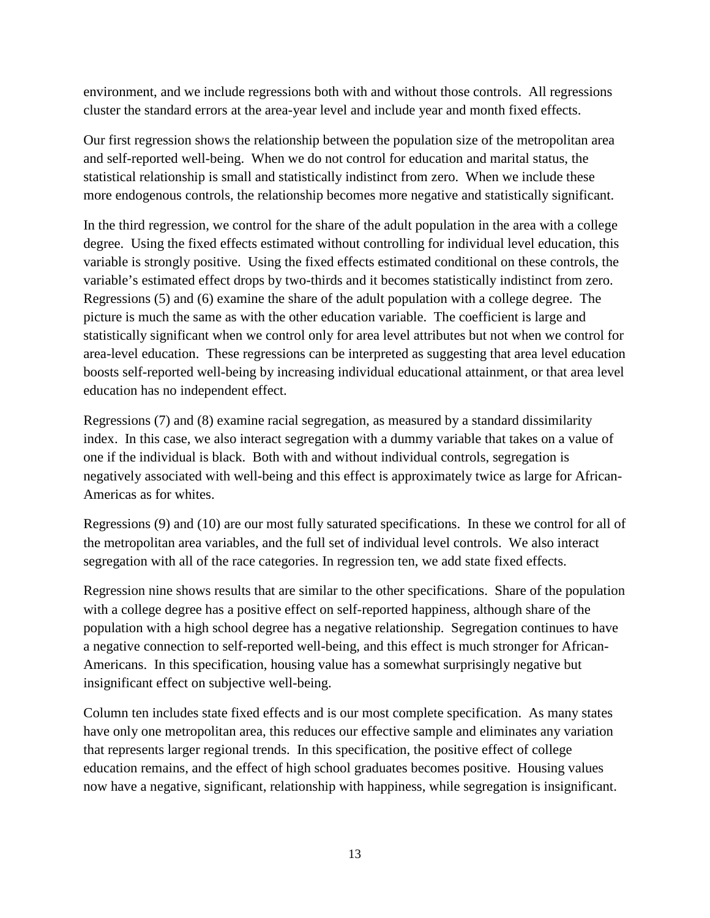environment, and we include regressions both with and without those controls. All regressions cluster the standard errors at the area-year level and include year and month fixed effects.

Our first regression shows the relationship between the population size of the metropolitan area and self-reported well-being. When we do not control for education and marital status, the statistical relationship is small and statistically indistinct from zero. When we include these more endogenous controls, the relationship becomes more negative and statistically significant.

In the third regression, we control for the share of the adult population in the area with a college degree. Using the fixed effects estimated without controlling for individual level education, this variable is strongly positive. Using the fixed effects estimated conditional on these controls, the variable's estimated effect drops by two-thirds and it becomes statistically indistinct from zero. Regressions (5) and (6) examine the share of the adult population with a college degree. The picture is much the same as with the other education variable. The coefficient is large and statistically significant when we control only for area level attributes but not when we control for area-level education. These regressions can be interpreted as suggesting that area level education boosts self-reported well-being by increasing individual educational attainment, or that area level education has no independent effect.

Regressions (7) and (8) examine racial segregation, as measured by a standard dissimilarity index. In this case, we also interact segregation with a dummy variable that takes on a value of one if the individual is black. Both with and without individual controls, segregation is negatively associated with well-being and this effect is approximately twice as large for African-Americas as for whites.

Regressions (9) and (10) are our most fully saturated specifications. In these we control for all of the metropolitan area variables, and the full set of individual level controls. We also interact segregation with all of the race categories. In regression ten, we add state fixed effects.

Regression nine shows results that are similar to the other specifications. Share of the population with a college degree has a positive effect on self-reported happiness, although share of the population with a high school degree has a negative relationship. Segregation continues to have a negative connection to self-reported well-being, and this effect is much stronger for African-Americans. In this specification, housing value has a somewhat surprisingly negative but insignificant effect on subjective well-being.

Column ten includes state fixed effects and is our most complete specification. As many states have only one metropolitan area, this reduces our effective sample and eliminates any variation that represents larger regional trends. In this specification, the positive effect of college education remains, and the effect of high school graduates becomes positive. Housing values now have a negative, significant, relationship with happiness, while segregation is insignificant.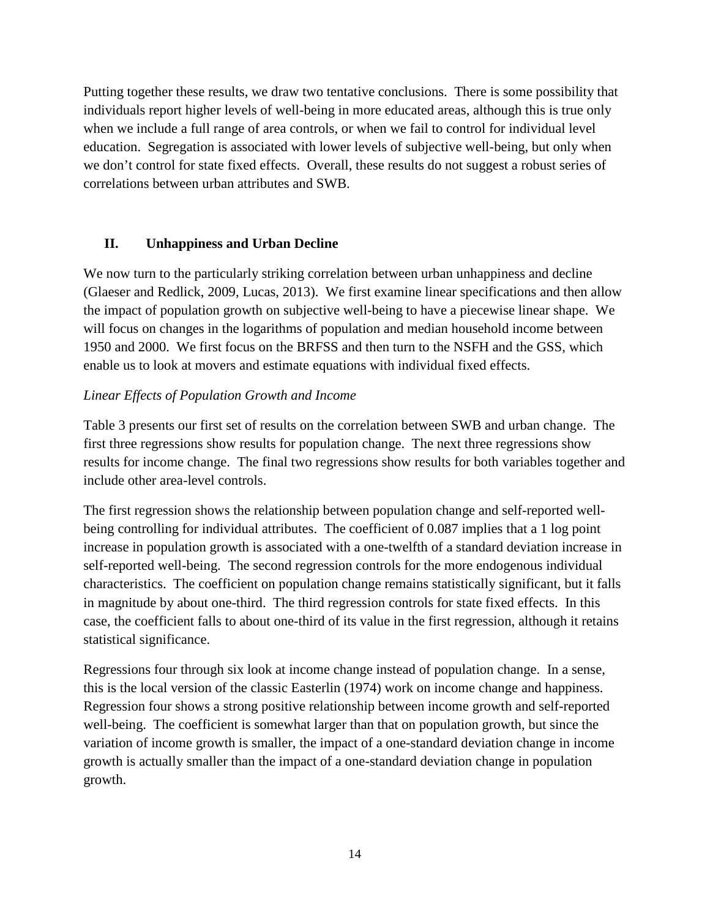Putting together these results, we draw two tentative conclusions. There is some possibility that individuals report higher levels of well-being in more educated areas, although this is true only when we include a full range of area controls, or when we fail to control for individual level education. Segregation is associated with lower levels of subjective well-being, but only when we don't control for state fixed effects. Overall, these results do not suggest a robust series of correlations between urban attributes and SWB.

## **II. Unhappiness and Urban Decline**

We now turn to the particularly striking correlation between urban unhappiness and decline (Glaeser and Redlick, 2009, Lucas, 2013). We first examine linear specifications and then allow the impact of population growth on subjective well-being to have a piecewise linear shape. We will focus on changes in the logarithms of population and median household income between 1950 and 2000. We first focus on the BRFSS and then turn to the NSFH and the GSS, which enable us to look at movers and estimate equations with individual fixed effects.

## *Linear Effects of Population Growth and Income*

Table 3 presents our first set of results on the correlation between SWB and urban change. The first three regressions show results for population change. The next three regressions show results for income change. The final two regressions show results for both variables together and include other area-level controls.

The first regression shows the relationship between population change and self-reported wellbeing controlling for individual attributes. The coefficient of 0.087 implies that a 1 log point increase in population growth is associated with a one-twelfth of a standard deviation increase in self-reported well-being. The second regression controls for the more endogenous individual characteristics. The coefficient on population change remains statistically significant, but it falls in magnitude by about one-third. The third regression controls for state fixed effects. In this case, the coefficient falls to about one-third of its value in the first regression, although it retains statistical significance.

Regressions four through six look at income change instead of population change. In a sense, this is the local version of the classic Easterlin (1974) work on income change and happiness. Regression four shows a strong positive relationship between income growth and self-reported well-being. The coefficient is somewhat larger than that on population growth, but since the variation of income growth is smaller, the impact of a one-standard deviation change in income growth is actually smaller than the impact of a one-standard deviation change in population growth.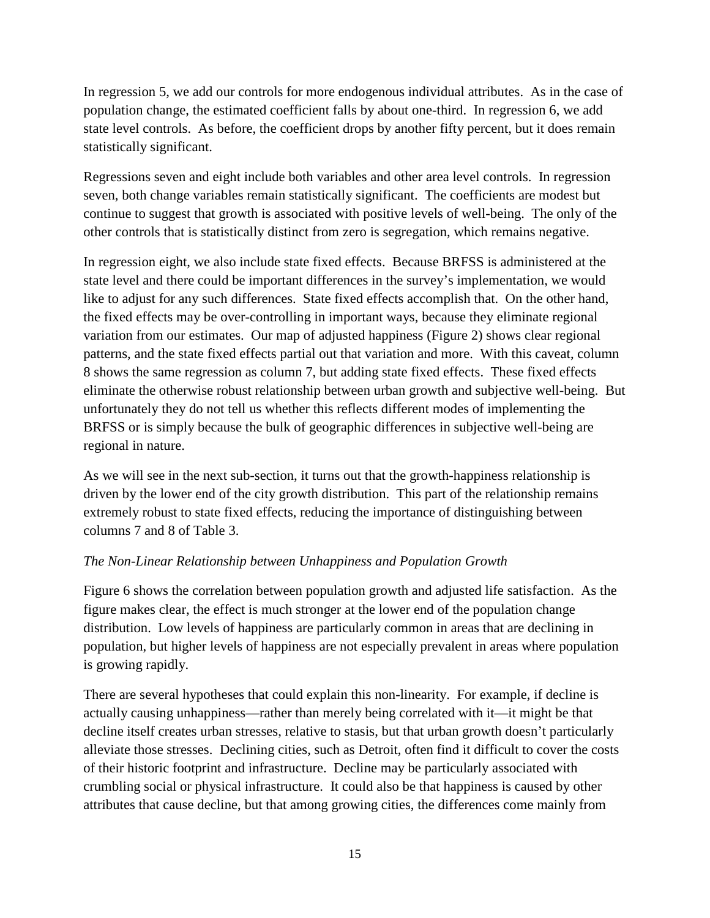In regression 5, we add our controls for more endogenous individual attributes. As in the case of population change, the estimated coefficient falls by about one-third. In regression 6, we add state level controls. As before, the coefficient drops by another fifty percent, but it does remain statistically significant.

Regressions seven and eight include both variables and other area level controls. In regression seven, both change variables remain statistically significant. The coefficients are modest but continue to suggest that growth is associated with positive levels of well-being. The only of the other controls that is statistically distinct from zero is segregation, which remains negative.

In regression eight, we also include state fixed effects. Because BRFSS is administered at the state level and there could be important differences in the survey's implementation, we would like to adjust for any such differences. State fixed effects accomplish that. On the other hand, the fixed effects may be over-controlling in important ways, because they eliminate regional variation from our estimates. Our map of adjusted happiness (Figure 2) shows clear regional patterns, and the state fixed effects partial out that variation and more. With this caveat, column 8 shows the same regression as column 7, but adding state fixed effects. These fixed effects eliminate the otherwise robust relationship between urban growth and subjective well-being. But unfortunately they do not tell us whether this reflects different modes of implementing the BRFSS or is simply because the bulk of geographic differences in subjective well-being are regional in nature.

As we will see in the next sub-section, it turns out that the growth-happiness relationship is driven by the lower end of the city growth distribution. This part of the relationship remains extremely robust to state fixed effects, reducing the importance of distinguishing between columns 7 and 8 of Table 3.

## *The Non-Linear Relationship between Unhappiness and Population Growth*

Figure 6 shows the correlation between population growth and adjusted life satisfaction. As the figure makes clear, the effect is much stronger at the lower end of the population change distribution. Low levels of happiness are particularly common in areas that are declining in population, but higher levels of happiness are not especially prevalent in areas where population is growing rapidly.

There are several hypotheses that could explain this non-linearity. For example, if decline is actually causing unhappiness—rather than merely being correlated with it—it might be that decline itself creates urban stresses, relative to stasis, but that urban growth doesn't particularly alleviate those stresses. Declining cities, such as Detroit, often find it difficult to cover the costs of their historic footprint and infrastructure. Decline may be particularly associated with crumbling social or physical infrastructure. It could also be that happiness is caused by other attributes that cause decline, but that among growing cities, the differences come mainly from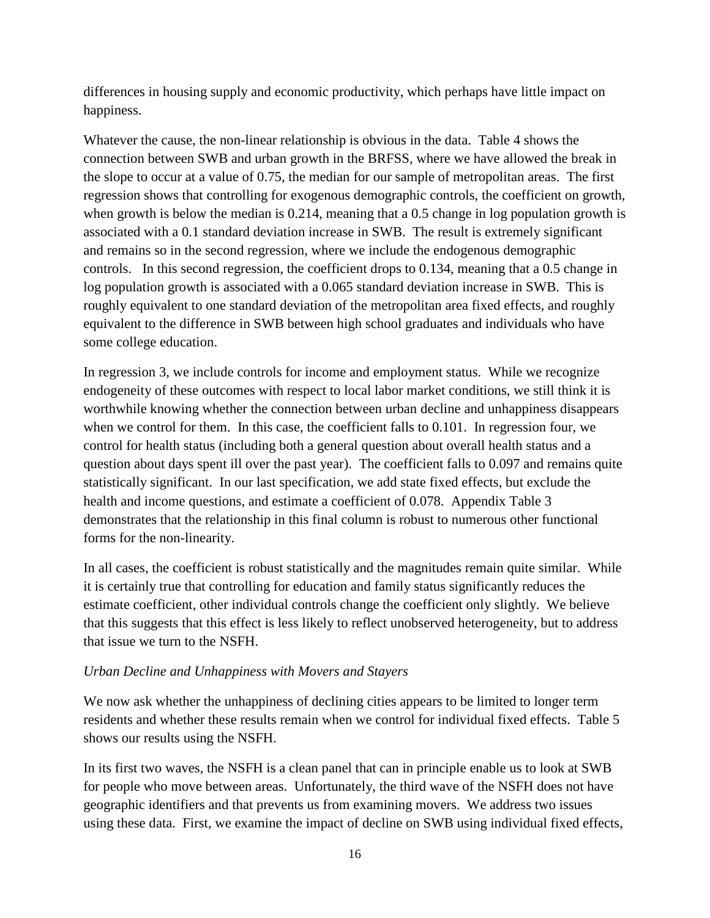differences in housing supply and economic productivity, which perhaps have little impact on happiness.

Whatever the cause, the non-linear relationship is obvious in the data. Table 4 shows the connection between SWB and urban growth in the BRFSS, where we have allowed the break in the slope to occur at a value of 0.75, the median for our sample of metropolitan areas. The first regression shows that controlling for exogenous demographic controls, the coefficient on growth, when growth is below the median is 0.214, meaning that a 0.5 change in log population growth is associated with a 0.1 standard deviation increase in SWB. The result is extremely significant and remains so in the second regression, where we include the endogenous demographic controls. In this second regression, the coefficient drops to 0.134, meaning that a 0.5 change in log population growth is associated with a 0.065 standard deviation increase in SWB. This is roughly equivalent to one standard deviation of the metropolitan area fixed effects, and roughly equivalent to the difference in SWB between high school graduates and individuals who have some college education.

In regression 3, we include controls for income and employment status. While we recognize endogeneity of these outcomes with respect to local labor market conditions, we still think it is worthwhile knowing whether the connection between urban decline and unhappiness disappears when we control for them. In this case, the coefficient falls to 0.101. In regression four, we control for health status (including both a general question about overall health status and a question about days spent ill over the past year). The coefficient falls to 0.097 and remains quite statistically significant. In our last specification, we add state fixed effects, but exclude the health and income questions, and estimate a coefficient of 0.078. Appendix Table 3 demonstrates that the relationship in this final column is robust to numerous other functional forms for the non-linearity.

In all cases, the coefficient is robust statistically and the magnitudes remain quite similar. While it is certainly true that controlling for education and family status significantly reduces the estimate coefficient, other individual controls change the coefficient only slightly. We believe that this suggests that this effect is less likely to reflect unobserved heterogeneity, but to address that issue we turn to the NSFH.

### *Urban Decline and Unhappiness with Movers and Stayers*

We now ask whether the unhappiness of declining cities appears to be limited to longer term residents and whether these results remain when we control for individual fixed effects. Table 5 shows our results using the NSFH.

In its first two waves, the NSFH is a clean panel that can in principle enable us to look at SWB for people who move between areas. Unfortunately, the third wave of the NSFH does not have geographic identifiers and that prevents us from examining movers. We address two issues using these data. First, we examine the impact of decline on SWB using individual fixed effects,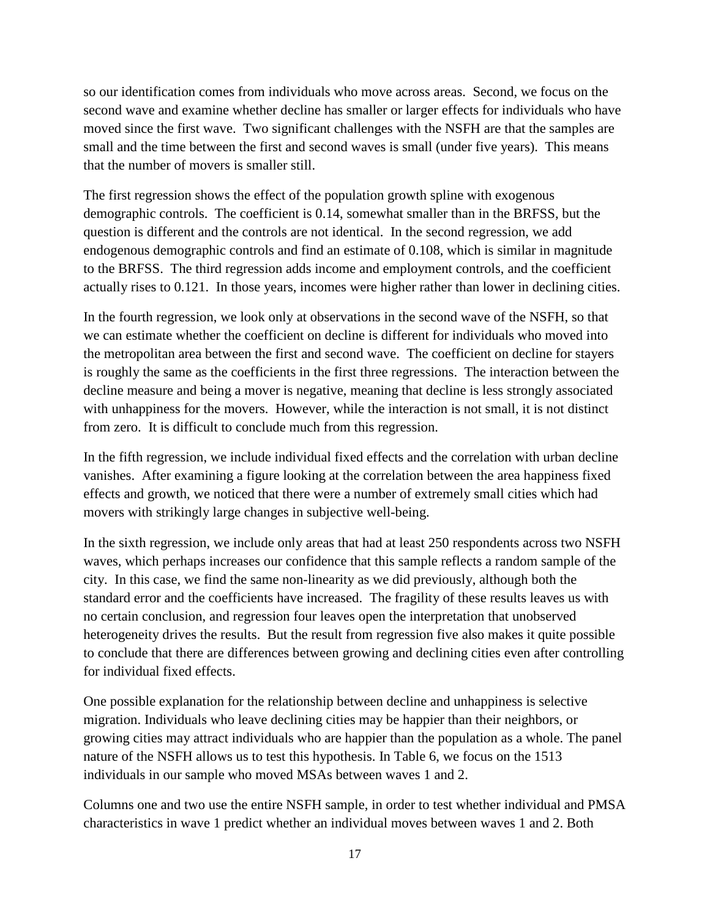so our identification comes from individuals who move across areas. Second, we focus on the second wave and examine whether decline has smaller or larger effects for individuals who have moved since the first wave. Two significant challenges with the NSFH are that the samples are small and the time between the first and second waves is small (under five years). This means that the number of movers is smaller still.

The first regression shows the effect of the population growth spline with exogenous demographic controls. The coefficient is 0.14, somewhat smaller than in the BRFSS, but the question is different and the controls are not identical. In the second regression, we add endogenous demographic controls and find an estimate of 0.108, which is similar in magnitude to the BRFSS. The third regression adds income and employment controls, and the coefficient actually rises to 0.121. In those years, incomes were higher rather than lower in declining cities.

In the fourth regression, we look only at observations in the second wave of the NSFH, so that we can estimate whether the coefficient on decline is different for individuals who moved into the metropolitan area between the first and second wave. The coefficient on decline for stayers is roughly the same as the coefficients in the first three regressions. The interaction between the decline measure and being a mover is negative, meaning that decline is less strongly associated with unhappiness for the movers. However, while the interaction is not small, it is not distinct from zero. It is difficult to conclude much from this regression.

In the fifth regression, we include individual fixed effects and the correlation with urban decline vanishes. After examining a figure looking at the correlation between the area happiness fixed effects and growth, we noticed that there were a number of extremely small cities which had movers with strikingly large changes in subjective well-being.

In the sixth regression, we include only areas that had at least 250 respondents across two NSFH waves, which perhaps increases our confidence that this sample reflects a random sample of the city. In this case, we find the same non-linearity as we did previously, although both the standard error and the coefficients have increased. The fragility of these results leaves us with no certain conclusion, and regression four leaves open the interpretation that unobserved heterogeneity drives the results. But the result from regression five also makes it quite possible to conclude that there are differences between growing and declining cities even after controlling for individual fixed effects.

One possible explanation for the relationship between decline and unhappiness is selective migration. Individuals who leave declining cities may be happier than their neighbors, or growing cities may attract individuals who are happier than the population as a whole. The panel nature of the NSFH allows us to test this hypothesis. In Table 6, we focus on the 1513 individuals in our sample who moved MSAs between waves 1 and 2.

Columns one and two use the entire NSFH sample, in order to test whether individual and PMSA characteristics in wave 1 predict whether an individual moves between waves 1 and 2. Both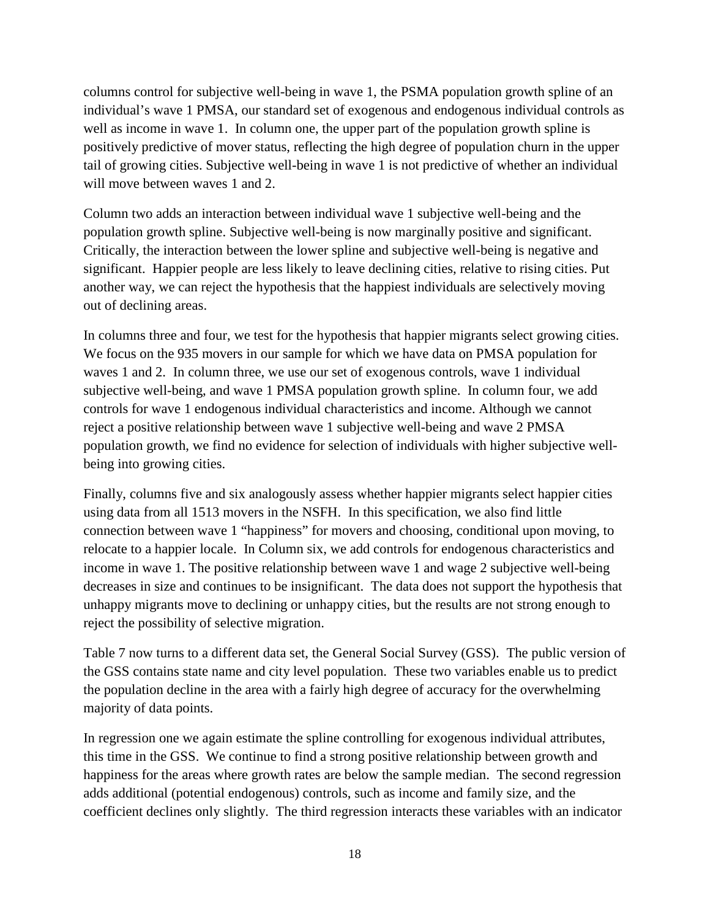columns control for subjective well-being in wave 1, the PSMA population growth spline of an individual's wave 1 PMSA, our standard set of exogenous and endogenous individual controls as well as income in wave 1. In column one, the upper part of the population growth spline is positively predictive of mover status, reflecting the high degree of population churn in the upper tail of growing cities. Subjective well-being in wave 1 is not predictive of whether an individual will move between waves 1 and 2.

Column two adds an interaction between individual wave 1 subjective well-being and the population growth spline. Subjective well-being is now marginally positive and significant. Critically, the interaction between the lower spline and subjective well-being is negative and significant. Happier people are less likely to leave declining cities, relative to rising cities. Put another way, we can reject the hypothesis that the happiest individuals are selectively moving out of declining areas.

In columns three and four, we test for the hypothesis that happier migrants select growing cities. We focus on the 935 movers in our sample for which we have data on PMSA population for waves 1 and 2. In column three, we use our set of exogenous controls, wave 1 individual subjective well-being, and wave 1 PMSA population growth spline. In column four, we add controls for wave 1 endogenous individual characteristics and income. Although we cannot reject a positive relationship between wave 1 subjective well-being and wave 2 PMSA population growth, we find no evidence for selection of individuals with higher subjective wellbeing into growing cities.

Finally, columns five and six analogously assess whether happier migrants select happier cities using data from all 1513 movers in the NSFH. In this specification, we also find little connection between wave 1 "happiness" for movers and choosing, conditional upon moving, to relocate to a happier locale. In Column six, we add controls for endogenous characteristics and income in wave 1. The positive relationship between wave 1 and wage 2 subjective well-being decreases in size and continues to be insignificant. The data does not support the hypothesis that unhappy migrants move to declining or unhappy cities, but the results are not strong enough to reject the possibility of selective migration.

Table 7 now turns to a different data set, the General Social Survey (GSS). The public version of the GSS contains state name and city level population. These two variables enable us to predict the population decline in the area with a fairly high degree of accuracy for the overwhelming majority of data points.

In regression one we again estimate the spline controlling for exogenous individual attributes, this time in the GSS. We continue to find a strong positive relationship between growth and happiness for the areas where growth rates are below the sample median. The second regression adds additional (potential endogenous) controls, such as income and family size, and the coefficient declines only slightly. The third regression interacts these variables with an indicator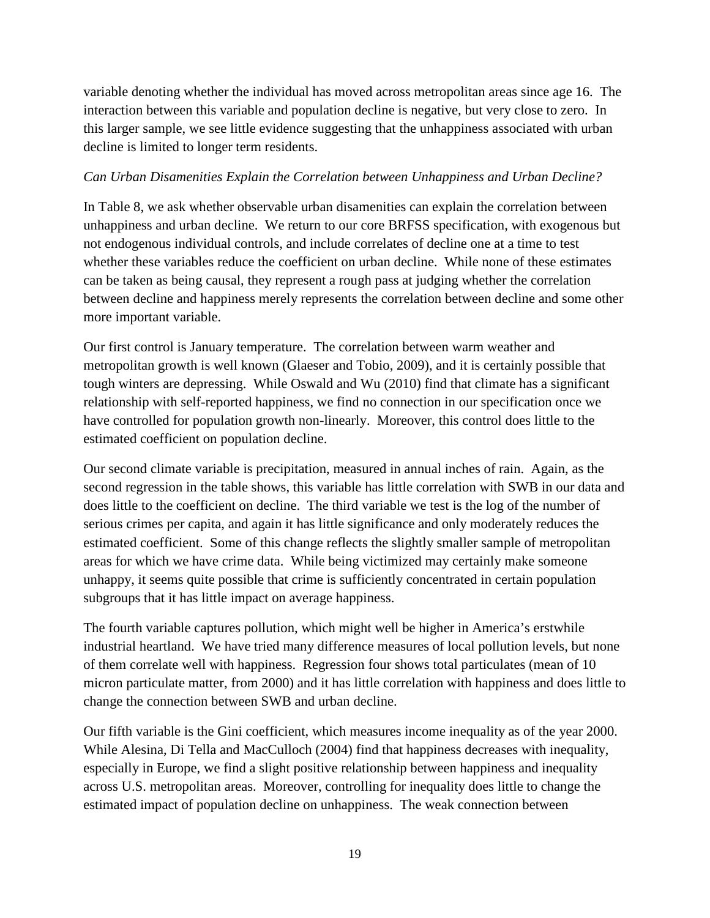variable denoting whether the individual has moved across metropolitan areas since age 16. The interaction between this variable and population decline is negative, but very close to zero. In this larger sample, we see little evidence suggesting that the unhappiness associated with urban decline is limited to longer term residents.

## *Can Urban Disamenities Explain the Correlation between Unhappiness and Urban Decline?*

In Table 8, we ask whether observable urban disamenities can explain the correlation between unhappiness and urban decline. We return to our core BRFSS specification, with exogenous but not endogenous individual controls, and include correlates of decline one at a time to test whether these variables reduce the coefficient on urban decline. While none of these estimates can be taken as being causal, they represent a rough pass at judging whether the correlation between decline and happiness merely represents the correlation between decline and some other more important variable.

Our first control is January temperature. The correlation between warm weather and metropolitan growth is well known (Glaeser and Tobio, 2009), and it is certainly possible that tough winters are depressing. While Oswald and Wu (2010) find that climate has a significant relationship with self-reported happiness, we find no connection in our specification once we have controlled for population growth non-linearly. Moreover, this control does little to the estimated coefficient on population decline.

Our second climate variable is precipitation, measured in annual inches of rain. Again, as the second regression in the table shows, this variable has little correlation with SWB in our data and does little to the coefficient on decline. The third variable we test is the log of the number of serious crimes per capita, and again it has little significance and only moderately reduces the estimated coefficient. Some of this change reflects the slightly smaller sample of metropolitan areas for which we have crime data. While being victimized may certainly make someone unhappy, it seems quite possible that crime is sufficiently concentrated in certain population subgroups that it has little impact on average happiness.

The fourth variable captures pollution, which might well be higher in America's erstwhile industrial heartland. We have tried many difference measures of local pollution levels, but none of them correlate well with happiness. Regression four shows total particulates (mean of 10 micron particulate matter, from 2000) and it has little correlation with happiness and does little to change the connection between SWB and urban decline.

Our fifth variable is the Gini coefficient, which measures income inequality as of the year 2000. While Alesina, Di Tella and MacCulloch (2004) find that happiness decreases with inequality, especially in Europe, we find a slight positive relationship between happiness and inequality across U.S. metropolitan areas. Moreover, controlling for inequality does little to change the estimated impact of population decline on unhappiness. The weak connection between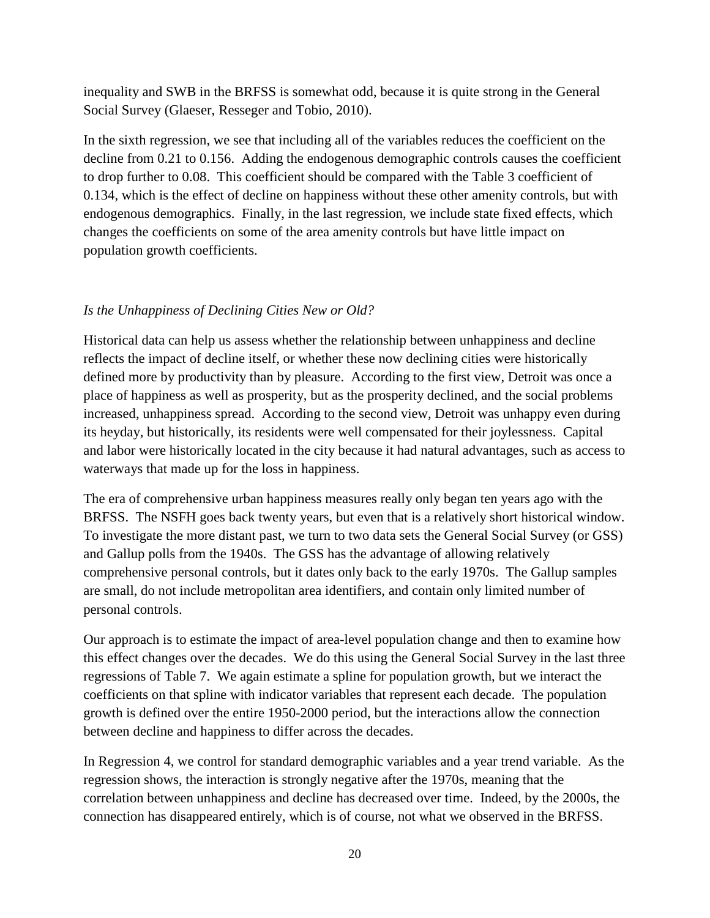inequality and SWB in the BRFSS is somewhat odd, because it is quite strong in the General Social Survey (Glaeser, Resseger and Tobio, 2010).

In the sixth regression, we see that including all of the variables reduces the coefficient on the decline from 0.21 to 0.156. Adding the endogenous demographic controls causes the coefficient to drop further to 0.08. This coefficient should be compared with the Table 3 coefficient of 0.134, which is the effect of decline on happiness without these other amenity controls, but with endogenous demographics. Finally, in the last regression, we include state fixed effects, which changes the coefficients on some of the area amenity controls but have little impact on population growth coefficients.

## *Is the Unhappiness of Declining Cities New or Old?*

Historical data can help us assess whether the relationship between unhappiness and decline reflects the impact of decline itself, or whether these now declining cities were historically defined more by productivity than by pleasure. According to the first view, Detroit was once a place of happiness as well as prosperity, but as the prosperity declined, and the social problems increased, unhappiness spread. According to the second view, Detroit was unhappy even during its heyday, but historically, its residents were well compensated for their joylessness. Capital and labor were historically located in the city because it had natural advantages, such as access to waterways that made up for the loss in happiness.

The era of comprehensive urban happiness measures really only began ten years ago with the BRFSS. The NSFH goes back twenty years, but even that is a relatively short historical window. To investigate the more distant past, we turn to two data sets the General Social Survey (or GSS) and Gallup polls from the 1940s. The GSS has the advantage of allowing relatively comprehensive personal controls, but it dates only back to the early 1970s. The Gallup samples are small, do not include metropolitan area identifiers, and contain only limited number of personal controls.

Our approach is to estimate the impact of area-level population change and then to examine how this effect changes over the decades. We do this using the General Social Survey in the last three regressions of Table 7. We again estimate a spline for population growth, but we interact the coefficients on that spline with indicator variables that represent each decade. The population growth is defined over the entire 1950-2000 period, but the interactions allow the connection between decline and happiness to differ across the decades.

In Regression 4, we control for standard demographic variables and a year trend variable. As the regression shows, the interaction is strongly negative after the 1970s, meaning that the correlation between unhappiness and decline has decreased over time. Indeed, by the 2000s, the connection has disappeared entirely, which is of course, not what we observed in the BRFSS.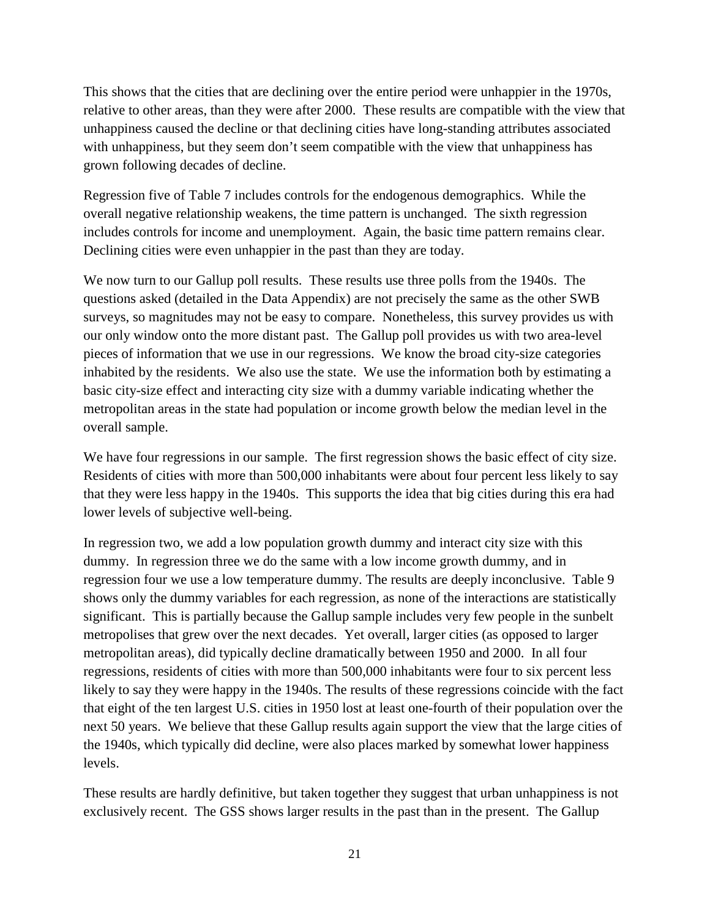This shows that the cities that are declining over the entire period were unhappier in the 1970s, relative to other areas, than they were after 2000. These results are compatible with the view that unhappiness caused the decline or that declining cities have long-standing attributes associated with unhappiness, but they seem don't seem compatible with the view that unhappiness has grown following decades of decline.

Regression five of Table 7 includes controls for the endogenous demographics. While the overall negative relationship weakens, the time pattern is unchanged. The sixth regression includes controls for income and unemployment. Again, the basic time pattern remains clear. Declining cities were even unhappier in the past than they are today.

We now turn to our Gallup poll results. These results use three polls from the 1940s. The questions asked (detailed in the Data Appendix) are not precisely the same as the other SWB surveys, so magnitudes may not be easy to compare. Nonetheless, this survey provides us with our only window onto the more distant past. The Gallup poll provides us with two area-level pieces of information that we use in our regressions. We know the broad city-size categories inhabited by the residents. We also use the state. We use the information both by estimating a basic city-size effect and interacting city size with a dummy variable indicating whether the metropolitan areas in the state had population or income growth below the median level in the overall sample.

We have four regressions in our sample. The first regression shows the basic effect of city size. Residents of cities with more than 500,000 inhabitants were about four percent less likely to say that they were less happy in the 1940s. This supports the idea that big cities during this era had lower levels of subjective well-being.

In regression two, we add a low population growth dummy and interact city size with this dummy. In regression three we do the same with a low income growth dummy, and in regression four we use a low temperature dummy. The results are deeply inconclusive. Table 9 shows only the dummy variables for each regression, as none of the interactions are statistically significant. This is partially because the Gallup sample includes very few people in the sunbelt metropolises that grew over the next decades. Yet overall, larger cities (as opposed to larger metropolitan areas), did typically decline dramatically between 1950 and 2000. In all four regressions, residents of cities with more than 500,000 inhabitants were four to six percent less likely to say they were happy in the 1940s. The results of these regressions coincide with the fact that eight of the ten largest U.S. cities in 1950 lost at least one-fourth of their population over the next 50 years. We believe that these Gallup results again support the view that the large cities of the 1940s, which typically did decline, were also places marked by somewhat lower happiness levels.

These results are hardly definitive, but taken together they suggest that urban unhappiness is not exclusively recent. The GSS shows larger results in the past than in the present. The Gallup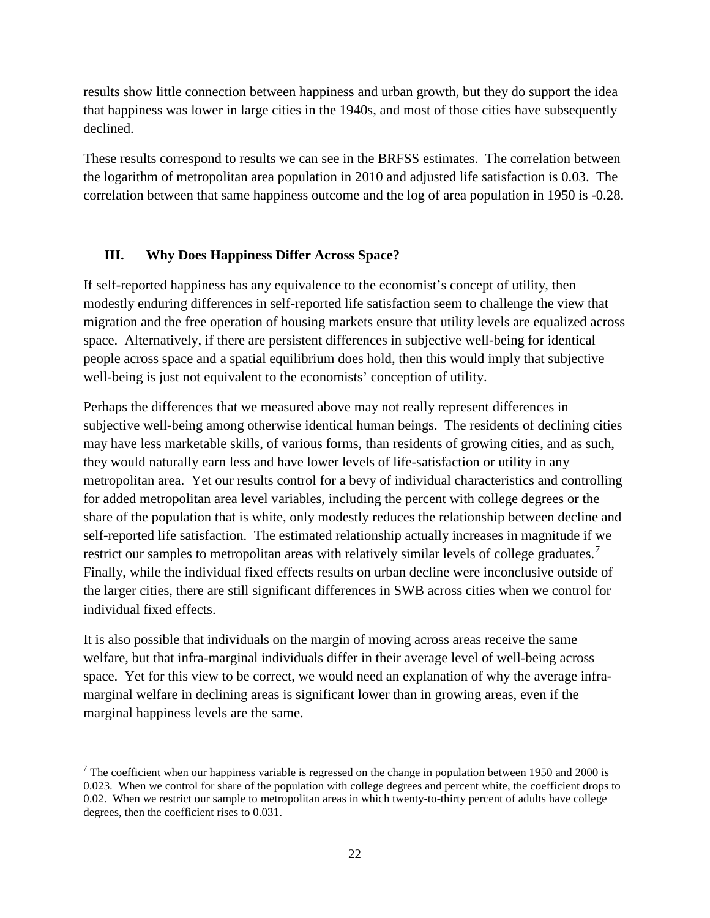results show little connection between happiness and urban growth, but they do support the idea that happiness was lower in large cities in the 1940s, and most of those cities have subsequently declined.

These results correspond to results we can see in the BRFSS estimates. The correlation between the logarithm of metropolitan area population in 2010 and adjusted life satisfaction is 0.03. The correlation between that same happiness outcome and the log of area population in 1950 is -0.28.

### **III. Why Does Happiness Differ Across Space?**

l

If self-reported happiness has any equivalence to the economist's concept of utility, then modestly enduring differences in self-reported life satisfaction seem to challenge the view that migration and the free operation of housing markets ensure that utility levels are equalized across space. Alternatively, if there are persistent differences in subjective well-being for identical people across space and a spatial equilibrium does hold, then this would imply that subjective well-being is just not equivalent to the economists' conception of utility.

Perhaps the differences that we measured above may not really represent differences in subjective well-being among otherwise identical human beings. The residents of declining cities may have less marketable skills, of various forms, than residents of growing cities, and as such, they would naturally earn less and have lower levels of life-satisfaction or utility in any metropolitan area. Yet our results control for a bevy of individual characteristics and controlling for added metropolitan area level variables, including the percent with college degrees or the share of the population that is white, only modestly reduces the relationship between decline and self-reported life satisfaction. The estimated relationship actually increases in magnitude if we restrict our samples to metropolitan areas with relatively similar levels of college graduates.<sup>[7](#page-22-0)</sup> Finally, while the individual fixed effects results on urban decline were inconclusive outside of the larger cities, there are still significant differences in SWB across cities when we control for individual fixed effects.

It is also possible that individuals on the margin of moving across areas receive the same welfare, but that infra-marginal individuals differ in their average level of well-being across space. Yet for this view to be correct, we would need an explanation of why the average inframarginal welfare in declining areas is significant lower than in growing areas, even if the marginal happiness levels are the same.

<span id="page-22-0"></span><sup>&</sup>lt;sup>7</sup> The coefficient when our happiness variable is regressed on the change in population between 1950 and 2000 is 0.023. When we control for share of the population with college degrees and percent white, the coefficient drops to 0.02. When we restrict our sample to metropolitan areas in which twenty-to-thirty percent of adults have college degrees, then the coefficient rises to 0.031.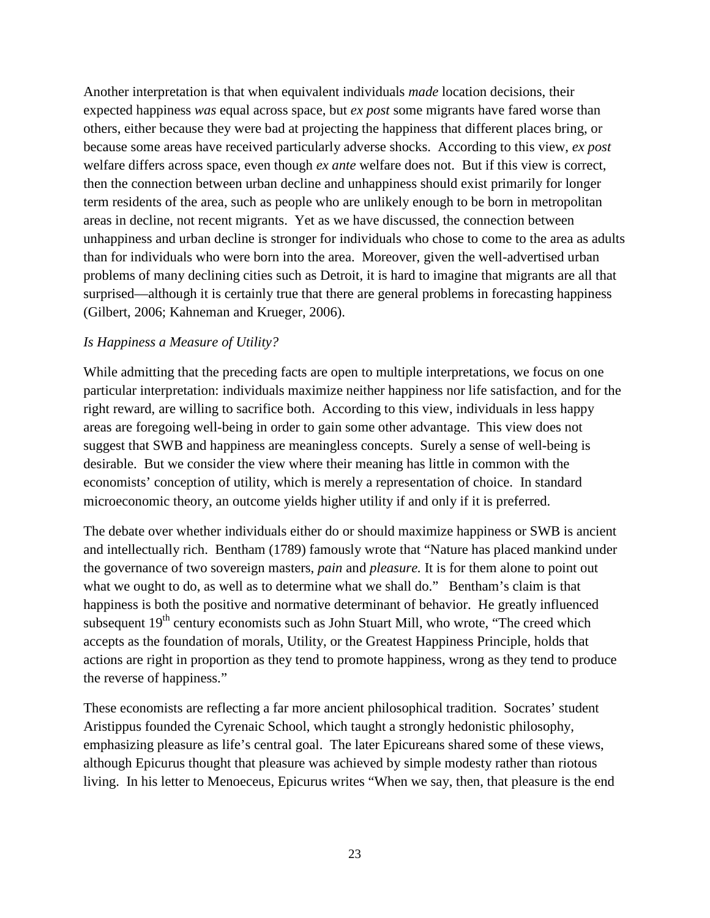Another interpretation is that when equivalent individuals *made* location decisions, their expected happiness *was* equal across space, but *ex post* some migrants have fared worse than others, either because they were bad at projecting the happiness that different places bring, or because some areas have received particularly adverse shocks. According to this view, *ex post* welfare differs across space, even though *ex ante* welfare does not. But if this view is correct, then the connection between urban decline and unhappiness should exist primarily for longer term residents of the area, such as people who are unlikely enough to be born in metropolitan areas in decline, not recent migrants. Yet as we have discussed, the connection between unhappiness and urban decline is stronger for individuals who chose to come to the area as adults than for individuals who were born into the area. Moreover, given the well-advertised urban problems of many declining cities such as Detroit, it is hard to imagine that migrants are all that surprised—although it is certainly true that there are general problems in forecasting happiness (Gilbert, 2006; Kahneman and Krueger, 2006).

### *Is Happiness a Measure of Utility?*

While admitting that the preceding facts are open to multiple interpretations, we focus on one particular interpretation: individuals maximize neither happiness nor life satisfaction, and for the right reward, are willing to sacrifice both. According to this view, individuals in less happy areas are foregoing well-being in order to gain some other advantage. This view does not suggest that SWB and happiness are meaningless concepts. Surely a sense of well-being is desirable. But we consider the view where their meaning has little in common with the economists' conception of utility, which is merely a representation of choice. In standard microeconomic theory, an outcome yields higher utility if and only if it is preferred.

The debate over whether individuals either do or should maximize happiness or SWB is ancient and intellectually rich. Bentham (1789) famously wrote that "Nature has placed mankind under the governance of two sovereign masters, *pain* and *pleasure.* It is for them alone to point out what we ought to do, as well as to determine what we shall do." Bentham's claim is that happiness is both the positive and normative determinant of behavior. He greatly influenced subsequent  $19<sup>th</sup>$  century economists such as John Stuart Mill, who wrote, "The creed which accepts as the foundation of morals, Utility, or the Greatest Happiness Principle, holds that actions are right in proportion as they tend to promote happiness, wrong as they tend to produce the reverse of happiness."

These economists are reflecting a far more ancient philosophical tradition. Socrates' student Aristippus founded the Cyrenaic School, which taught a strongly hedonistic philosophy, emphasizing pleasure as life's central goal. The later Epicureans shared some of these views, although Epicurus thought that pleasure was achieved by simple modesty rather than riotous living. In his letter to Menoeceus, Epicurus writes "When we say, then, that pleasure is the end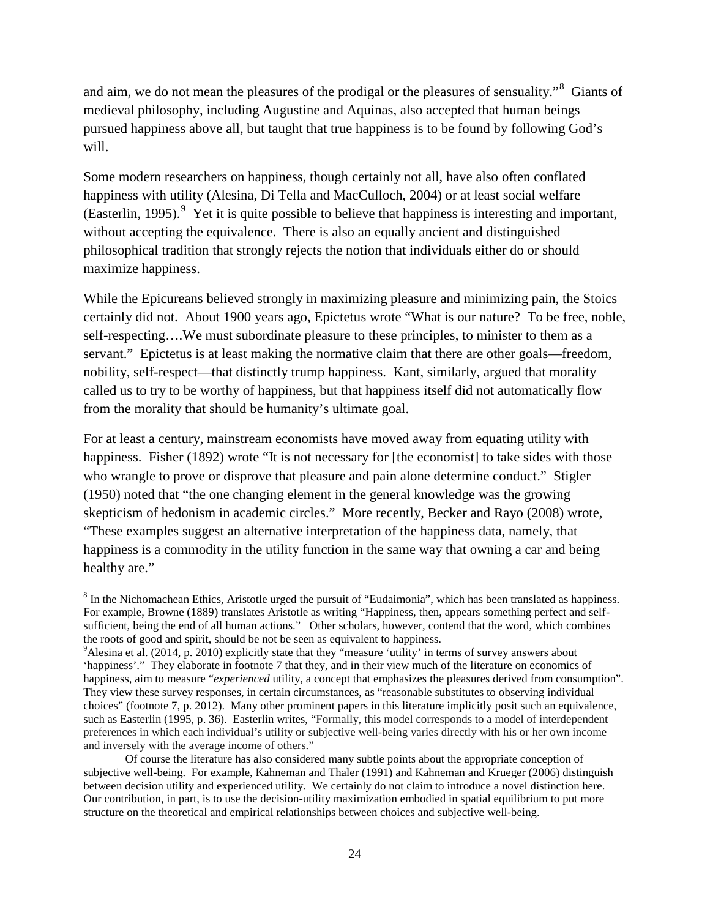and aim, we do not mean the pleasures of the prodigal or the pleasures of sensuality."<sup>[8](#page-24-0)</sup> Giants of medieval philosophy, including Augustine and Aquinas, also accepted that human beings pursued happiness above all, but taught that true happiness is to be found by following God's will.

Some modern researchers on happiness, though certainly not all, have also often conflated happiness with utility (Alesina, Di Tella and MacCulloch, 2004) or at least social welfare (Easterlin, 1[9](#page-24-1)95).<sup>9</sup> Yet it is quite possible to believe that happiness is interesting and important, without accepting the equivalence. There is also an equally ancient and distinguished philosophical tradition that strongly rejects the notion that individuals either do or should maximize happiness.

While the Epicureans believed strongly in maximizing pleasure and minimizing pain, the Stoics certainly did not. About 1900 years ago, Epictetus wrote "What is our nature? To be free, noble, self-respecting….We must subordinate pleasure to these principles, to minister to them as a servant." Epictetus is at least making the normative claim that there are other goals—freedom, nobility, self-respect—that distinctly trump happiness. Kant, similarly, argued that morality called us to try to be worthy of happiness, but that happiness itself did not automatically flow from the morality that should be humanity's ultimate goal.

For at least a century, mainstream economists have moved away from equating utility with happiness. Fisher (1892) wrote "It is not necessary for [the economist] to take sides with those who wrangle to prove or disprove that pleasure and pain alone determine conduct." Stigler (1950) noted that "the one changing element in the general knowledge was the growing skepticism of hedonism in academic circles." More recently, Becker and Rayo (2008) wrote, "These examples suggest an alternative interpretation of the happiness data, namely, that happiness is a commodity in the utility function in the same way that owning a car and being healthy are."

 $\overline{\phantom{a}}$ 

<span id="page-24-0"></span><sup>8</sup> In the Nichomachean Ethics, Aristotle urged the pursuit of "Eudaimonia", which has been translated as happiness. For example, Browne (1889) translates Aristotle as writing "Happiness, then, appears something perfect and selfsufficient, being the end of all human actions." Other scholars, however, contend that the word, which combines the roots of good and spirit, should be not be seen as equivalent to happiness. 9

<span id="page-24-1"></span><sup>&</sup>lt;sup>9</sup>Alesina et al. (2014, p. 2010) explicitly state that they "measure 'utility' in terms of survey answers about 'happiness'." They elaborate in footnote 7 that they, and in their view much of the literature on economics of happiness, aim to measure "*experienced* utility, a concept that emphasizes the pleasures derived from consumption". They view these survey responses, in certain circumstances, as "reasonable substitutes to observing individual choices" (footnote 7, p. 2012). Many other prominent papers in this literature implicitly posit such an equivalence, such as Easterlin (1995, p. 36). Easterlin writes, "Formally, this model corresponds to a model of interdependent preferences in which each individual's utility or subjective well-being varies directly with his or her own income and inversely with the average income of others."

Of course the literature has also considered many subtle points about the appropriate conception of subjective well-being. For example, Kahneman and Thaler (1991) and Kahneman and Krueger (2006) distinguish between decision utility and experienced utility. We certainly do not claim to introduce a novel distinction here. Our contribution, in part, is to use the decision-utility maximization embodied in spatial equilibrium to put more structure on the theoretical and empirical relationships between choices and subjective well-being.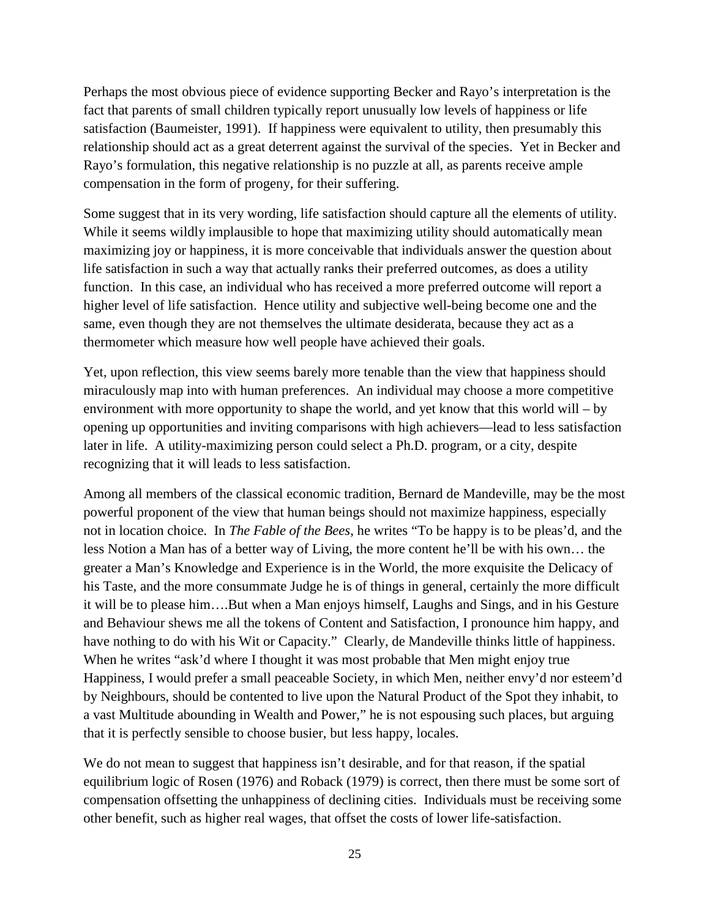Perhaps the most obvious piece of evidence supporting Becker and Rayo's interpretation is the fact that parents of small children typically report unusually low levels of happiness or life satisfaction (Baumeister, 1991). If happiness were equivalent to utility, then presumably this relationship should act as a great deterrent against the survival of the species. Yet in Becker and Rayo's formulation, this negative relationship is no puzzle at all, as parents receive ample compensation in the form of progeny, for their suffering.

Some suggest that in its very wording, life satisfaction should capture all the elements of utility. While it seems wildly implausible to hope that maximizing utility should automatically mean maximizing joy or happiness, it is more conceivable that individuals answer the question about life satisfaction in such a way that actually ranks their preferred outcomes, as does a utility function. In this case, an individual who has received a more preferred outcome will report a higher level of life satisfaction. Hence utility and subjective well-being become one and the same, even though they are not themselves the ultimate desiderata, because they act as a thermometer which measure how well people have achieved their goals.

Yet, upon reflection, this view seems barely more tenable than the view that happiness should miraculously map into with human preferences. An individual may choose a more competitive environment with more opportunity to shape the world, and yet know that this world will – by opening up opportunities and inviting comparisons with high achievers—lead to less satisfaction later in life. A utility-maximizing person could select a Ph.D. program, or a city, despite recognizing that it will leads to less satisfaction.

Among all members of the classical economic tradition, Bernard de Mandeville, may be the most powerful proponent of the view that human beings should not maximize happiness, especially not in location choice. In *The Fable of the Bees*, he writes "To be happy is to be pleas'd, and the less Notion a Man has of a better way of Living, the more content he'll be with his own… the greater a Man's Knowledge and Experience is in the World, the more exquisite the Delicacy of his Taste, and the more consummate Judge he is of things in general, certainly the more difficult it will be to please him….But when a Man enjoys himself, Laughs and Sings, and in his Gesture and Behaviour shews me all the tokens of Content and Satisfaction, I pronounce him happy, and have nothing to do with his Wit or Capacity." Clearly, de Mandeville thinks little of happiness. When he writes "ask'd where I thought it was most probable that Men might enjoy true Happiness, I would prefer a small peaceable Society, in which Men, neither envy'd nor esteem'd by Neighbours, should be contented to live upon the Natural Product of the Spot they inhabit, to a vast Multitude abounding in Wealth and Power," he is not espousing such places, but arguing that it is perfectly sensible to choose busier, but less happy, locales.

We do not mean to suggest that happiness isn't desirable, and for that reason, if the spatial equilibrium logic of Rosen (1976) and Roback (1979) is correct, then there must be some sort of compensation offsetting the unhappiness of declining cities. Individuals must be receiving some other benefit, such as higher real wages, that offset the costs of lower life-satisfaction.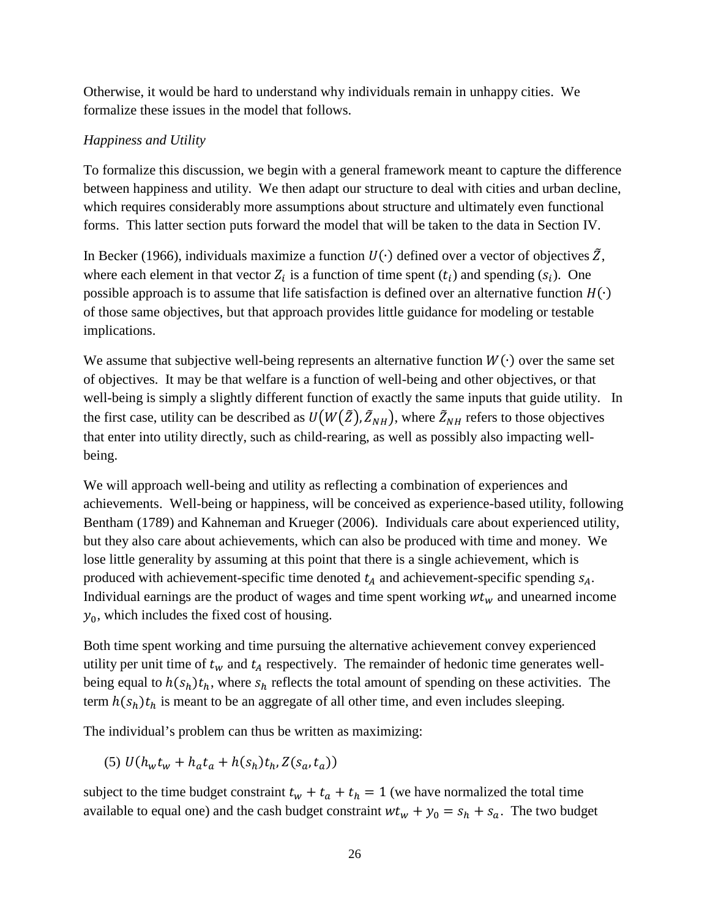Otherwise, it would be hard to understand why individuals remain in unhappy cities. We formalize these issues in the model that follows.

### *Happiness and Utility*

To formalize this discussion, we begin with a general framework meant to capture the difference between happiness and utility. We then adapt our structure to deal with cities and urban decline, which requires considerably more assumptions about structure and ultimately even functional forms. This latter section puts forward the model that will be taken to the data in Section IV.

In Becker (1966), individuals maximize a function  $U(\cdot)$  defined over a vector of objectives  $\tilde{Z}$ , where each element in that vector  $Z_i$  is a function of time spent  $(t_i)$  and spending  $(s_i)$ . One possible approach is to assume that life satisfaction is defined over an alternative function  $H(\cdot)$ of those same objectives, but that approach provides little guidance for modeling or testable implications.

We assume that subjective well-being represents an alternative function  $W(\cdot)$  over the same set of objectives. It may be that welfare is a function of well-being and other objectives, or that well-being is simply a slightly different function of exactly the same inputs that guide utility. In the first case, utility can be described as  $U(W(\bar{Z}), \bar{Z}_{NH})$ , where  $\bar{Z}_{NH}$  refers to those objectives that enter into utility directly, such as child-rearing, as well as possibly also impacting wellbeing.

We will approach well-being and utility as reflecting a combination of experiences and achievements. Well-being or happiness, will be conceived as experience-based utility, following Bentham (1789) and Kahneman and Krueger (2006). Individuals care about experienced utility, but they also care about achievements, which can also be produced with time and money. We lose little generality by assuming at this point that there is a single achievement, which is produced with achievement-specific time denoted  $t_A$  and achievement-specific spending  $s_A$ . Individual earnings are the product of wages and time spent working  $wt_w$  and unearned income  $y_0$ , which includes the fixed cost of housing.

Both time spent working and time pursuing the alternative achievement convey experienced utility per unit time of  $t_w$  and  $t_A$  respectively. The remainder of hedonic time generates wellbeing equal to  $h(s_h)t_h$ , where  $s_h$  reflects the total amount of spending on these activities. The term  $h(s_h)t_h$  is meant to be an aggregate of all other time, and even includes sleeping.

The individual's problem can thus be written as maximizing:

(5)  $U(h_w t_w + h_a t_a + h(s_h)t_h, Z(s_a, t_a))$ 

subject to the time budget constraint  $t_w + t_a + t_h = 1$  (we have normalized the total time available to equal one) and the cash budget constraint  $wt_w + y_0 = s_h + s_a$ . The two budget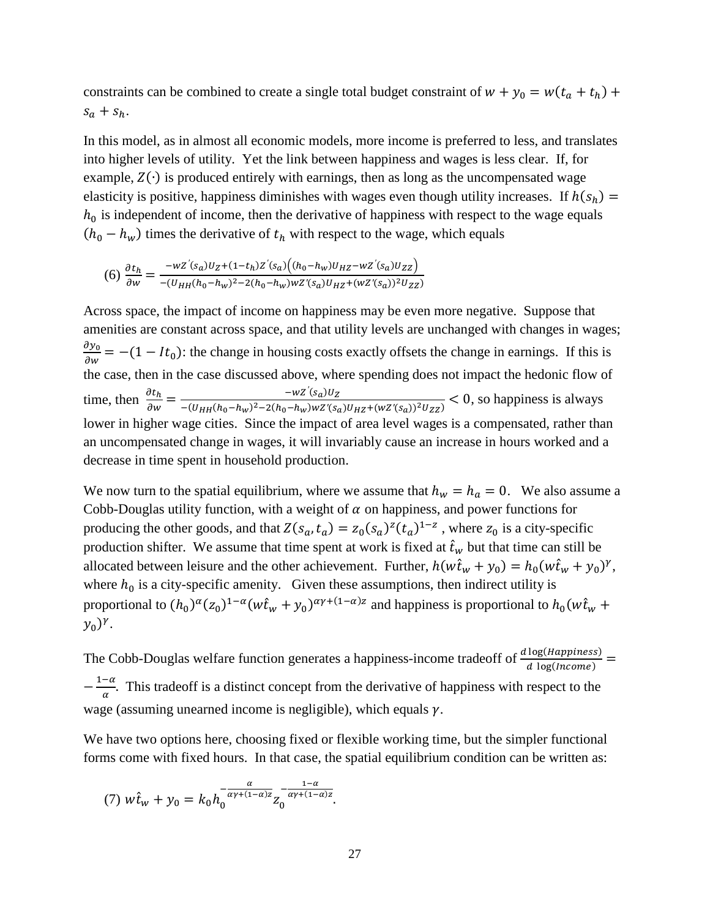constraints can be combined to create a single total budget constraint of  $w + y_0 = w(t_a + t_h) +$  $s_a + s_h$ .

In this model, as in almost all economic models, more income is preferred to less, and translates into higher levels of utility. Yet the link between happiness and wages is less clear. If, for example,  $Z(\cdot)$  is produced entirely with earnings, then as long as the uncompensated wage elasticity is positive, happiness diminishes with wages even though utility increases. If  $h(s_h)$  =  $h_0$  is independent of income, then the derivative of happiness with respect to the wage equals  $(h_0 - h_w)$  times the derivative of  $t_h$  with respect to the wage, which equals

$$
(6) \frac{\partial t_h}{\partial w} = \frac{-wZ'(s_a)U_Z + (1 - t_h)Z'(s_a)\left((h_0 - h_w)U_{HZ} - wZ'(s_a)U_{ZZ}\right)}{-(U_{HH}(h_0 - h_w)^2 - 2(h_0 - h_w)wZ'(s_a)U_{HZ} + (wZ'(s_a))^2U_{ZZ})}
$$

Across space, the impact of income on happiness may be even more negative. Suppose that amenities are constant across space, and that utility levels are unchanged with changes in wages;  $\frac{\partial y_0}{\partial w}$  = -(1 - It<sub>0</sub>): the change in housing costs exactly offsets the change in earnings. If this is the case, then in the case discussed above, where spending does not impact the hedonic flow of time, then  $\frac{\partial t_h}{\partial w} = \frac{-wZ'(s_a)U_Z}{-(U_{HH}(h_0-h_w)^2 - 2(h_0-h_w)wZ'(s_a)U_{HZ} + (wZ'(s_a))^2U_{ZZ})} < 0$ , so happiness is always lower in higher wage cities. Since the impact of area level wages is a compensated, rather than an uncompensated change in wages, it will invariably cause an increase in hours worked and a decrease in time spent in household production.

We now turn to the spatial equilibrium, where we assume that  $h_w = h_a = 0$ . We also assume a Cobb-Douglas utility function, with a weight of  $\alpha$  on happiness, and power functions for producing the other goods, and that  $Z(s_a, t_a) = z_0(s_a)^2(t_a)^{1-z}$ , where  $z_0$  is a city-specific production shifter. We assume that time spent at work is fixed at  $\hat{t}_w$  but that time can still be allocated between leisure and the other achievement. Further,  $h(w\hat{t}_w + y_0) = h_0(w\hat{t}_w + y_0)^{\gamma}$ , where  $h_0$  is a city-specific amenity. Given these assumptions, then indirect utility is proportional to  $(h_0)^{\alpha}(z_0)^{1-\alpha}(w\hat{t}_w+y_0)^{\alpha\gamma+(1-\alpha)z}$  and happiness is proportional to  $h_0(w\hat{t}_w+y_0)^{\alpha}$  $(y_0)^{\gamma}$ .

The Cobb-Douglas welfare function generates a happiness-income tradeoff of  $\frac{d \log (Happiness)}{d \log (Income)}$  $-\frac{1-\alpha}{\alpha}$ . This tradeoff is a distinct concept from the derivative of happiness with respect to the wage (assuming unearned income is negligible), which equals  $\gamma$ .

We have two options here, choosing fixed or flexible working time, but the simpler functional forms come with fixed hours. In that case, the spatial equilibrium condition can be written as:

(7) 
$$
w\hat{t}_w + y_0 = k_0 h_0^{\frac{\alpha}{\alpha \gamma + (1-\alpha)z}} z_0^{-\frac{1-\alpha}{\alpha \gamma + (1-\alpha)z}}.
$$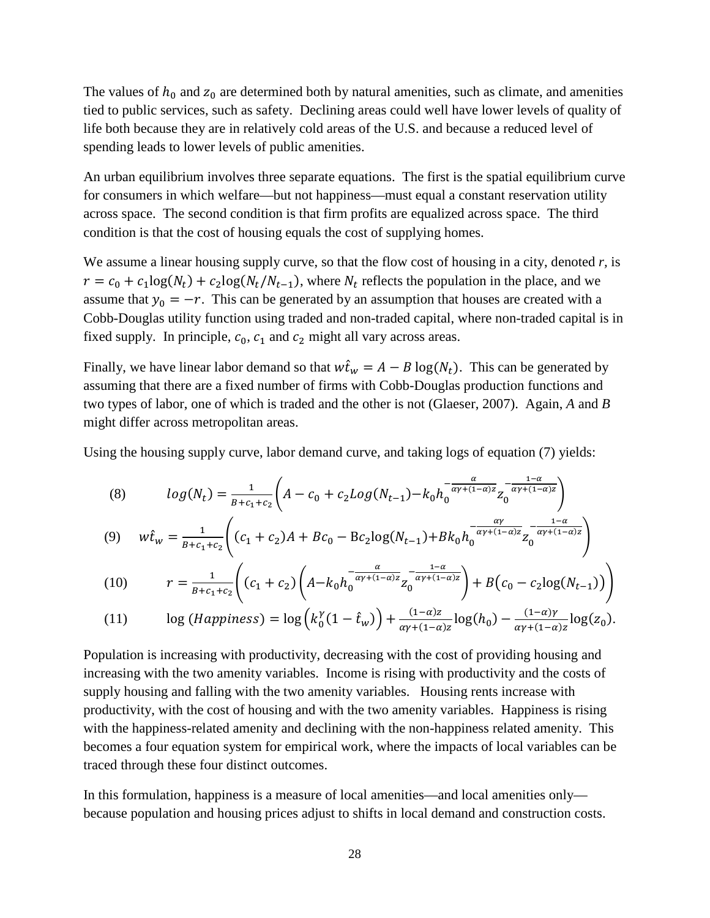The values of  $h_0$  and  $z_0$  are determined both by natural amenities, such as climate, and amenities tied to public services, such as safety. Declining areas could well have lower levels of quality of life both because they are in relatively cold areas of the U.S. and because a reduced level of spending leads to lower levels of public amenities.

An urban equilibrium involves three separate equations. The first is the spatial equilibrium curve for consumers in which welfare—but not happiness—must equal a constant reservation utility across space. The second condition is that firm profits are equalized across space. The third condition is that the cost of housing equals the cost of supplying homes.

We assume a linear housing supply curve, so that the flow cost of housing in a city, denoted *r,* is  $r = c_0 + c_1 \log(N_t) + c_2 \log(N_t/N_{t-1})$ , where  $N_t$  reflects the population in the place, and we assume that  $y_0 = -r$ . This can be generated by an assumption that houses are created with a Cobb-Douglas utility function using traded and non-traded capital, where non-traded capital is in fixed supply. In principle,  $c_0$ ,  $c_1$  and  $c_2$  might all vary across areas.

Finally, we have linear labor demand so that  $w\hat{t}_w = A - B \log(N_t)$ . This can be generated by assuming that there are a fixed number of firms with Cobb-Douglas production functions and two types of labor, one of which is traded and the other is not (Glaeser, 2007). Again, *A* and *B* might differ across metropolitan areas.

Using the housing supply curve, labor demand curve, and taking logs of equation (7) yields:

(8) 
$$
log(N_t) = \frac{1}{B + c_1 + c_2} \left( A - c_0 + c_2 Log(N_{t-1}) - k_0 h_0^{-\frac{\alpha}{\alpha \gamma + (1 - \alpha)z}} z_0^{-\frac{1 - \alpha}{\alpha \gamma + (1 - \alpha)z}} \right)
$$

(9) 
$$
w\hat{t}_w = \frac{1}{B + c_1 + c_2} \left( (c_1 + c_2)A + Bc_0 - Bc_2 \log(N_{t-1}) + Bk_0 h_0^{-\frac{\alpha \gamma}{\alpha \gamma + (1 - \alpha)z}} z_0^{-\frac{1 - \alpha}{\alpha \gamma + (1 - \alpha)z}} \right)
$$

(10) 
$$
r = \frac{1}{B + c_1 + c_2} \left( (c_1 + c_2) \left( A - k_0 h_0^{-\frac{\alpha}{\alpha \gamma + (1 - \alpha)z}} z_0^{-\frac{1 - \alpha}{\alpha \gamma + (1 - \alpha)z}} \right) + B(c_0 - c_2 \log(N_{t-1})) \right)
$$

(11) 
$$
\log (Happiness) = \log \left(k_0^{\gamma} (1-\hat{t}_w)\right) + \frac{(1-\alpha)z}{\alpha \gamma + (1-\alpha)z} \log(h_0) - \frac{(1-\alpha)\gamma}{\alpha \gamma + (1-\alpha)z} \log(z_0).
$$

Population is increasing with productivity, decreasing with the cost of providing housing and increasing with the two amenity variables. Income is rising with productivity and the costs of supply housing and falling with the two amenity variables. Housing rents increase with productivity, with the cost of housing and with the two amenity variables. Happiness is rising with the happiness-related amenity and declining with the non-happiness related amenity. This becomes a four equation system for empirical work, where the impacts of local variables can be traced through these four distinct outcomes.

In this formulation, happiness is a measure of local amenities—and local amenities only because population and housing prices adjust to shifts in local demand and construction costs.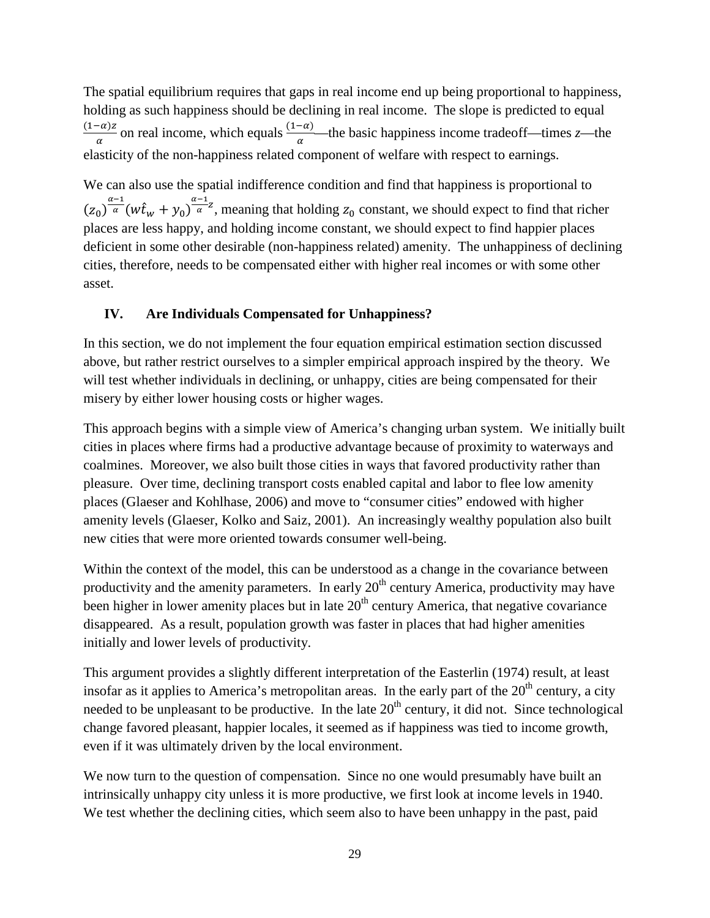The spatial equilibrium requires that gaps in real income end up being proportional to happiness, holding as such happiness should be declining in real income. The slope is predicted to equal  $\frac{(1-\alpha)z}{\alpha}$  on real income, which equals  $\frac{(1-\alpha)}{\alpha}$ —the basic happiness income tradeoff—times *z*—the elasticity of the non-happiness related component of welfare with respect to earnings.

We can also use the spatial indifference condition and find that happiness is proportional to  $(z_0)^{\frac{\alpha-1}{\alpha}}(w\hat{t}_w+y_0)^{\frac{\alpha-1}{\alpha}}$ , meaning that holding  $z_0$  constant, we should expect to find that richer places are less happy, and holding income constant, we should expect to find happier places deficient in some other desirable (non-happiness related) amenity. The unhappiness of declining cities, therefore, needs to be compensated either with higher real incomes or with some other asset.

#### **IV. Are Individuals Compensated for Unhappiness?**

In this section, we do not implement the four equation empirical estimation section discussed above, but rather restrict ourselves to a simpler empirical approach inspired by the theory. We will test whether individuals in declining, or unhappy, cities are being compensated for their misery by either lower housing costs or higher wages.

This approach begins with a simple view of America's changing urban system. We initially built cities in places where firms had a productive advantage because of proximity to waterways and coalmines. Moreover, we also built those cities in ways that favored productivity rather than pleasure. Over time, declining transport costs enabled capital and labor to flee low amenity places (Glaeser and Kohlhase, 2006) and move to "consumer cities" endowed with higher amenity levels (Glaeser, Kolko and Saiz, 2001). An increasingly wealthy population also built new cities that were more oriented towards consumer well-being.

Within the context of the model, this can be understood as a change in the covariance between productivity and the amenity parameters. In early  $20<sup>th</sup>$  century America, productivity may have been higher in lower amenity places but in late  $20<sup>th</sup>$  century America, that negative covariance disappeared. As a result, population growth was faster in places that had higher amenities initially and lower levels of productivity.

This argument provides a slightly different interpretation of the Easterlin (1974) result, at least insofar as it applies to America's metropolitan areas. In the early part of the  $20<sup>th</sup>$  century, a city needed to be unpleasant to be productive. In the late  $20<sup>th</sup>$  century, it did not. Since technological change favored pleasant, happier locales, it seemed as if happiness was tied to income growth, even if it was ultimately driven by the local environment.

We now turn to the question of compensation. Since no one would presumably have built an intrinsically unhappy city unless it is more productive, we first look at income levels in 1940. We test whether the declining cities, which seem also to have been unhappy in the past, paid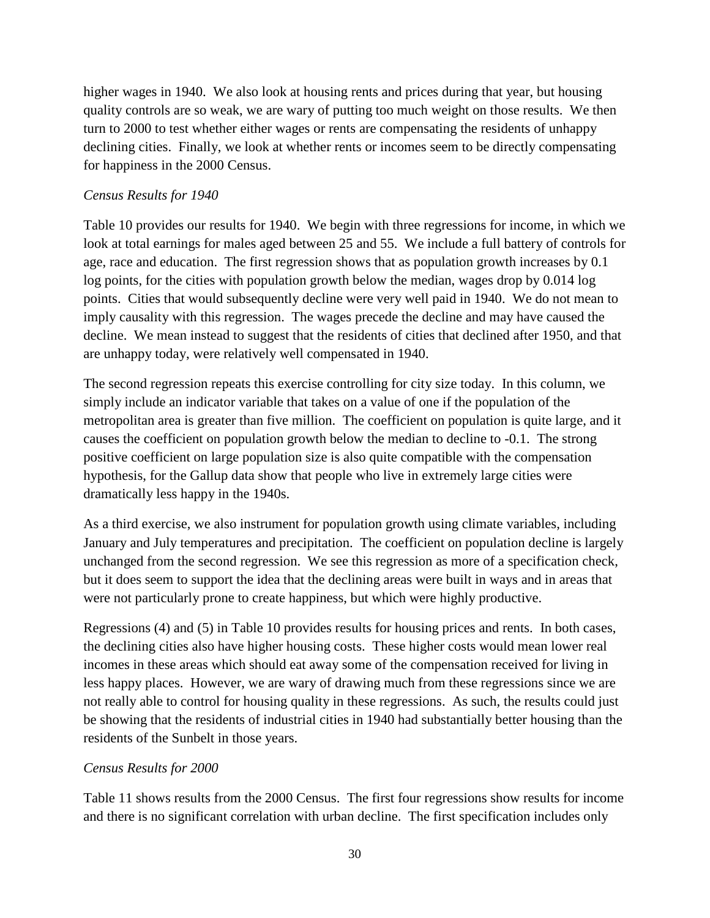higher wages in 1940. We also look at housing rents and prices during that year, but housing quality controls are so weak, we are wary of putting too much weight on those results. We then turn to 2000 to test whether either wages or rents are compensating the residents of unhappy declining cities. Finally, we look at whether rents or incomes seem to be directly compensating for happiness in the 2000 Census.

### *Census Results for 1940*

Table 10 provides our results for 1940. We begin with three regressions for income, in which we look at total earnings for males aged between 25 and 55. We include a full battery of controls for age, race and education. The first regression shows that as population growth increases by 0.1 log points, for the cities with population growth below the median, wages drop by 0.014 log points. Cities that would subsequently decline were very well paid in 1940. We do not mean to imply causality with this regression. The wages precede the decline and may have caused the decline. We mean instead to suggest that the residents of cities that declined after 1950, and that are unhappy today, were relatively well compensated in 1940.

The second regression repeats this exercise controlling for city size today. In this column, we simply include an indicator variable that takes on a value of one if the population of the metropolitan area is greater than five million. The coefficient on population is quite large, and it causes the coefficient on population growth below the median to decline to -0.1. The strong positive coefficient on large population size is also quite compatible with the compensation hypothesis, for the Gallup data show that people who live in extremely large cities were dramatically less happy in the 1940s.

As a third exercise, we also instrument for population growth using climate variables, including January and July temperatures and precipitation. The coefficient on population decline is largely unchanged from the second regression. We see this regression as more of a specification check, but it does seem to support the idea that the declining areas were built in ways and in areas that were not particularly prone to create happiness, but which were highly productive.

Regressions (4) and (5) in Table 10 provides results for housing prices and rents. In both cases, the declining cities also have higher housing costs. These higher costs would mean lower real incomes in these areas which should eat away some of the compensation received for living in less happy places. However, we are wary of drawing much from these regressions since we are not really able to control for housing quality in these regressions. As such, the results could just be showing that the residents of industrial cities in 1940 had substantially better housing than the residents of the Sunbelt in those years.

## *Census Results for 2000*

Table 11 shows results from the 2000 Census. The first four regressions show results for income and there is no significant correlation with urban decline. The first specification includes only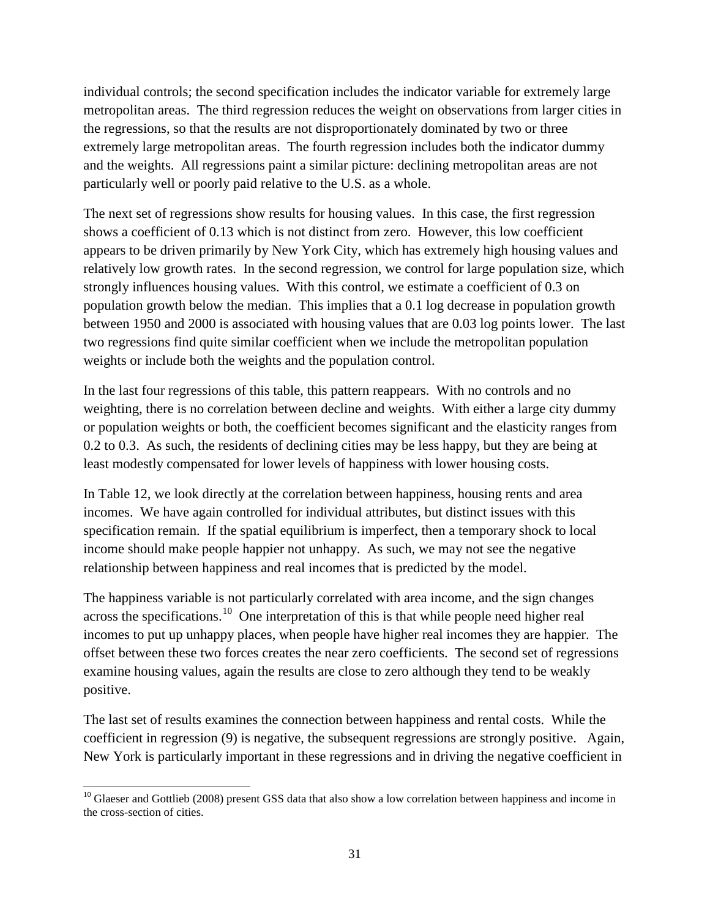individual controls; the second specification includes the indicator variable for extremely large metropolitan areas. The third regression reduces the weight on observations from larger cities in the regressions, so that the results are not disproportionately dominated by two or three extremely large metropolitan areas. The fourth regression includes both the indicator dummy and the weights. All regressions paint a similar picture: declining metropolitan areas are not particularly well or poorly paid relative to the U.S. as a whole.

The next set of regressions show results for housing values. In this case, the first regression shows a coefficient of 0.13 which is not distinct from zero. However, this low coefficient appears to be driven primarily by New York City, which has extremely high housing values and relatively low growth rates. In the second regression, we control for large population size, which strongly influences housing values. With this control, we estimate a coefficient of 0.3 on population growth below the median. This implies that a 0.1 log decrease in population growth between 1950 and 2000 is associated with housing values that are 0.03 log points lower. The last two regressions find quite similar coefficient when we include the metropolitan population weights or include both the weights and the population control.

In the last four regressions of this table, this pattern reappears. With no controls and no weighting, there is no correlation between decline and weights. With either a large city dummy or population weights or both, the coefficient becomes significant and the elasticity ranges from 0.2 to 0.3. As such, the residents of declining cities may be less happy, but they are being at least modestly compensated for lower levels of happiness with lower housing costs.

In Table 12, we look directly at the correlation between happiness, housing rents and area incomes. We have again controlled for individual attributes, but distinct issues with this specification remain. If the spatial equilibrium is imperfect, then a temporary shock to local income should make people happier not unhappy. As such, we may not see the negative relationship between happiness and real incomes that is predicted by the model.

The happiness variable is not particularly correlated with area income, and the sign changes across the specifications.<sup>[10](#page-31-0)</sup> One interpretation of this is that while people need higher real incomes to put up unhappy places, when people have higher real incomes they are happier. The offset between these two forces creates the near zero coefficients. The second set of regressions examine housing values, again the results are close to zero although they tend to be weakly positive.

The last set of results examines the connection between happiness and rental costs. While the coefficient in regression (9) is negative, the subsequent regressions are strongly positive. Again, New York is particularly important in these regressions and in driving the negative coefficient in

<span id="page-31-0"></span> $\overline{\phantom{a}}$  $10$  Glaeser and Gottlieb (2008) present GSS data that also show a low correlation between happiness and income in the cross-section of cities.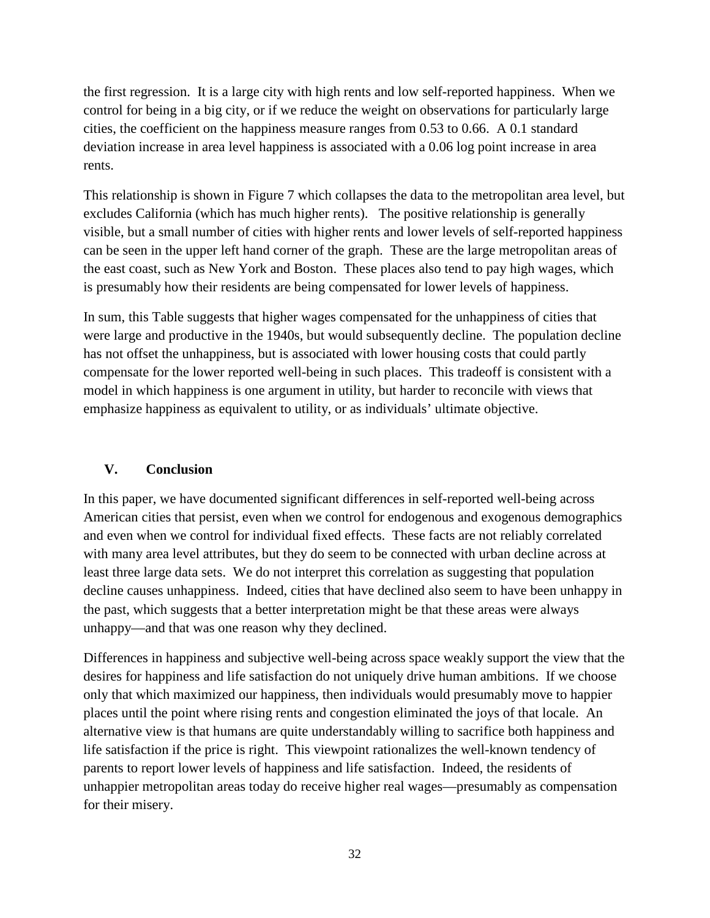the first regression. It is a large city with high rents and low self-reported happiness. When we control for being in a big city, or if we reduce the weight on observations for particularly large cities, the coefficient on the happiness measure ranges from 0.53 to 0.66. A 0.1 standard deviation increase in area level happiness is associated with a 0.06 log point increase in area rents.

This relationship is shown in Figure 7 which collapses the data to the metropolitan area level, but excludes California (which has much higher rents). The positive relationship is generally visible, but a small number of cities with higher rents and lower levels of self-reported happiness can be seen in the upper left hand corner of the graph. These are the large metropolitan areas of the east coast, such as New York and Boston. These places also tend to pay high wages, which is presumably how their residents are being compensated for lower levels of happiness.

In sum, this Table suggests that higher wages compensated for the unhappiness of cities that were large and productive in the 1940s, but would subsequently decline. The population decline has not offset the unhappiness, but is associated with lower housing costs that could partly compensate for the lower reported well-being in such places. This tradeoff is consistent with a model in which happiness is one argument in utility, but harder to reconcile with views that emphasize happiness as equivalent to utility, or as individuals' ultimate objective.

## **V. Conclusion**

In this paper, we have documented significant differences in self-reported well-being across American cities that persist, even when we control for endogenous and exogenous demographics and even when we control for individual fixed effects. These facts are not reliably correlated with many area level attributes, but they do seem to be connected with urban decline across at least three large data sets. We do not interpret this correlation as suggesting that population decline causes unhappiness. Indeed, cities that have declined also seem to have been unhappy in the past, which suggests that a better interpretation might be that these areas were always unhappy—and that was one reason why they declined.

Differences in happiness and subjective well-being across space weakly support the view that the desires for happiness and life satisfaction do not uniquely drive human ambitions. If we choose only that which maximized our happiness, then individuals would presumably move to happier places until the point where rising rents and congestion eliminated the joys of that locale. An alternative view is that humans are quite understandably willing to sacrifice both happiness and life satisfaction if the price is right. This viewpoint rationalizes the well-known tendency of parents to report lower levels of happiness and life satisfaction. Indeed, the residents of unhappier metropolitan areas today do receive higher real wages—presumably as compensation for their misery.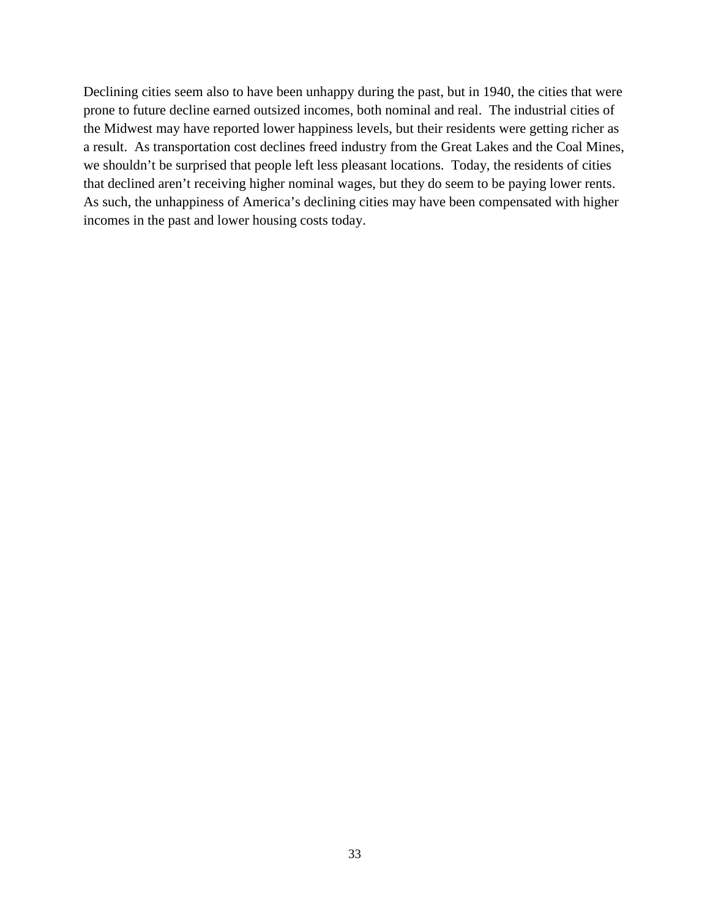Declining cities seem also to have been unhappy during the past, but in 1940, the cities that were prone to future decline earned outsized incomes, both nominal and real. The industrial cities of the Midwest may have reported lower happiness levels, but their residents were getting richer as a result. As transportation cost declines freed industry from the Great Lakes and the Coal Mines, we shouldn't be surprised that people left less pleasant locations. Today, the residents of cities that declined aren't receiving higher nominal wages, but they do seem to be paying lower rents. As such, the unhappiness of America's declining cities may have been compensated with higher incomes in the past and lower housing costs today.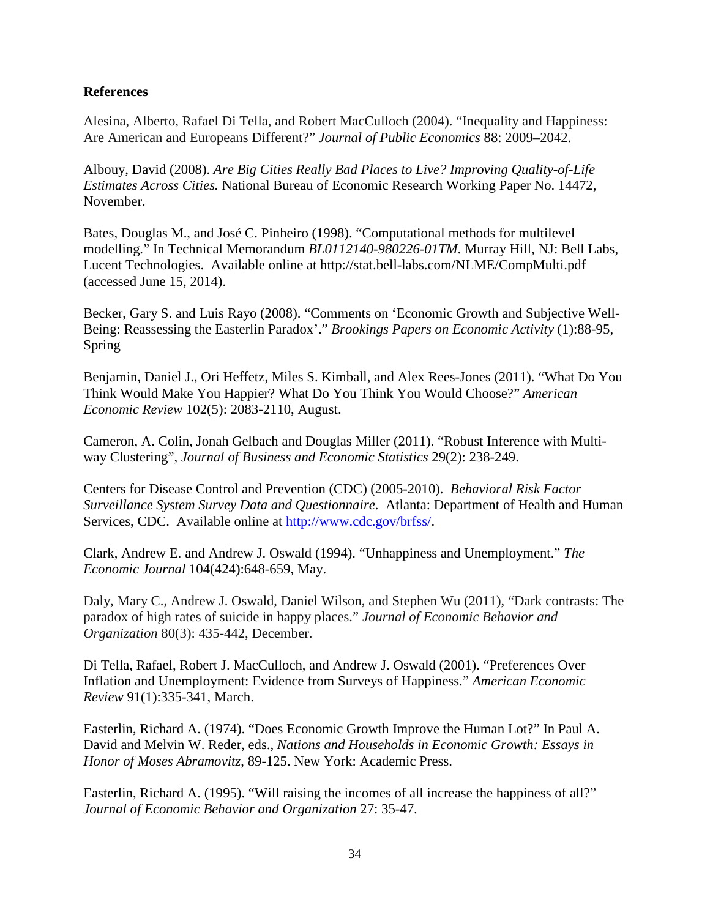### **References**

Alesina, Alberto, Rafael Di Tella, and Robert MacCulloch (2004). "Inequality and Happiness: Are American and Europeans Different?" *Journal of Public Economics* 88: 2009–2042.

Albouy, David (2008). *Are Big Cities Really Bad Places to Live? Improving Quality-of-Life Estimates Across Cities.* National Bureau of Economic Research Working Paper No. 14472, November.

Bates, Douglas M., and José C. Pinheiro (1998). "Computational methods for multilevel modelling." In Technical Memorandum *BL0112140-980226-01TM*. Murray Hill, NJ: Bell Labs, Lucent Technologies. Available online at http://stat.bell-labs.com/NLME/CompMulti.pdf (accessed June 15, 2014).

Becker, Gary S. and Luis Rayo (2008). "Comments on 'Economic Growth and Subjective Well-Being: Reassessing the Easterlin Paradox'." *Brookings Papers on Economic Activity* (1):88-95, Spring

Benjamin, Daniel J., Ori Heffetz, Miles S. Kimball, and Alex Rees-Jones (2011). "What Do You Think Would Make You Happier? What Do You Think You Would Choose?" *American Economic Review* 102(5): 2083-2110, August.

Cameron, A. Colin, Jonah Gelbach and Douglas Miller (2011). "Robust Inference with Multiway Clustering", *Journal of Business and Economic Statistics* 29(2): 238-249.

Centers for Disease Control and Prevention (CDC) (2005-2010). *Behavioral Risk Factor Surveillance System Survey Data and Questionnaire*. Atlanta: Department of Health and Human Services, CDC. Available online at [http://www.cdc.gov/brfss/.](http://www.cdc.gov/brfss/)

Clark, Andrew E. and Andrew J. Oswald (1994). "Unhappiness and Unemployment." *The Economic Journal* 104(424):648-659, May.

Daly, Mary C., Andrew J. Oswald, Daniel Wilson, and Stephen Wu (2011), "Dark contrasts: The paradox of high rates of suicide in happy places." *Journal of Economic Behavior and Organization* 80(3): 435-442, December.

Di Tella, Rafael, Robert J. MacCulloch, and Andrew J. Oswald (2001). "Preferences Over Inflation and Unemployment: Evidence from Surveys of Happiness." *American Economic Review* 91(1):335-341, March.

Easterlin, Richard A. (1974). "Does Economic Growth Improve the Human Lot?" In Paul A. David and Melvin W. Reder, eds., *Nations and Households in Economic Growth: Essays in Honor of Moses Abramovitz*, 89-125. New York: Academic Press.

Easterlin, Richard A. (1995). "Will raising the incomes of all increase the happiness of all?" *Journal of Economic Behavior and Organization* 27: 35-47.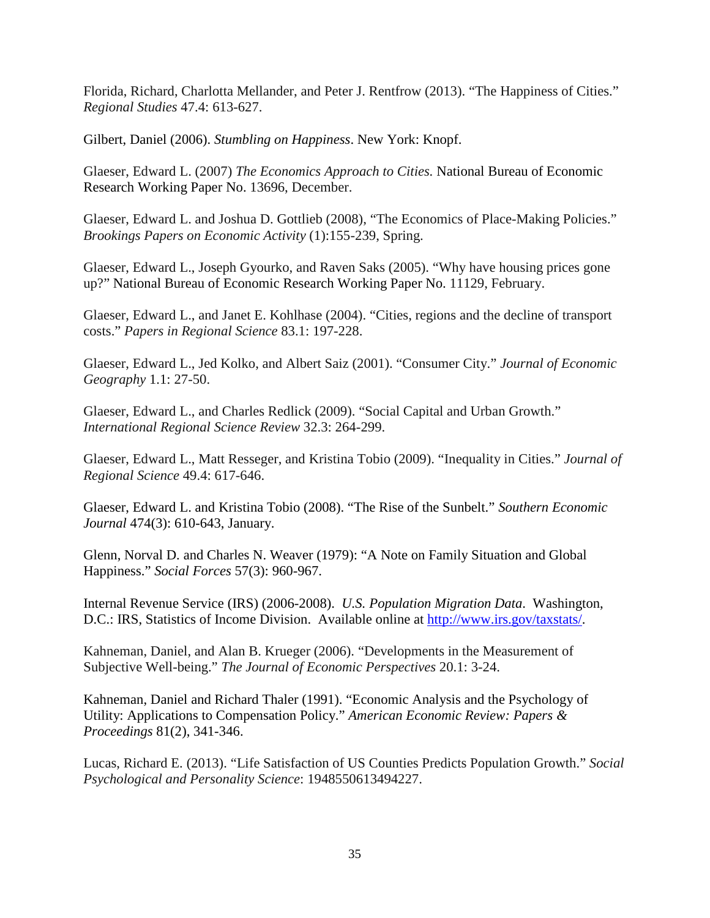Florida, Richard, Charlotta Mellander, and Peter J. Rentfrow (2013). "The Happiness of Cities." *Regional Studies* 47.4: 613-627.

Gilbert, Daniel (2006). *Stumbling on Happiness*. New York: Knopf.

Glaeser, Edward L. (2007) *The Economics Approach to Cities.* National Bureau of Economic Research Working Paper No. 13696, December.

Glaeser, Edward L. and Joshua D. Gottlieb (2008), "The Economics of Place-Making Policies." *Brookings Papers on Economic Activity* (1):155-239, Spring.

Glaeser, Edward L., Joseph Gyourko, and Raven Saks (2005). "Why have housing prices gone up?" National Bureau of Economic Research Working Paper No. 11129, February.

Glaeser, Edward L., and Janet E. Kohlhase (2004). "Cities, regions and the decline of transport costs." *Papers in Regional Science* 83.1: 197-228.

Glaeser, Edward L., Jed Kolko, and Albert Saiz (2001). "Consumer City." *Journal of Economic Geography* 1.1: 27-50.

Glaeser, Edward L., and Charles Redlick (2009). "Social Capital and Urban Growth." *International Regional Science Review* 32.3: 264-299.

Glaeser, Edward L., Matt Resseger, and Kristina Tobio (2009). "Inequality in Cities." *Journal of Regional Science* 49.4: 617-646.

Glaeser, Edward L. and Kristina Tobio (2008). "The Rise of the Sunbelt." *Southern Economic Journal* 474(3): 610-643, January.

Glenn, Norval D. and Charles N. Weaver (1979): "A Note on Family Situation and Global Happiness." *Social Forces* 57(3): 960-967.

Internal Revenue Service (IRS) (2006-2008). *U.S. Population Migration Data*. Washington, D.C.: IRS, Statistics of Income Division. Available online at [http://www.irs.gov/taxstats/.](http://www.irs.gov/taxstats/)

Kahneman, Daniel, and Alan B. Krueger (2006). "Developments in the Measurement of Subjective Well-being." *The Journal of Economic Perspectives* 20.1: 3-24.

Kahneman, Daniel and Richard Thaler (1991). "Economic Analysis and the Psychology of Utility: Applications to Compensation Policy." *American Economic Review: Papers & Proceedings* 81(2), 341-346.

Lucas, Richard E. (2013). "Life Satisfaction of US Counties Predicts Population Growth." *Social Psychological and Personality Science*: 1948550613494227.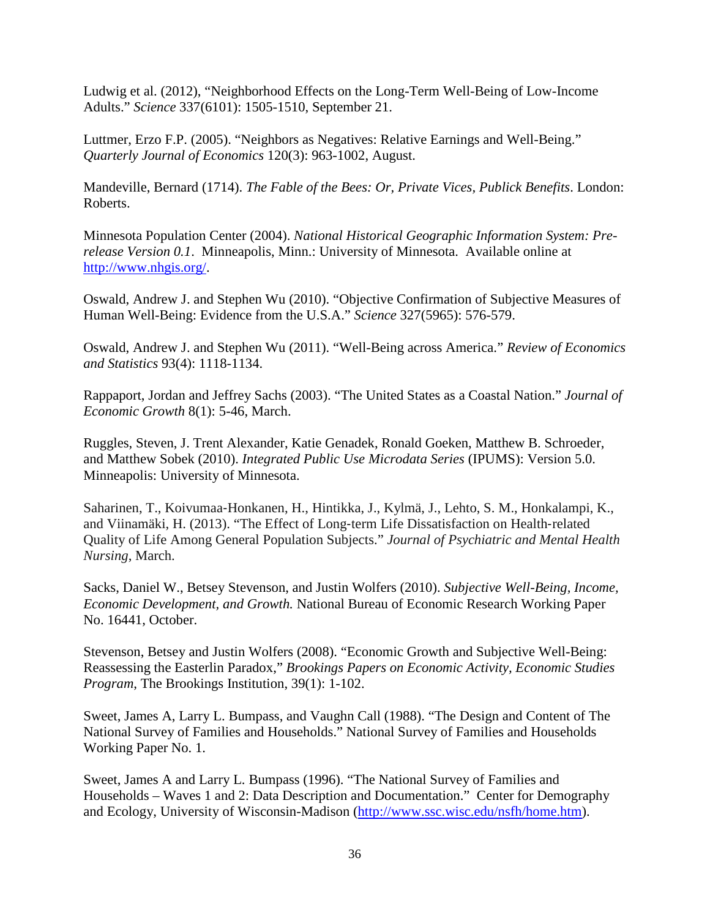Ludwig et al. (2012), "Neighborhood Effects on the Long-Term Well-Being of Low-Income Adults." *Science* 337(6101): 1505-1510, September 21.

Luttmer, Erzo F.P. (2005). "Neighbors as Negatives: Relative Earnings and Well-Being." *Quarterly Journal of Economics* 120(3): 963-1002, August.

Mandeville, Bernard (1714). *The Fable of the Bees: Or, Private Vices, Publick Benefits*. London: Roberts.

Minnesota Population Center (2004). *National Historical Geographic Information System: Prerelease Version 0.1*. Minneapolis, Minn.: University of Minnesota. Available online at [http://www.nhgis.org/.](http://www.nhgis.org/)

Oswald, Andrew J. and Stephen Wu (2010). "Objective Confirmation of Subjective Measures of Human Well-Being: Evidence from the U.S.A." *Science* 327(5965): 576-579.

Oswald, Andrew J. and Stephen Wu (2011). "Well-Being across America." *Review of Economics and Statistics* 93(4): 1118-1134.

Rappaport, Jordan and Jeffrey Sachs (2003). "The United States as a Coastal Nation." *Journal of Economic Growth* 8(1): 5-46, March.

Ruggles, Steven, J. Trent Alexander, Katie Genadek, Ronald Goeken, Matthew B. Schroeder, and Matthew Sobek (2010). *Integrated Public Use Microdata Series* (IPUMS): Version 5.0. Minneapolis: University of Minnesota.

Saharinen, T., Koivumaa‐Honkanen, H., Hintikka, J., Kylmä, J., Lehto, S. M., Honkalampi, K., and Viinamäki, H. (2013). "The Effect of Long‐term Life Dissatisfaction on Health‐related Quality of Life Among General Population Subjects." *Journal of Psychiatric and Mental Health Nursing*, March.

Sacks, Daniel W., Betsey Stevenson, and Justin Wolfers (2010). *Subjective Well-Being, Income, Economic Development, and Growth.* National Bureau of Economic Research Working Paper No. 16441, October.

Stevenson, Betsey and Justin Wolfers (2008). "Economic Growth and Subjective Well-Being: Reassessing the Easterlin Paradox," *Brookings Papers on Economic Activity, Economic Studies Program*, The Brookings Institution, 39(1): 1-102.

Sweet, James A, Larry L. Bumpass, and Vaughn Call (1988). "The Design and Content of The National Survey of Families and Households." National Survey of Families and Households Working Paper No. 1.

Sweet, James A and Larry L. Bumpass (1996). "The National Survey of Families and Households – Waves 1 and 2: Data Description and Documentation." Center for Demography and Ecology, University of Wisconsin-Madison [\(http://www.ssc.wisc.edu/nsfh/home.htm\)](http://www.ssc.wisc.edu/nsfh/home.htm).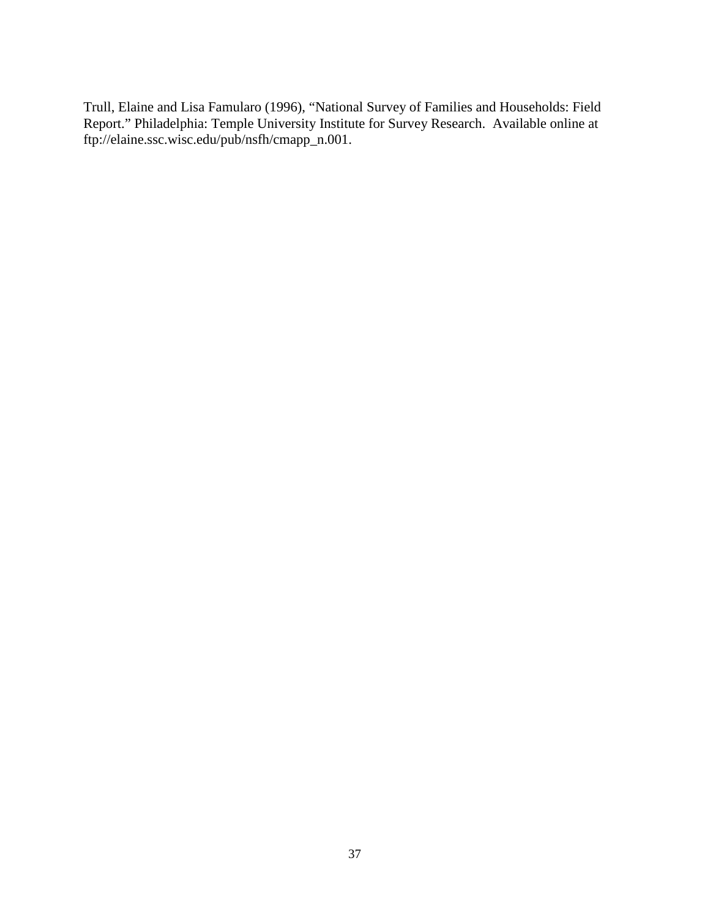Trull, Elaine and Lisa Famularo (1996), "National Survey of Families and Households: Field Report." Philadelphia: Temple University Institute for Survey Research. Available online at ftp://elaine.ssc.wisc.edu/pub/nsfh/cmapp\_n.001.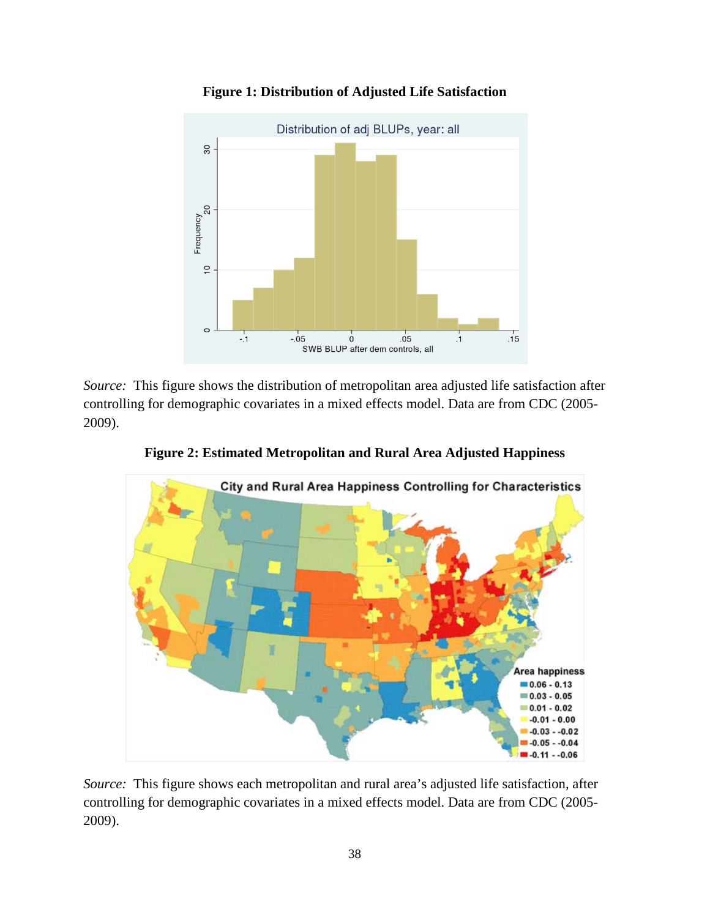

**Figure 1: Distribution of Adjusted Life Satisfaction**

*Source:* This figure shows the distribution of metropolitan area adjusted life satisfaction after controlling for demographic covariates in a mixed effects model. Data are from CDC (2005- 2009).



**Figure 2: Estimated Metropolitan and Rural Area Adjusted Happiness** 

*Source:* This figure shows each metropolitan and rural area's adjusted life satisfaction, after controlling for demographic covariates in a mixed effects model. Data are from CDC (2005- 2009).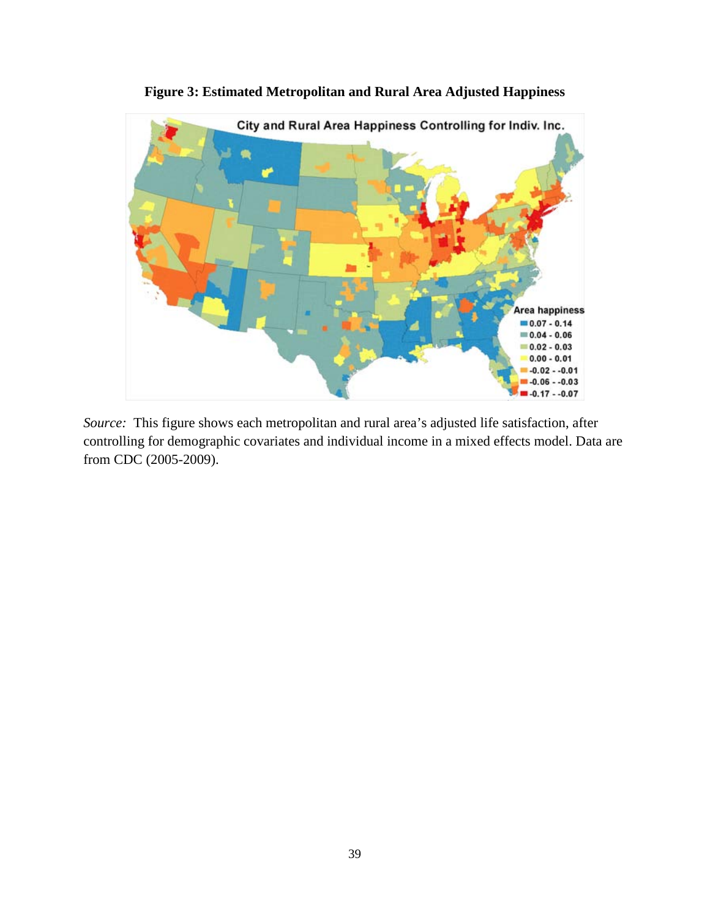

**Figure 3: Estimated Metropolitan and Rural Area Adjusted Happiness** 

*Source:* This figure shows each metropolitan and rural area's adjusted life satisfaction, after controlling for demographic covariates and individual income in a mixed effects model. Data are from CDC (2005-2009).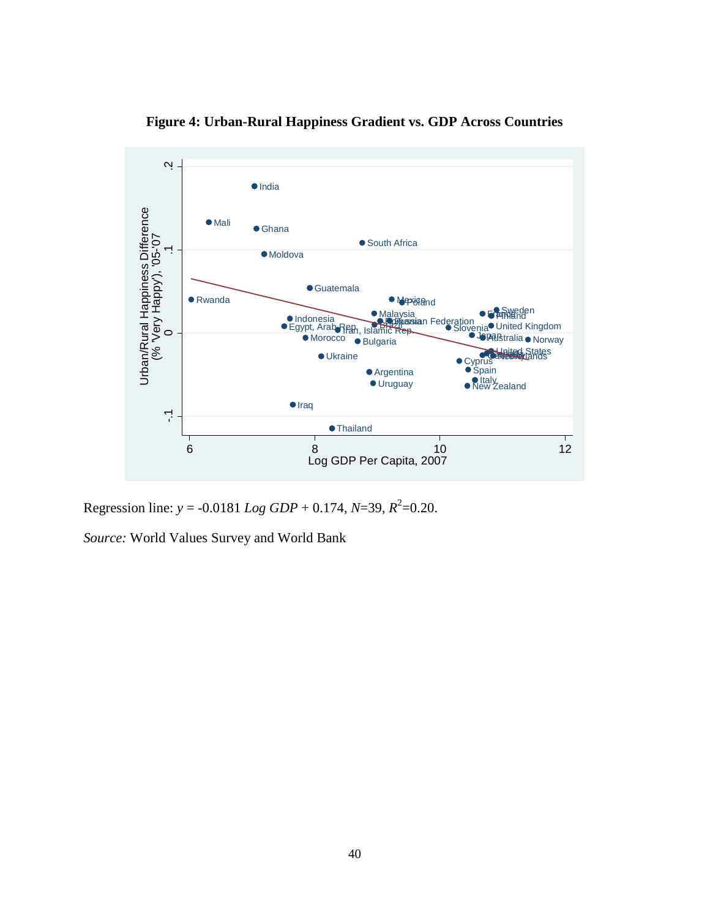

**Figure 4: Urban-Rural Happiness Gradient vs. GDP Across Countries**

Regression line:  $y = -0.0181$  *Log GDP* + 0.174, *N*=39,  $R^2$ =0.20.

*Source:* World Values Survey and World Bank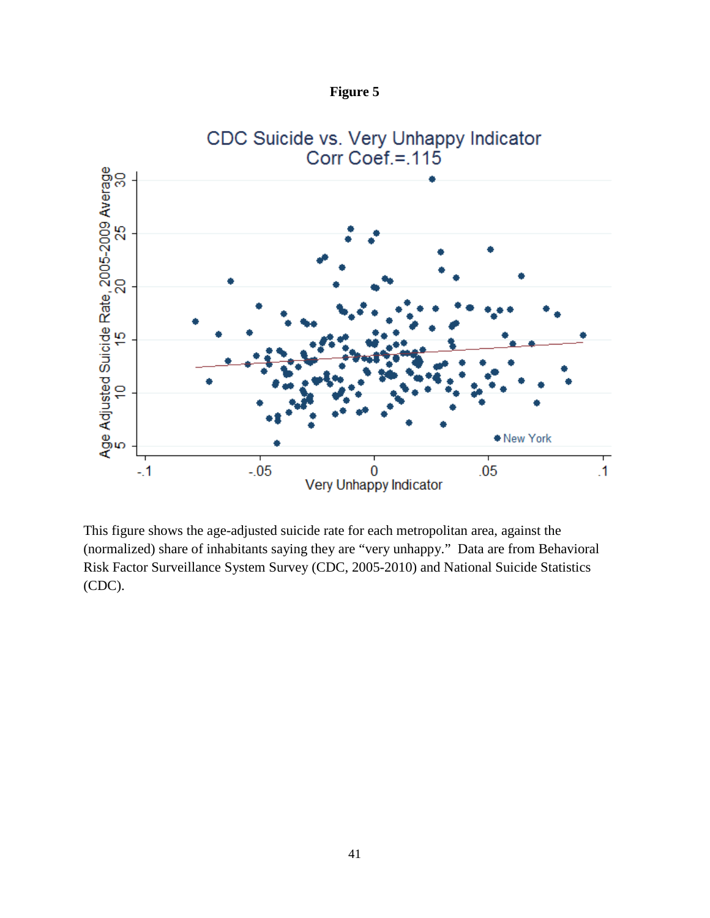



This figure shows the age-adjusted suicide rate for each metropolitan area, against the (normalized) share of inhabitants saying they are "very unhappy." Data are from Behavioral Risk Factor Surveillance System Survey (CDC, 2005-2010) and National Suicide Statistics (CDC).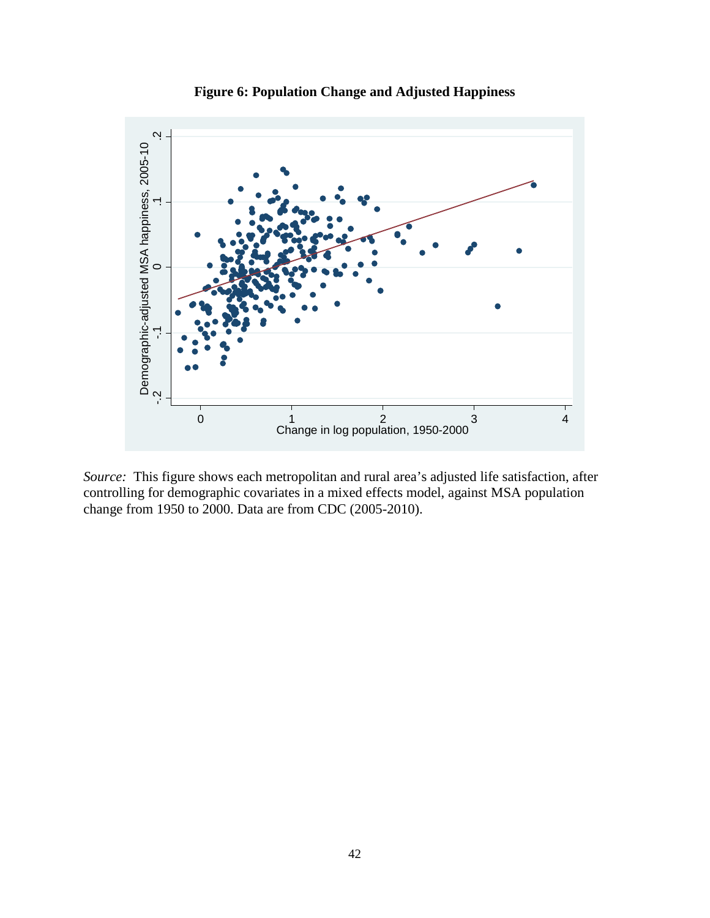

**Figure 6: Population Change and Adjusted Happiness**

*Source:* This figure shows each metropolitan and rural area's adjusted life satisfaction, after controlling for demographic covariates in a mixed effects model, against MSA population change from 1950 to 2000. Data are from CDC (2005-2010).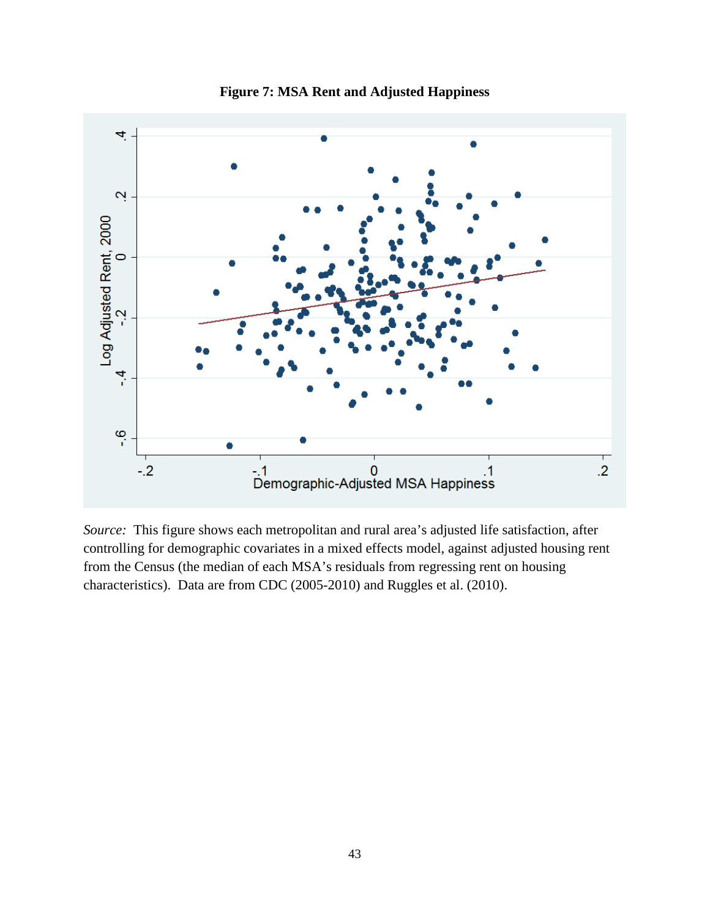

**Figure 7: MSA Rent and Adjusted Happiness**

*Source:* This figure shows each metropolitan and rural area's adjusted life satisfaction, after controlling for demographic covariates in a mixed effects model, against adjusted housing rent from the Census (the median of each MSA's residuals from regressing rent on housing characteristics). Data are from CDC (2005-2010) and Ruggles et al. (2010).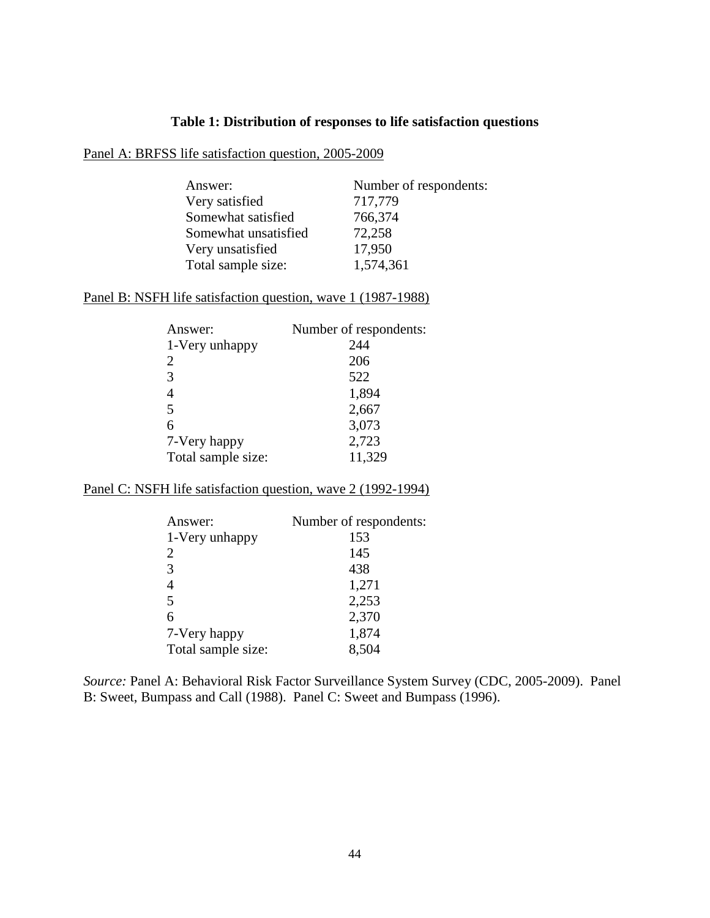### **Table 1: Distribution of responses to life satisfaction questions**

### Panel A: BRFSS life satisfaction question, 2005-2009

| Answer:              | Number of respondents: |
|----------------------|------------------------|
| Very satisfied       | 717,779                |
| Somewhat satisfied   | 766,374                |
| Somewhat unsatisfied | 72,258                 |
| Very unsatisfied     | 17,950                 |
| Total sample size:   | 1,574,361              |

### Panel B: NSFH life satisfaction question, wave 1 (1987-1988)

| Answer:            | Number of respondents: |
|--------------------|------------------------|
| 1-Very unhappy     | 244                    |
| 2                  | 206                    |
| 3                  | 522                    |
| 4                  | 1,894                  |
| 5                  | 2,667                  |
| 6                  | 3,073                  |
| 7-Very happy       | 2,723                  |
| Total sample size: | 11,329                 |

# Panel C: NSFH life satisfaction question, wave 2 (1992-1994)

| Answer:            | Number of respondents: |
|--------------------|------------------------|
| 1-Very unhappy     | 153                    |
| $\overline{2}$     | 145                    |
| 3                  | 438                    |
| $\overline{4}$     | 1,271                  |
| 5                  | 2,253                  |
| 6                  | 2,370                  |
| 7-Very happy       | 1,874                  |
| Total sample size: | 8,504                  |

*Source:* Panel A: Behavioral Risk Factor Surveillance System Survey (CDC, 2005-2009). Panel B: Sweet, Bumpass and Call (1988). Panel C: Sweet and Bumpass (1996).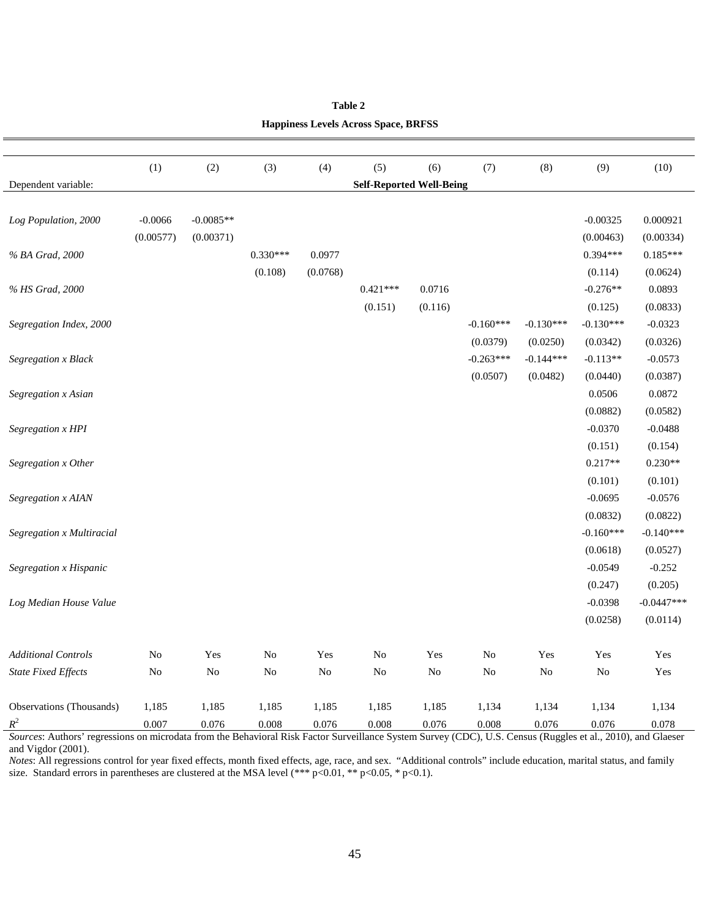|                            | (1)            | (2)            | (3)        | (4)      | (5)                             | (6)     | (7)         | (8)         | (9)         | (10)         |
|----------------------------|----------------|----------------|------------|----------|---------------------------------|---------|-------------|-------------|-------------|--------------|
| Dependent variable:        |                |                |            |          | <b>Self-Reported Well-Being</b> |         |             |             |             |              |
|                            |                |                |            |          |                                 |         |             |             |             |              |
| Log Population, 2000       | $-0.0066$      | $-0.0085**$    |            |          |                                 |         |             |             | $-0.00325$  | 0.000921     |
|                            | (0.00577)      | (0.00371)      |            |          |                                 |         |             |             | (0.00463)   | (0.00334)    |
| % BA Grad, 2000            |                |                | $0.330***$ | 0.0977   |                                 |         |             |             | $0.394***$  | $0.185***$   |
|                            |                |                | (0.108)    | (0.0768) |                                 |         |             |             | (0.114)     | (0.0624)     |
| % HS Grad, 2000            |                |                |            |          | $0.421***$                      | 0.0716  |             |             | $-0.276**$  | 0.0893       |
|                            |                |                |            |          | (0.151)                         | (0.116) |             |             | (0.125)     | (0.0833)     |
| Segregation Index, 2000    |                |                |            |          |                                 |         | $-0.160***$ | $-0.130***$ | $-0.130***$ | $-0.0323$    |
|                            |                |                |            |          |                                 |         | (0.0379)    | (0.0250)    | (0.0342)    | (0.0326)     |
| Segregation x Black        |                |                |            |          |                                 |         | $-0.263***$ | $-0.144***$ | $-0.113**$  | $-0.0573$    |
|                            |                |                |            |          |                                 |         | (0.0507)    | (0.0482)    | (0.0440)    | (0.0387)     |
| Segregation x Asian        |                |                |            |          |                                 |         |             |             | 0.0506      | 0.0872       |
|                            |                |                |            |          |                                 |         |             |             | (0.0882)    | (0.0582)     |
| Segregation x HPI          |                |                |            |          |                                 |         |             |             | $-0.0370$   | $-0.0488$    |
|                            |                |                |            |          |                                 |         |             |             | (0.151)     | (0.154)      |
| Segregation x Other        |                |                |            |          |                                 |         |             |             | $0.217**$   | $0.230**$    |
|                            |                |                |            |          |                                 |         |             |             | (0.101)     | (0.101)      |
| Segregation x AIAN         |                |                |            |          |                                 |         |             |             | $-0.0695$   | $-0.0576$    |
|                            |                |                |            |          |                                 |         |             |             | (0.0832)    | (0.0822)     |
| Segregation x Multiracial  |                |                |            |          |                                 |         |             |             | $-0.160***$ | $-0.140***$  |
|                            |                |                |            |          |                                 |         |             |             | (0.0618)    | (0.0527)     |
| Segregation x Hispanic     |                |                |            |          |                                 |         |             |             | $-0.0549$   | $-0.252$     |
|                            |                |                |            |          |                                 |         |             |             | (0.247)     | (0.205)      |
| Log Median House Value     |                |                |            |          |                                 |         |             |             | $-0.0398$   | $-0.0447***$ |
|                            |                |                |            |          |                                 |         |             |             | (0.0258)    | (0.0114)     |
| <b>Additional Controls</b> | N <sub>o</sub> | Yes            | No         | Yes      | N <sub>o</sub>                  | Yes     | $\rm No$    | Yes         | Yes         | Yes          |
| <b>State Fixed Effects</b> | N <sub>o</sub> | N <sub>o</sub> | No         | $\rm No$ | N <sub>o</sub>                  | No      | No          | $\rm No$    | No          | Yes          |
| Observations (Thousands)   | 1,185          | 1,185          | 1,185      | 1,185    | 1,185                           | 1,185   | 1,134       | 1,134       | 1,134       | 1,134        |
| $R^2$                      | 0.007          | 0.076          | 0.008      | 0.076    | 0.008                           | 0.076   | 0.008       | 0.076       | 0.076       | 0.078        |

| Table 2                                     |
|---------------------------------------------|
| <b>Happiness Levels Across Space, BRFSS</b> |

*Sources*: Authors' regressions on microdata from the Behavioral Risk Factor Surveillance System Survey (CDC), U.S. Census (Ruggles et al., 2010), and Glaeser and Vigdor (2001).

*Notes*: All regressions control for year fixed effects, month fixed effects, age, race, and sex. "Additional controls" include education, marital status, and family size. Standard errors in parentheses are clustered at the MSA level (\*\*\* p<0.01, \*\* p<0.05, \* p<0.1).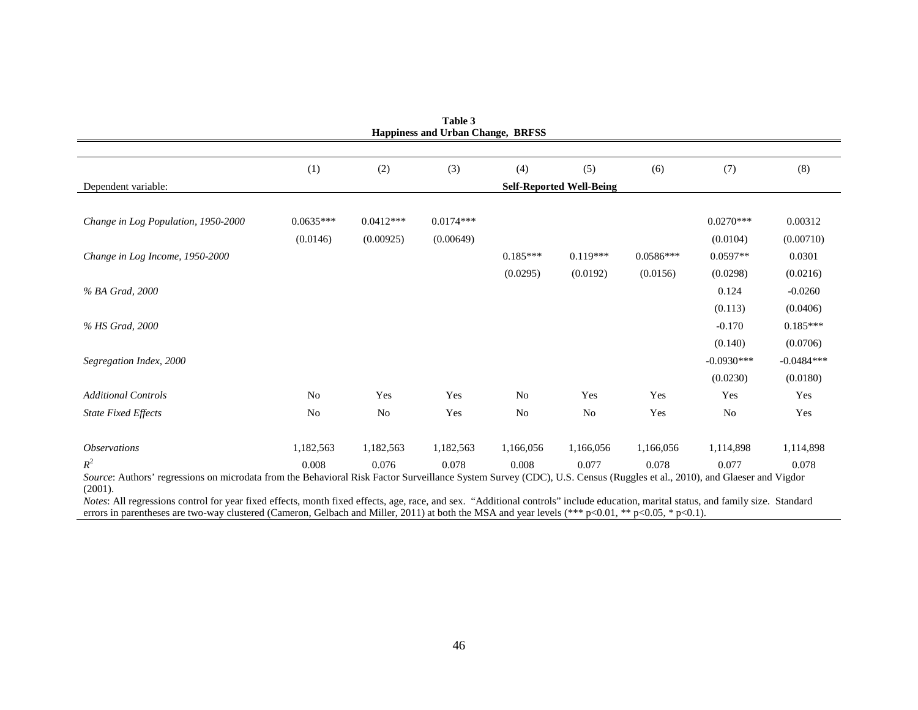|                                     | (1)            | (2)            | (3)         | (4)            | (5)                             | (6)         | (7)          | (8)          |
|-------------------------------------|----------------|----------------|-------------|----------------|---------------------------------|-------------|--------------|--------------|
| Dependent variable:                 |                |                |             |                | <b>Self-Reported Well-Being</b> |             |              |              |
| Change in Log Population, 1950-2000 | $0.0635***$    | $0.0412***$    | $0.0174***$ |                |                                 |             | $0.0270***$  | 0.00312      |
|                                     | (0.0146)       | (0.00925)      | (0.00649)   |                |                                 |             | (0.0104)     | (0.00710)    |
| Change in Log Income, 1950-2000     |                |                |             | $0.185***$     | $0.119***$                      | $0.0586***$ | $0.0597**$   | 0.0301       |
|                                     |                |                |             | (0.0295)       | (0.0192)                        | (0.0156)    | (0.0298)     | (0.0216)     |
| % BA Grad, 2000                     |                |                |             |                |                                 |             | 0.124        | $-0.0260$    |
|                                     |                |                |             |                |                                 |             | (0.113)      | (0.0406)     |
| % HS Grad, 2000                     |                |                |             |                |                                 |             | $-0.170$     | $0.185***$   |
|                                     |                |                |             |                |                                 |             | (0.140)      | (0.0706)     |
| Segregation Index, 2000             |                |                |             |                |                                 |             | $-0.0930***$ | $-0.0484***$ |
|                                     |                |                |             |                |                                 |             | (0.0230)     | (0.0180)     |
| <b>Additional Controls</b>          | N <sub>0</sub> | Yes            | Yes         | N <sub>o</sub> | Yes                             | Yes         | Yes          | Yes          |
| <b>State Fixed Effects</b>          | N <sub>0</sub> | N <sub>0</sub> | Yes         | N <sub>0</sub> | N <sub>o</sub>                  | Yes         | No           | Yes          |
| <i><b>Observations</b></i>          | 1,182,563      | 1,182,563      | 1,182,563   | 1,166,056      | 1,166,056                       | 1,166,056   | 1,114,898    | 1,114,898    |
| $R^2$                               | 0.008          | 0.076          | 0.078       | 0.008          | 0.077                           | 0.078       | 0.077        | 0.078        |

**Table 3**

errors in parentheses are two-way clustered (Cameron, Gelbach and Miller, 2011) at both the MSA and year levels (\*\*\* p<0.01, \*\* p<0.05, \* p<0.1).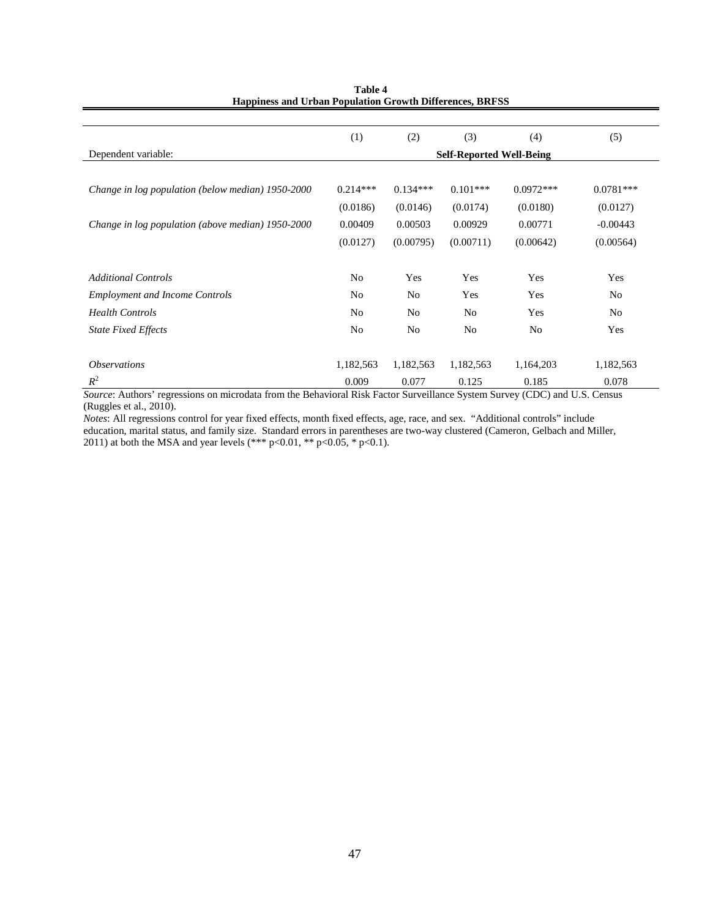|                                                   | (1)                             | (2)            | (3)        | (4)         | (5)         |  |  |  |
|---------------------------------------------------|---------------------------------|----------------|------------|-------------|-------------|--|--|--|
| Dependent variable:                               | <b>Self-Reported Well-Being</b> |                |            |             |             |  |  |  |
|                                                   |                                 |                |            |             |             |  |  |  |
| Change in log population (below median) 1950-2000 | $0.214***$                      | $0.134***$     | $0.101***$ | $0.0972***$ | $0.0781***$ |  |  |  |
|                                                   | (0.0186)                        | (0.0146)       | (0.0174)   | (0.0180)    | (0.0127)    |  |  |  |
| Change in log population (above median) 1950-2000 | 0.00409                         | 0.00503        | 0.00929    | 0.00771     | $-0.00443$  |  |  |  |
|                                                   | (0.0127)                        | (0.00795)      | (0.00711)  | (0.00642)   | (0.00564)   |  |  |  |
|                                                   |                                 |                |            |             |             |  |  |  |
| <b>Additional Controls</b>                        | No                              | Yes            | Yes        | Yes         | Yes         |  |  |  |
| <b>Employment and Income Controls</b>             | No                              | N <sub>0</sub> | Yes        | Yes         | No          |  |  |  |
| <b>Health Controls</b>                            | No                              | N <sub>0</sub> | No         | Yes         | No          |  |  |  |
| <b>State Fixed Effects</b>                        | No                              | N <sub>0</sub> | No         | No          | Yes         |  |  |  |
|                                                   |                                 |                |            |             |             |  |  |  |
| <i><b>Observations</b></i>                        | 1,182,563                       | 1,182,563      | 1,182,563  | 1,164,203   | 1,182,563   |  |  |  |
| $R^2$                                             | 0.009                           | 0.077          | 0.125      | 0.185       | 0.078       |  |  |  |

**Table 4 Happiness and Urban Population Growth Differences, BRFSS**

*Source*: Authors' regressions on microdata from the Behavioral Risk Factor Surveillance System Survey (CDC) and U.S. Census (Ruggles et al., 2010).

*Notes*: All regressions control for year fixed effects, month fixed effects, age, race, and sex. "Additional controls" include education, marital status, and family size. Standard errors in parentheses are two-way clustered (Cameron, Gelbach and Miller, 2011) at both the MSA and year levels (\*\*\* p<0.01, \*\* p<0.05, \* p<0.1).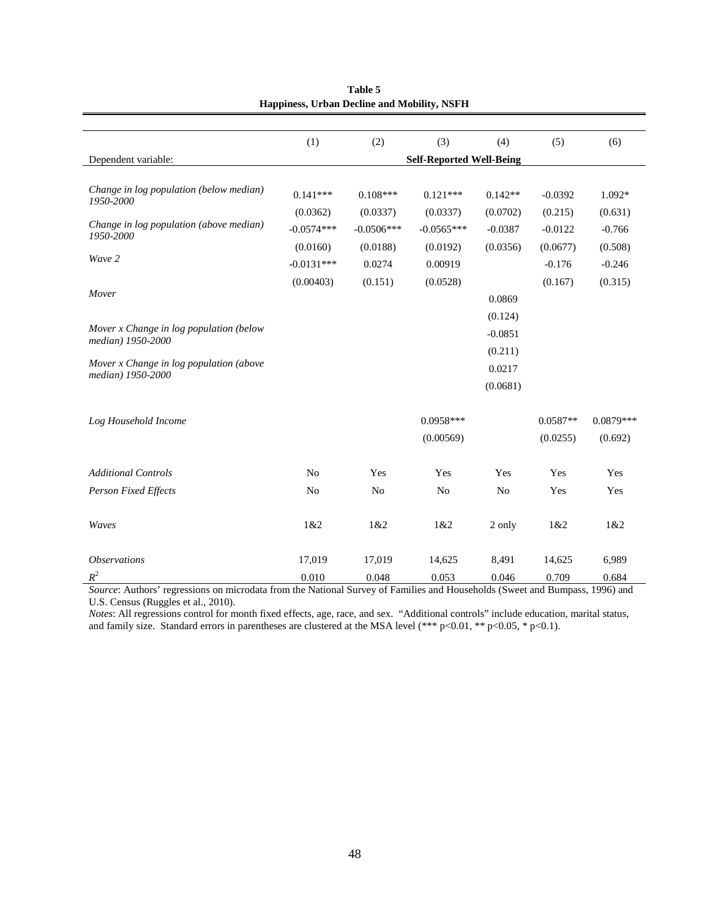|                                                              | (1)            | (2)            | (3)                             | (4)            | (5)        | (6)         |
|--------------------------------------------------------------|----------------|----------------|---------------------------------|----------------|------------|-------------|
| Dependent variable:                                          |                |                | <b>Self-Reported Well-Being</b> |                |            |             |
|                                                              |                |                |                                 |                |            |             |
| Change in log population (below median)                      | $0.141***$     | $0.108***$     | $0.121***$                      | $0.142**$      | $-0.0392$  | $1.092*$    |
| 1950-2000                                                    | (0.0362)       | (0.0337)       | (0.0337)                        | (0.0702)       | (0.215)    | (0.631)     |
| Change in log population (above median)<br>1950-2000         | $-0.0574***$   | $-0.0506***$   | $-0.0565***$                    | $-0.0387$      | $-0.0122$  | $-0.766$    |
|                                                              | (0.0160)       | (0.0188)       | (0.0192)                        | (0.0356)       | (0.0677)   | (0.508)     |
| Wave 2                                                       | $-0.0131***$   | 0.0274         | 0.00919                         |                | $-0.176$   | $-0.246$    |
|                                                              | (0.00403)      | (0.151)        | (0.0528)                        |                | (0.167)    | (0.315)     |
| Mover                                                        |                |                |                                 | 0.0869         |            |             |
|                                                              |                |                |                                 | (0.124)        |            |             |
| Mover x Change in log population (below<br>median) 1950-2000 |                |                |                                 | $-0.0851$      |            |             |
|                                                              |                |                |                                 | (0.211)        |            |             |
| Mover x Change in log population (above<br>median) 1950-2000 |                |                |                                 | 0.0217         |            |             |
|                                                              |                |                |                                 | (0.0681)       |            |             |
|                                                              |                |                |                                 |                |            |             |
| Log Household Income                                         |                |                | $0.0958***$                     |                | $0.0587**$ | $0.0879***$ |
|                                                              |                |                | (0.00569)                       |                | (0.0255)   | (0.692)     |
|                                                              |                |                |                                 |                |            |             |
| <b>Additional Controls</b>                                   | No             | Yes            | Yes                             | Yes            | Yes        | Yes         |
| <b>Person Fixed Effects</b>                                  | N <sub>o</sub> | N <sub>o</sub> | N <sub>o</sub>                  | N <sub>o</sub> | Yes        | Yes         |
|                                                              |                |                |                                 |                |            |             |
| Waves                                                        | 1&2            | 1&2            | 1&2                             | 2 only         | 1&82       | 1&82        |
|                                                              |                |                |                                 |                |            |             |
| <i><b>Observations</b></i>                                   | 17,019         | 17,019         | 14,625                          | 8,491          | 14,625     | 6,989       |
| $R^2$                                                        | 0.010          | 0.048          | 0.053                           | 0.046          | 0.709      | 0.684       |

**Table 5 Happiness, Urban Decline and Mobility, NSFH**

*Source*: Authors' regressions on microdata from the National Survey of Families and Households (Sweet and Bumpass, 1996) and U.S. Census (Ruggles et al., 2010).

*Notes*: All regressions control for month fixed effects, age, race, and sex. "Additional controls" include education, marital status, and family size. Standard errors in parentheses are clustered at the MSA level (\*\*\* p<0.01, \*\* p<0.05, \* p<0.1).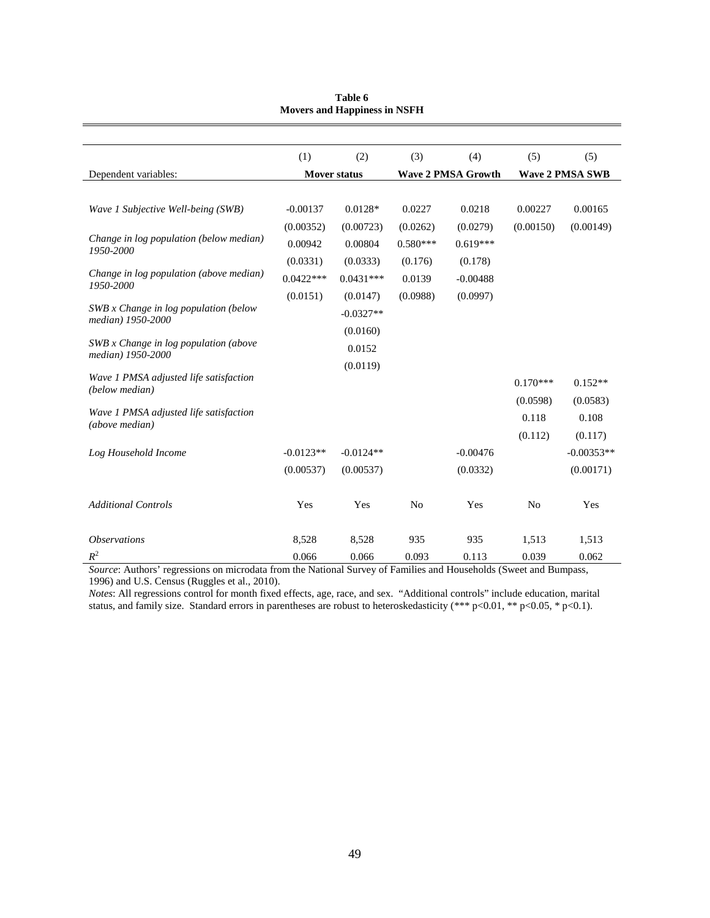|                                                            | (1)                 | (2)         | (3)            | (4)                       | (5)            | (5)                    |
|------------------------------------------------------------|---------------------|-------------|----------------|---------------------------|----------------|------------------------|
| Dependent variables:                                       | <b>Mover status</b> |             |                | <b>Wave 2 PMSA Growth</b> |                | <b>Wave 2 PMSA SWB</b> |
|                                                            |                     |             |                |                           |                |                        |
| Wave 1 Subjective Well-being (SWB)                         | $-0.00137$          | $0.0128*$   | 0.0227         | 0.0218                    | 0.00227        | 0.00165                |
|                                                            | (0.00352)           | (0.00723)   | (0.0262)       | (0.0279)                  | (0.00150)      | (0.00149)              |
| Change in log population (below median)<br>1950-2000       | 0.00942             | 0.00804     | $0.580***$     | $0.619***$                |                |                        |
|                                                            | (0.0331)            | (0.0333)    | (0.176)        | (0.178)                   |                |                        |
| Change in log population (above median)<br>1950-2000       | $0.0422***$         | $0.0431***$ | 0.0139         | $-0.00488$                |                |                        |
|                                                            | (0.0151)            | (0.0147)    | (0.0988)       | (0.0997)                  |                |                        |
| SWB x Change in log population (below<br>median) 1950-2000 |                     | $-0.0327**$ |                |                           |                |                        |
|                                                            |                     | (0.0160)    |                |                           |                |                        |
| SWB x Change in log population (above<br>median) 1950-2000 |                     | 0.0152      |                |                           |                |                        |
|                                                            |                     | (0.0119)    |                |                           |                |                        |
| Wave 1 PMSA adjusted life satisfaction<br>(below median)   |                     |             |                |                           | $0.170***$     | $0.152**$              |
|                                                            |                     |             |                |                           | (0.0598)       | (0.0583)               |
| Wave 1 PMSA adjusted life satisfaction<br>(above median)   |                     |             |                |                           | 0.118          | 0.108                  |
|                                                            |                     |             |                |                           | (0.112)        | (0.117)                |
| Log Household Income                                       | $-0.0123**$         | $-0.0124**$ |                | $-0.00476$                |                | $-0.00353**$           |
|                                                            | (0.00537)           | (0.00537)   |                | (0.0332)                  |                | (0.00171)              |
|                                                            |                     |             |                |                           |                |                        |
| <b>Additional Controls</b>                                 | Yes                 | Yes         | N <sub>0</sub> | Yes                       | N <sub>0</sub> | Yes                    |
|                                                            |                     |             |                |                           |                |                        |
| <i><b>Observations</b></i>                                 | 8,528               | 8,528       | 935            | 935                       | 1,513          | 1,513                  |
| $R^2$                                                      | 0.066               | 0.066       | 0.093          | 0.113                     | 0.039          | 0.062                  |

| Table 6                             |
|-------------------------------------|
| <b>Movers and Happiness in NSFH</b> |

*Source*: Authors' regressions on microdata from the National Survey of Families and Households (Sweet and Bumpass, 1996) and U.S. Census (Ruggles et al., 2010).

*Notes*: All regressions control for month fixed effects, age, race, and sex. "Additional controls" include education, marital status, and family size. Standard errors in parentheses are robust to heteroskedasticity (\*\*\* p<0.01, \*\* p<0.05, \* p<0.1).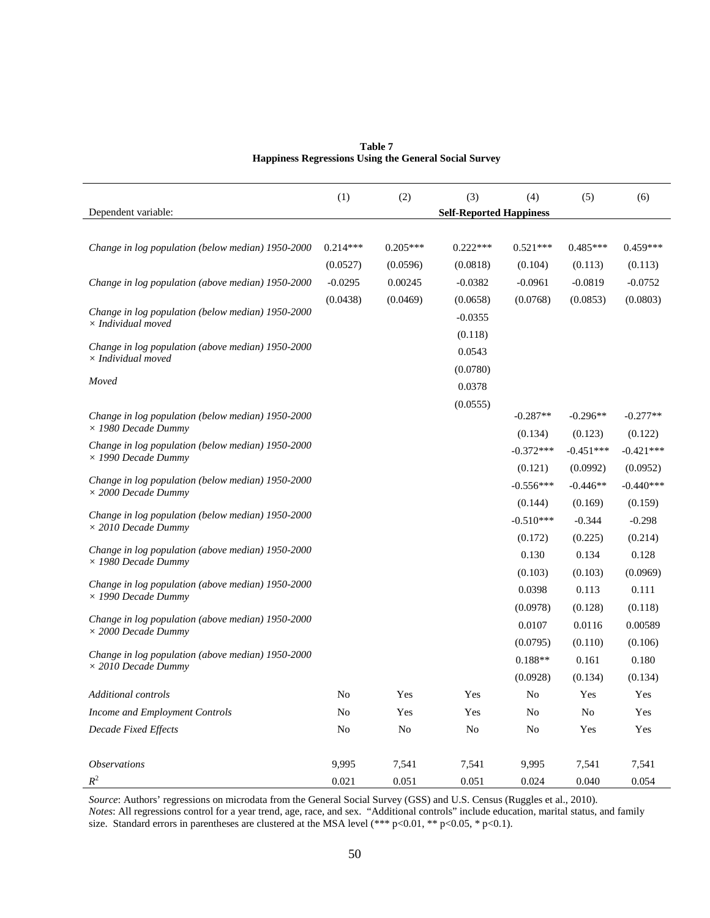|                                                              | Table 7 |  |  |
|--------------------------------------------------------------|---------|--|--|
| <b>Happiness Regressions Using the General Social Survey</b> |         |  |  |

|                                                   | (1)        | (2)        | (3)                            | (4)         | (5)         | (6)                  |
|---------------------------------------------------|------------|------------|--------------------------------|-------------|-------------|----------------------|
| Dependent variable:                               |            |            | <b>Self-Reported Happiness</b> |             |             |                      |
|                                                   |            |            |                                |             |             |                      |
| Change in log population (below median) 1950-2000 | $0.214***$ | $0.205***$ | $0.222***$                     | $0.521***$  | $0.485***$  | $0.459***$           |
|                                                   | (0.0527)   | (0.0596)   | (0.0818)                       | (0.104)     | (0.113)     | (0.113)              |
| Change in log population (above median) 1950-2000 | $-0.0295$  | 0.00245    | $-0.0382$                      | $-0.0961$   | $-0.0819$   | $-0.0752$            |
| Change in log population (below median) 1950-2000 | (0.0438)   | (0.0469)   | (0.0658)                       | (0.0768)    | (0.0853)    | (0.0803)             |
| $\times$ Individual moved                         |            |            | $-0.0355$                      |             |             |                      |
| Change in log population (above median) 1950-2000 |            |            | (0.118)                        |             |             |                      |
| $\times$ Individual moved                         |            |            | 0.0543                         |             |             |                      |
| Moved                                             |            |            | (0.0780)                       |             |             |                      |
|                                                   |            |            | 0.0378                         |             |             |                      |
| Change in log population (below median) 1950-2000 |            |            | (0.0555)                       | $-0.287**$  | $-0.296**$  | $-0.277**$           |
| $\times$ 1980 Decade Dummy                        |            |            |                                | (0.134)     | (0.123)     | (0.122)              |
| Change in log population (below median) 1950-2000 |            |            |                                | $-0.372***$ | $-0.451***$ | $-0.421***$          |
| $\times$ 1990 Decade Dummy                        |            |            |                                | (0.121)     | (0.0992)    | (0.0952)             |
| Change in log population (below median) 1950-2000 |            |            |                                | $-0.556***$ | $-0.446**$  | $-0.440***$          |
| $\times$ 2000 Decade Dummy                        |            |            |                                | (0.144)     | (0.169)     | (0.159)              |
| Change in log population (below median) 1950-2000 |            |            |                                | $-0.510***$ | $-0.344$    | $-0.298$             |
| $\times$ 2010 Decade Dummy                        |            |            |                                | (0.172)     | (0.225)     | (0.214)              |
| Change in log population (above median) 1950-2000 |            |            |                                | 0.130       | 0.134       | 0.128                |
| $\times$ 1980 Decade Dummy                        |            |            |                                | (0.103)     | (0.103)     | (0.0969)             |
| Change in log population (above median) 1950-2000 |            |            |                                | 0.0398      | 0.113       | 0.111                |
| $\times$ 1990 Decade Dummy                        |            |            |                                | (0.0978)    | (0.128)     | (0.118)              |
| Change in log population (above median) 1950-2000 |            |            |                                | 0.0107      | 0.0116      | 0.00589              |
| $\times$ 2000 Decade Dummy                        |            |            |                                | (0.0795)    | (0.110)     | (0.106)              |
| Change in log population (above median) 1950-2000 |            |            |                                | $0.188**$   | 0.161       | 0.180                |
| $\times$ 2010 Decade Dummy                        |            |            |                                | (0.0928)    | (0.134)     | (0.134)              |
| Additional controls                               | No         | Yes        | Yes                            | No          | Yes         | Yes                  |
| Income and Employment Controls                    | No         | Yes        | Yes                            | No          | No          | Yes                  |
| <b>Decade Fixed Effects</b>                       | $\rm No$   | $\rm No$   | $\rm No$                       | $\rm No$    | Yes         | $\operatorname{Yes}$ |
|                                                   |            |            |                                |             |             |                      |
| <i><b>Observations</b></i>                        | 9,995      | 7,541      | 7,541                          | 9,995       | 7,541       | 7,541                |
| $\mathbb{R}^2$                                    | 0.021      | 0.051      | 0.051                          | 0.024       | 0.040       | 0.054                |

*Source*: Authors' regressions on microdata from the General Social Survey (GSS) and U.S. Census (Ruggles et al., 2010). *Notes*: All regressions control for a year trend, age, race, and sex. "Additional controls" include education, marital status, and family size. Standard errors in parentheses are clustered at the MSA level  $(** * p<0.01, ** p<0.05, * p<0.1)$ .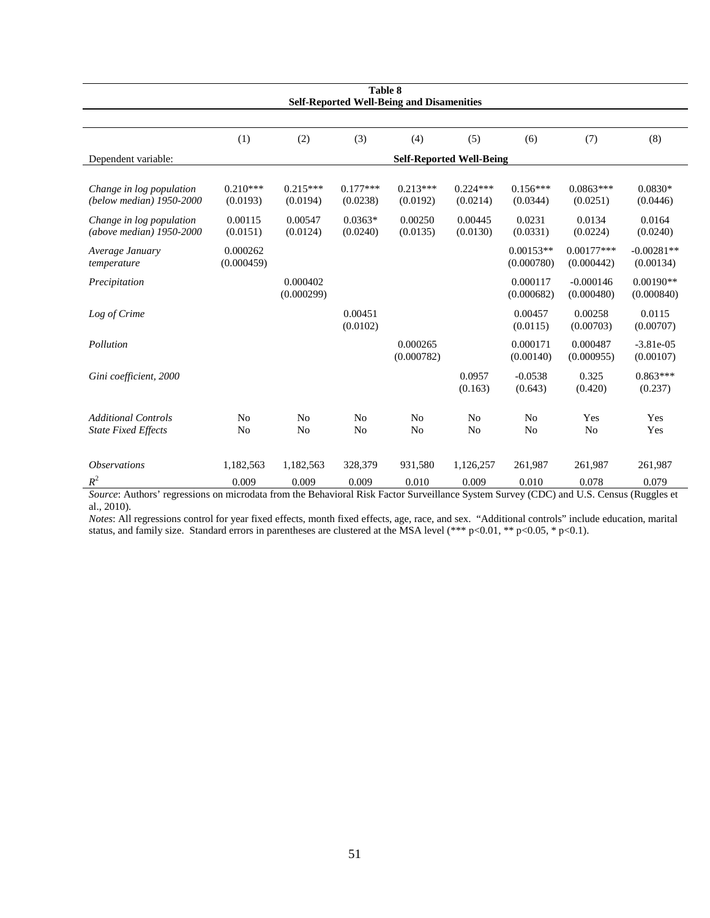| Table 8<br><b>Self-Reported Well-Being and Disamenities</b>                                                                                     |                        |                                  |                                  |                                  |                                  |                           |                            |                           |  |
|-------------------------------------------------------------------------------------------------------------------------------------------------|------------------------|----------------------------------|----------------------------------|----------------------------------|----------------------------------|---------------------------|----------------------------|---------------------------|--|
|                                                                                                                                                 |                        |                                  |                                  |                                  |                                  |                           |                            |                           |  |
|                                                                                                                                                 | (1)                    | (2)                              | (3)                              | (4)                              | (5)                              | (6)                       | (7)                        | (8)                       |  |
| Dependent variable:                                                                                                                             |                        |                                  |                                  | <b>Self-Reported Well-Being</b>  |                                  |                           |                            |                           |  |
| Change in log population<br>(below median) 1950-2000                                                                                            | $0.210***$<br>(0.0193) | $0.215***$<br>(0.0194)           | $0.177***$<br>(0.0238)           | $0.213***$<br>(0.0192)           | $0.224***$<br>(0.0214)           | $0.156***$<br>(0.0344)    | $0.0863***$<br>(0.0251)    | $0.0830*$<br>(0.0446)     |  |
| Change in log population<br>(above median) 1950-2000                                                                                            | 0.00115<br>(0.0151)    | 0.00547<br>(0.0124)              | $0.0363*$<br>(0.0240)            | 0.00250<br>(0.0135)              | 0.00445<br>(0.0130)              | 0.0231<br>(0.0331)        | 0.0134<br>(0.0224)         | 0.0164<br>(0.0240)        |  |
| Average January<br>temperature                                                                                                                  | 0.000262<br>(0.000459) |                                  |                                  |                                  |                                  | $0.00153**$<br>(0.000780) | $0.00177***$<br>(0.000442) | $-0.00281**$<br>(0.00134) |  |
| Precipitation                                                                                                                                   |                        | 0.000402<br>(0.000299)           |                                  |                                  |                                  | 0.000117<br>(0.000682)    | $-0.000146$<br>(0.000480)  | $0.00190**$<br>(0.000840) |  |
| Log of Crime                                                                                                                                    |                        |                                  | 0.00451<br>(0.0102)              |                                  |                                  | 0.00457<br>(0.0115)       | 0.00258<br>(0.00703)       | 0.0115<br>(0.00707)       |  |
| Pollution                                                                                                                                       |                        |                                  |                                  | 0.000265<br>(0.000782)           |                                  | 0.000171<br>(0.00140)     | 0.000487<br>(0.000955)     | $-3.81e-05$<br>(0.00107)  |  |
| Gini coefficient, 2000                                                                                                                          |                        |                                  |                                  |                                  | 0.0957<br>(0.163)                | $-0.0538$<br>(0.643)      | 0.325<br>(0.420)           | $0.863***$<br>(0.237)     |  |
| <b>Additional Controls</b><br><b>State Fixed Effects</b>                                                                                        | N <sub>o</sub><br>No   | N <sub>0</sub><br>N <sub>o</sub> | N <sub>o</sub><br>N <sub>o</sub> | N <sub>o</sub><br>N <sub>o</sub> | N <sub>0</sub><br>N <sub>o</sub> | No<br>N <sub>o</sub>      | Yes<br>N <sub>0</sub>      | Yes<br>Yes                |  |
| <b>Observations</b>                                                                                                                             | 1,182,563              | 1,182,563                        | 328,379                          | 931,580                          | 1,126,257                        | 261,987                   | 261.987                    | 261,987                   |  |
| $R^2$<br>Cource: Authors' regressions on microdata from the Behavioral Risk Factor Survaillance System Survay (CDC) and U.S. Census (Ruggles et | 0.009                  | 0.009                            | 0.009                            | 0.010                            | 0.009                            | 0.010                     | 0.078                      | 0.079                     |  |

*Source*: Authors' regressions on microdata from the Behavioral Risk Factor Surveillance System Survey (CDC) and U.S. Census (Ruggles et al., 2010).

*Notes*: All regressions control for year fixed effects, month fixed effects, age, race, and sex. "Additional controls" include education, marital status, and family size. Standard errors in parentheses are clustered at the MSA level (\*\*\* p<0.01, \*\* p<0.05, \* p<0.1).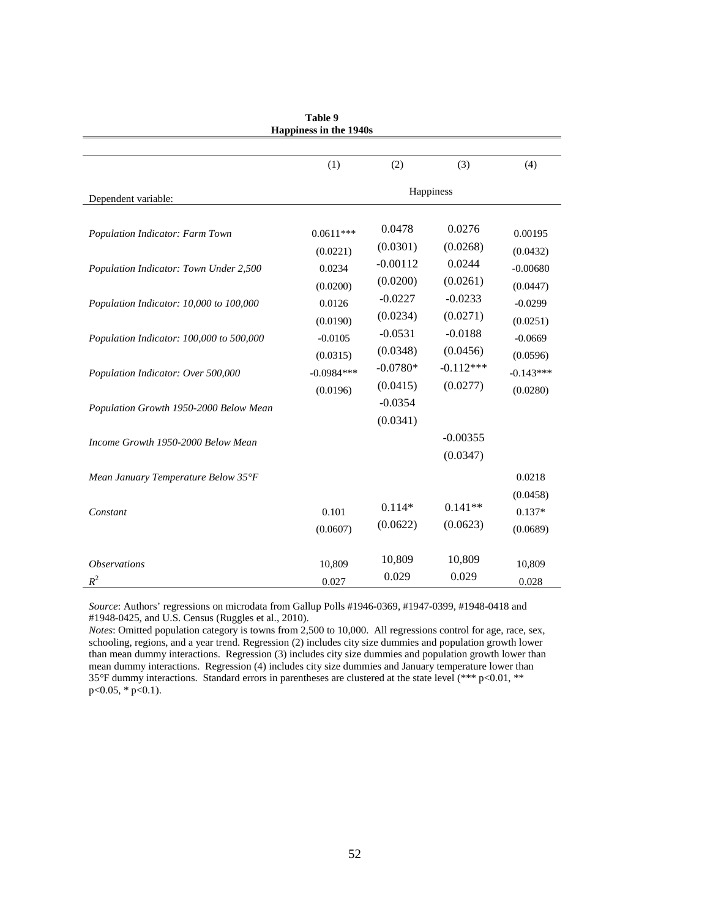|                                          | парршем ш ше тэчом |                       |                        |                    |
|------------------------------------------|--------------------|-----------------------|------------------------|--------------------|
|                                          |                    |                       |                        |                    |
|                                          | (1)                | (2)                   | (3)                    | (4)                |
| Dependent variable:                      |                    |                       | Happiness              |                    |
| Population Indicator: Farm Town          | $0.0611***$        | 0.0478                | 0.0276                 | 0.00195            |
|                                          | (0.0221)           | (0.0301)              | (0.0268)               | (0.0432)           |
| Population Indicator: Town Under 2,500   | 0.0234             | $-0.00112$            | 0.0244                 | $-0.00680$         |
|                                          | (0.0200)           | (0.0200)              | (0.0261)               | (0.0447)           |
| Population Indicator: 10,000 to 100,000  | 0.0126             | $-0.0227$             | $-0.0233$              | $-0.0299$          |
|                                          | (0.0190)           | (0.0234)              | (0.0271)               | (0.0251)           |
| Population Indicator: 100,000 to 500,000 | $-0.0105$          | $-0.0531$             | $-0.0188$              | $-0.0669$          |
|                                          | (0.0315)           | (0.0348)              | (0.0456)               | (0.0596)           |
| Population Indicator: Over 500,000       | $-0.0984***$       | $-0.0780*$            | $-0.112***$            | $-0.143***$        |
|                                          | (0.0196)           | (0.0415)              | (0.0277)               | (0.0280)           |
| Population Growth 1950-2000 Below Mean   |                    | $-0.0354$<br>(0.0341) |                        |                    |
| Income Growth 1950-2000 Below Mean       |                    |                       | $-0.00355$<br>(0.0347) |                    |
| Mean January Temperature Below 35°F      |                    |                       |                        | 0.0218<br>(0.0458) |
| Constant                                 | 0.101              | $0.114*$              | $0.141**$              | $0.137*$           |
|                                          | (0.0607)           | (0.0622)              | (0.0623)               | (0.0689)           |
| <i><b>Observations</b></i>               | 10,809             | 10,809                | 10,809                 | 10,809             |
| $R^2$                                    | 0.027              | 0.029                 | 0.029                  | 0.028              |

| Table 9                       |  |  |  |  |  |  |  |  |
|-------------------------------|--|--|--|--|--|--|--|--|
| <b>Happiness in the 1940s</b> |  |  |  |  |  |  |  |  |

*Source*: Authors' regressions on microdata from Gallup Polls #1946-0369, #1947-0399, #1948-0418 and #1948-0425, and U.S. Census (Ruggles et al., 2010).

*Notes*: Omitted population category is towns from 2,500 to 10,000. All regressions control for age, race, sex, schooling, regions, and a year trend. Regression (2) includes city size dummies and population growth lower than mean dummy interactions. Regression (3) includes city size dummies and population growth lower than mean dummy interactions. Regression (4) includes city size dummies and January temperature lower than 35*°*F dummy interactions. Standard errors in parentheses are clustered at the state level (\*\*\* p<0.01, \*\*  $p<0.05$ , \*  $p<0.1$ ).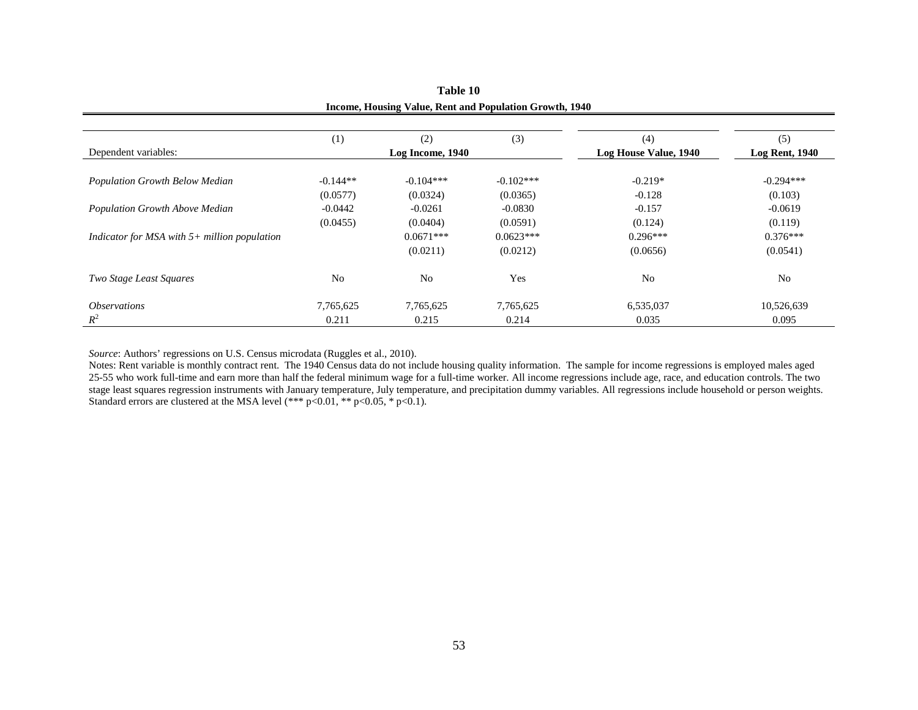|                                                | (1)        | (2)              | (3)         | (4)                   | (5)                   |
|------------------------------------------------|------------|------------------|-------------|-----------------------|-----------------------|
| Dependent variables:                           |            | Log Income, 1940 |             | Log House Value, 1940 | <b>Log Rent, 1940</b> |
|                                                |            |                  |             |                       |                       |
| Population Growth Below Median                 | $-0.144**$ | $-0.104***$      | $-0.102***$ | $-0.219*$             | $-0.294***$           |
|                                                | (0.0577)   | (0.0324)         | (0.0365)    | $-0.128$              | (0.103)               |
| Population Growth Above Median                 | $-0.0442$  | $-0.0261$        | $-0.0830$   | $-0.157$              | $-0.0619$             |
|                                                | (0.0455)   | (0.0404)         | (0.0591)    | (0.124)               | (0.119)               |
| Indicator for MSA with $5+$ million population |            | $0.0671***$      | $0.0623***$ | $0.296***$            | $0.376***$            |
|                                                |            | (0.0211)         | (0.0212)    | (0.0656)              | (0.0541)              |
| Two Stage Least Squares                        | No         | N <sub>0</sub>   | Yes         | N <sub>0</sub>        | N <sub>0</sub>        |
| <i><b>Observations</b></i>                     | 7,765,625  | 7,765,625        | 7,765,625   | 6,535,037             | 10,526,639            |
| $R^2$                                          | 0.211      | 0.215            | 0.214       | 0.035                 | 0.095                 |

**Table 10 Income, Housing Value, Rent and Population Growth, 1940**

*Source*: Authors' regressions on U.S. Census microdata (Ruggles et al., 2010).

Notes: Rent variable is monthly contract rent. The 1940 Census data do not include housing quality information. The sample for income regressions is employed males aged 25-55 who work full-time and earn more than half the federal minimum wage for a full-time worker. All income regressions include age, race, and education controls. The two stage least squares regression instruments with January temperature, July temperature, and precipitation dummy variables. All regressions include household or person weights. Standard errors are clustered at the MSA level  $(*** p<0.01, ** p<0.05, * p<0.1)$ .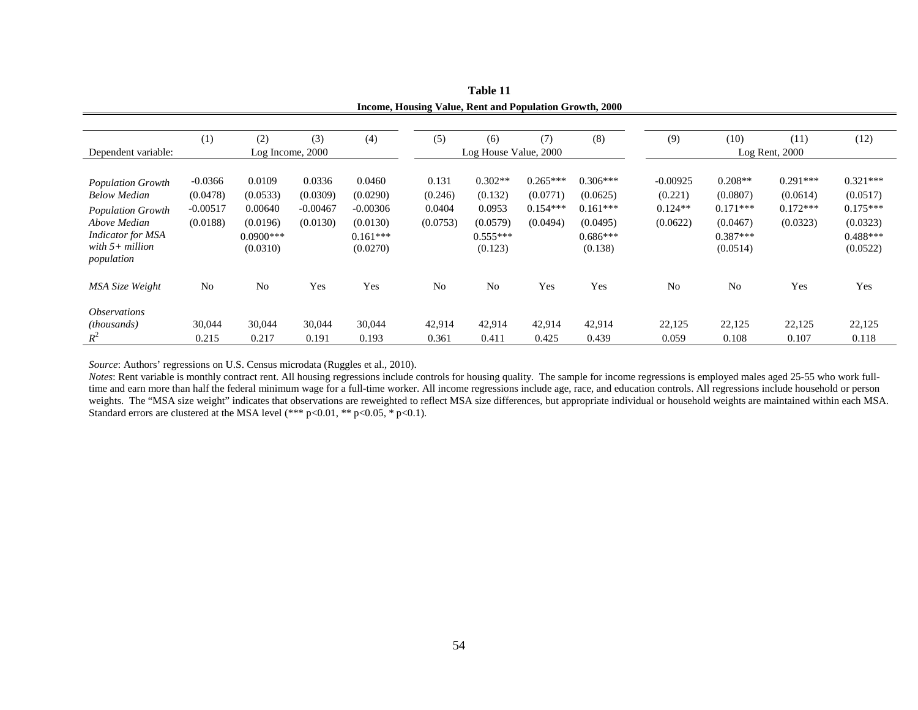|                            |            |                  |            |            | meonie, rousing value, isem and I optimum STOWIN, 2000 |                       |            |            |                |                |                    |            |
|----------------------------|------------|------------------|------------|------------|--------------------------------------------------------|-----------------------|------------|------------|----------------|----------------|--------------------|------------|
|                            |            |                  |            |            |                                                        |                       |            |            |                |                |                    |            |
|                            | (1)        | (2)              | (3)        | (4)        | (5)                                                    | (6)                   | (7)        | (8)        | (9)            | (10)           | (11)               | (12)       |
| Dependent variable:        |            | Log Income, 2000 |            |            |                                                        | Log House Value, 2000 |            |            |                |                | $Log$ Rent, $2000$ |            |
|                            |            |                  |            |            |                                                        |                       |            |            |                |                |                    |            |
| <b>Population Growth</b>   | $-0.0366$  | 0.0109           | 0.0336     | 0.0460     | 0.131                                                  | $0.302**$             | $0.265***$ | $0.306***$ | $-0.00925$     | $0.208**$      | $0.291***$         | $0.321***$ |
| <b>Below Median</b>        | (0.0478)   | (0.0533)         | (0.0309)   | (0.0290)   | (0.246)                                                | (0.132)               | (0.0771)   | (0.0625)   | (0.221)        | (0.0807)       | (0.0614)           | (0.0517)   |
| <b>Population Growth</b>   | $-0.00517$ | 0.00640          | $-0.00467$ | $-0.00306$ | 0.0404                                                 | 0.0953                | $0.154***$ | $0.161***$ | $0.124**$      | $0.171***$     | $0.172***$         | $0.175***$ |
| Above Median               | (0.0188)   | (0.0196)         | (0.0130)   | (0.0130)   | (0.0753)                                               | (0.0579)              | (0.0494)   | (0.0495)   | (0.0622)       | (0.0467)       | (0.0323)           | (0.0323)   |
| <b>Indicator</b> for MSA   |            | $0.0900$ ***     |            | $0.161***$ |                                                        | $0.555***$            |            | $0.686***$ |                | $0.387***$     |                    | $0.488***$ |
| with $5+$ million          |            | (0.0310)         |            | (0.0270)   |                                                        | (0.123)               |            | (0.138)    |                | (0.0514)       |                    | (0.0522)   |
| population                 |            |                  |            |            |                                                        |                       |            |            |                |                |                    |            |
| MSA Size Weight            | No         | N <sub>o</sub>   | Yes        | Yes        | N <sub>o</sub>                                         | N <sub>o</sub>        | Yes        | Yes        | N <sub>o</sub> | N <sub>0</sub> | Yes                | Yes        |
| <i><b>Observations</b></i> |            |                  |            |            |                                                        |                       |            |            |                |                |                    |            |
| (thousands)                | 30,044     | 30,044           | 30,044     | 30,044     | 42,914                                                 | 42,914                | 42,914     | 42,914     | 22,125         | 22,125         | 22,125             | 22,125     |
| $R^2$                      | 0.215      | 0.217            | 0.191      | 0.193      | 0.361                                                  | 0.411                 | 0.425      | 0.439      | 0.059          | 0.108          | 0.107              | 0.118      |

**Table 11 Income, Housing Value, Rent and Population Growth, 2000**

*Source*: Authors' regressions on U.S. Census microdata (Ruggles et al., 2010).

*Notes*: Rent variable is monthly contract rent. All housing regressions include controls for housing quality. The sample for income regressions is employed males aged 25-55 who work fulltime and earn more than half the federal minimum wage for a full-time worker. All income regressions include age, race, and education controls. All regressions include household or person weights. The "MSA size weight" indicates that observations are reweighted to reflect MSA size differences, but appropriate individual or household weights are maintained within each MSA. Standard errors are clustered at the MSA level (\*\*\* p<0.01, \*\* p<0.05, \* p<0.1).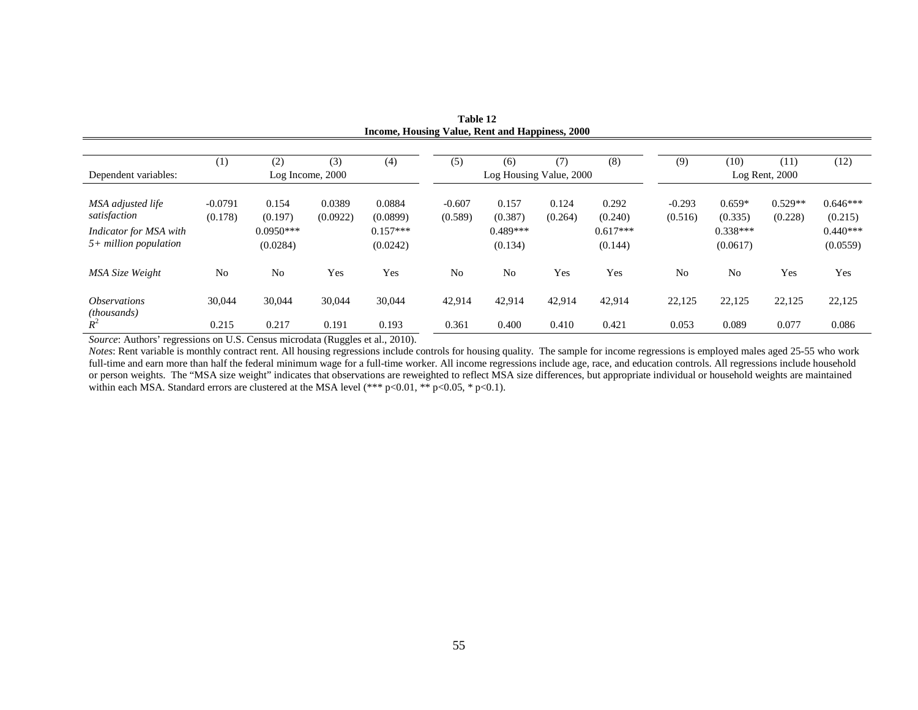|                                                   |                      |                         |                    | Income, Housing Value, Rent and Happiness, 2000 |                     |                         |                  |                       |                     |                        |                      |                        |
|---------------------------------------------------|----------------------|-------------------------|--------------------|-------------------------------------------------|---------------------|-------------------------|------------------|-----------------------|---------------------|------------------------|----------------------|------------------------|
|                                                   |                      |                         |                    |                                                 |                     |                         |                  |                       |                     |                        |                      |                        |
|                                                   | (1)                  | (2)                     | (3)                | (4)                                             | (5)                 | (6)                     | (7)              | (8)                   | (9)                 | (10)                   | (11)                 | (12)                   |
| Dependent variables:                              |                      | Log Income, 2000        |                    |                                                 |                     | Log Housing Value, 2000 |                  |                       |                     |                        | $Log$ Rent, $2000$   |                        |
| MSA adjusted life<br>satisfaction                 | $-0.0791$<br>(0.178) | 0.154<br>(0.197)        | 0.0389<br>(0.0922) | 0.0884<br>(0.0899)                              | $-0.607$<br>(0.589) | 0.157<br>(0.387)        | 0.124<br>(0.264) | 0.292<br>(0.240)      | $-0.293$<br>(0.516) | $0.659*$<br>(0.335)    | $0.529**$<br>(0.228) | $0.646***$<br>(0.215)  |
| Indicator for MSA with<br>$5+$ million population |                      | $0.0950***$<br>(0.0284) |                    | $0.157***$<br>(0.0242)                          |                     | $0.489***$<br>(0.134)   |                  | $0.617***$<br>(0.144) |                     | $0.338***$<br>(0.0617) |                      | $0.440***$<br>(0.0559) |
| MSA Size Weight                                   | No                   | No                      | Yes                | Yes                                             | N <sub>o</sub>      | N <sub>o</sub>          | Yes              | Yes                   | No                  | N <sub>o</sub>         | Yes                  | Yes                    |
| <i><b>Observations</b></i><br><i>(thousands)</i>  | 30,044               | 30,044                  | 30,044             | 30,044                                          | 42,914              | 42,914                  | 42,914           | 42,914                | 22,125              | 22,125                 | 22,125               | 22,125                 |
| $R^2$                                             | 0.215                | 0.217                   | 0.191              | 0.193                                           | 0.361               | 0.400                   | 0.410            | 0.421                 | 0.053               | 0.089                  | 0.077                | 0.086                  |

**Table 12 Income, Housing Value, Rent and Happiness, 2000**

*Source*: Authors' regressions on U.S. Census microdata (Ruggles et al., 2010).

*Notes*: Rent variable is monthly contract rent. All housing regressions include controls for housing quality. The sample for income regressions is employed males aged 25-55 who work full-time and earn more than half the federal minimum wage for a full-time worker. All income regressions include age, race, and education controls. All regressions include household or person weights. The "MSA size weight" indicates that observations are reweighted to reflect MSA size differences, but appropriate individual or household weights are maintained within each MSA. Standard errors are clustered at the MSA level (\*\*\* p<0.01, \*\* p<0.05, \* p<0.1).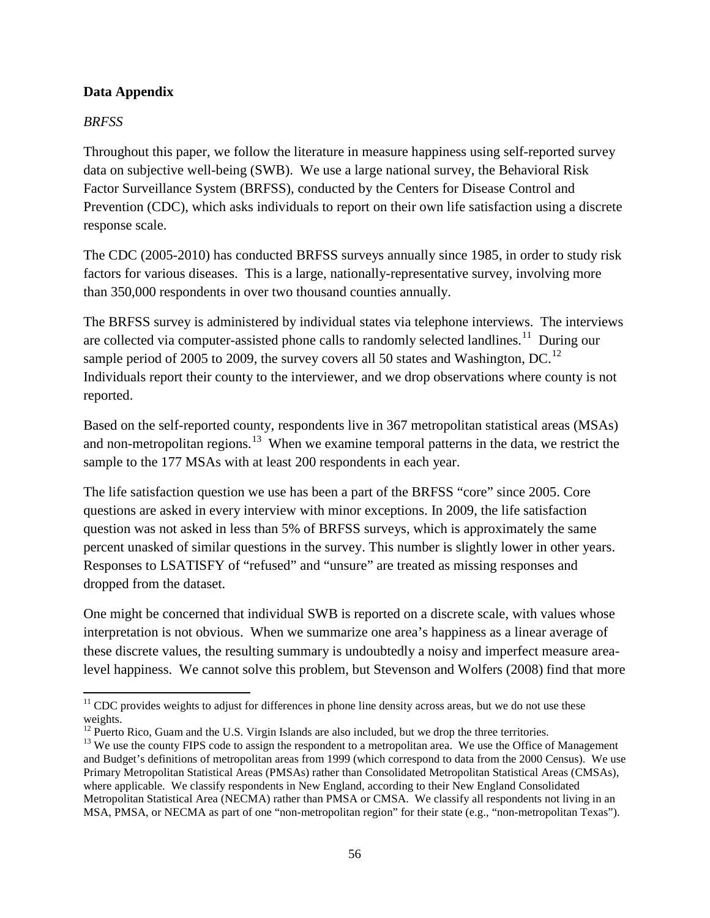## **Data Appendix**

## *BRFSS*

Throughout this paper, we follow the literature in measure happiness using self-reported survey data on subjective well-being (SWB). We use a large national survey, the Behavioral Risk Factor Surveillance System (BRFSS), conducted by the Centers for Disease Control and Prevention (CDC), which asks individuals to report on their own life satisfaction using a discrete response scale.

The CDC (2005-2010) has conducted BRFSS surveys annually since 1985, in order to study risk factors for various diseases. This is a large, nationally-representative survey, involving more than 350,000 respondents in over two thousand counties annually.

The BRFSS survey is administered by individual states via telephone interviews. The interviews are collected via computer-assisted phone calls to randomly selected landlines.<sup>11</sup> During our sample period of 2005 to 2009, the survey covers all 50 states and Washington, DC.<sup>[12](#page-56-1)</sup> Individuals report their county to the interviewer, and we drop observations where county is not reported.

Based on the self-reported county, respondents live in 367 metropolitan statistical areas (MSAs) and non-metropolitan regions.<sup>[13](#page-56-2)</sup> When we examine temporal patterns in the data, we restrict the sample to the 177 MSAs with at least 200 respondents in each year.

The life satisfaction question we use has been a part of the BRFSS "core" since 2005. Core questions are asked in every interview with minor exceptions. In 2009, the life satisfaction question was not asked in less than 5% of BRFSS surveys, which is approximately the same percent unasked of similar questions in the survey. This number is slightly lower in other years. Responses to LSATISFY of "refused" and "unsure" are treated as missing responses and dropped from the dataset.

One might be concerned that individual SWB is reported on a discrete scale, with values whose interpretation is not obvious. When we summarize one area's happiness as a linear average of these discrete values, the resulting summary is undoubtedly a noisy and imperfect measure arealevel happiness. We cannot solve this problem, but Stevenson and Wolfers (2008) find that more

<span id="page-56-0"></span>l  $11$  CDC provides weights to adjust for differences in phone line density across areas, but we do not use these weights.

<span id="page-56-2"></span><span id="page-56-1"></span><sup>&</sup>lt;sup>12</sup> Puerto Rico, Guam and the U.S. Virgin Islands are also included, but we drop the three territories.<br><sup>13</sup> We use the county FIPS code to assign the respondent to a metropolitan area. We use the Office of Management and Budget's definitions of metropolitan areas from 1999 (which correspond to data from the 2000 Census). We use Primary Metropolitan Statistical Areas (PMSAs) rather than Consolidated Metropolitan Statistical Areas (CMSAs), where applicable. We classify respondents in New England, according to their New England Consolidated Metropolitan Statistical Area (NECMA) rather than PMSA or CMSA. We classify all respondents not living in an MSA, PMSA, or NECMA as part of one "non-metropolitan region" for their state (e.g., "non-metropolitan Texas").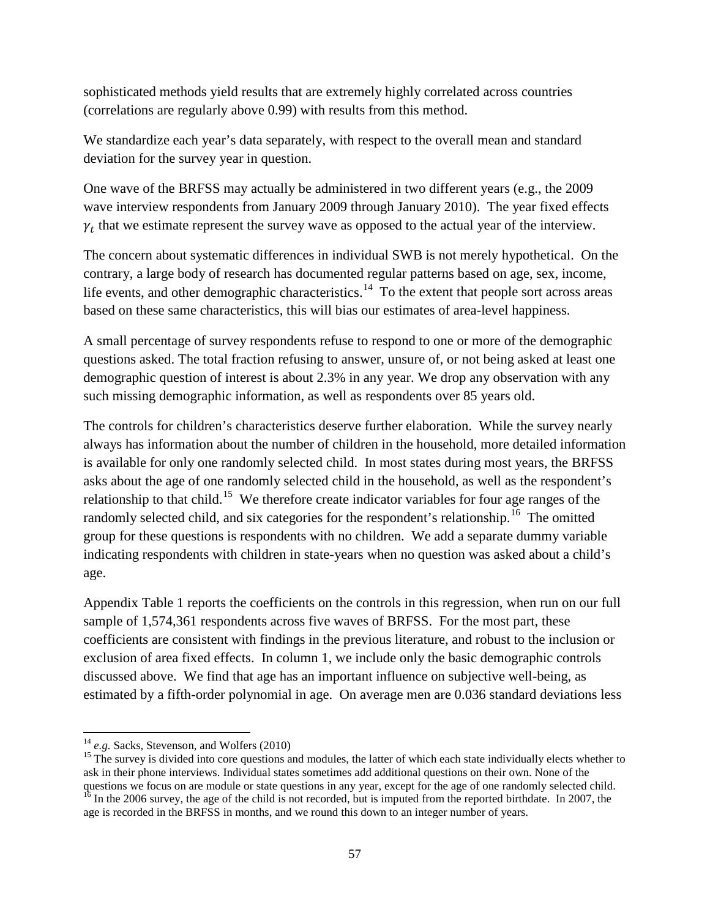sophisticated methods yield results that are extremely highly correlated across countries (correlations are regularly above 0.99) with results from this method.

We standardize each year's data separately, with respect to the overall mean and standard deviation for the survey year in question.

One wave of the BRFSS may actually be administered in two different years (e.g., the 2009 wave interview respondents from January 2009 through January 2010). The year fixed effects  $\gamma_t$  that we estimate represent the survey wave as opposed to the actual year of the interview.

The concern about systematic differences in individual SWB is not merely hypothetical. On the contrary, a large body of research has documented regular patterns based on age, sex, income, life events, and other demographic characteristics.<sup>[14](#page-57-0)</sup> To the extent that people sort across areas based on these same characteristics, this will bias our estimates of area-level happiness.

A small percentage of survey respondents refuse to respond to one or more of the demographic questions asked. The total fraction refusing to answer, unsure of, or not being asked at least one demographic question of interest is about 2.3% in any year. We drop any observation with any such missing demographic information, as well as respondents over 85 years old.

The controls for children's characteristics deserve further elaboration. While the survey nearly always has information about the number of children in the household, more detailed information is available for only one randomly selected child. In most states during most years, the BRFSS asks about the age of one randomly selected child in the household, as well as the respondent's relationship to that child.<sup>15</sup> We therefore create indicator variables for four age ranges of the randomly selected child, and six categories for the respondent's relationship.<sup>[16](#page-57-2)</sup> The omitted group for these questions is respondents with no children. We add a separate dummy variable indicating respondents with children in state-years when no question was asked about a child's age.

Appendix Table 1 reports the coefficients on the controls in this regression, when run on our full sample of 1,574,361 respondents across five waves of BRFSS. For the most part, these coefficients are consistent with findings in the previous literature, and robust to the inclusion or exclusion of area fixed effects. In column 1, we include only the basic demographic controls discussed above. We find that age has an important influence on subjective well-being, as estimated by a fifth-order polynomial in age. On average men are 0.036 standard deviations less

<span id="page-57-0"></span> $14$  e.g. Sacks, Stevenson, and Wolfers (2010)

<span id="page-57-1"></span><sup>&</sup>lt;sup>15</sup> The survey is divided into core questions and modules, the latter of which each state individually elects whether to ask in their phone interviews. Individual states sometimes add additional questions on their own. None of the questions we focus on are module or state questions in any year, except for the age of one randomly selected child.  $16$  In the 2006 survey, the age of the child is not recorded, but is imputed from the reported birthdate. In 2007, the

<span id="page-57-2"></span>age is recorded in the BRFSS in months, and we round this down to an integer number of years.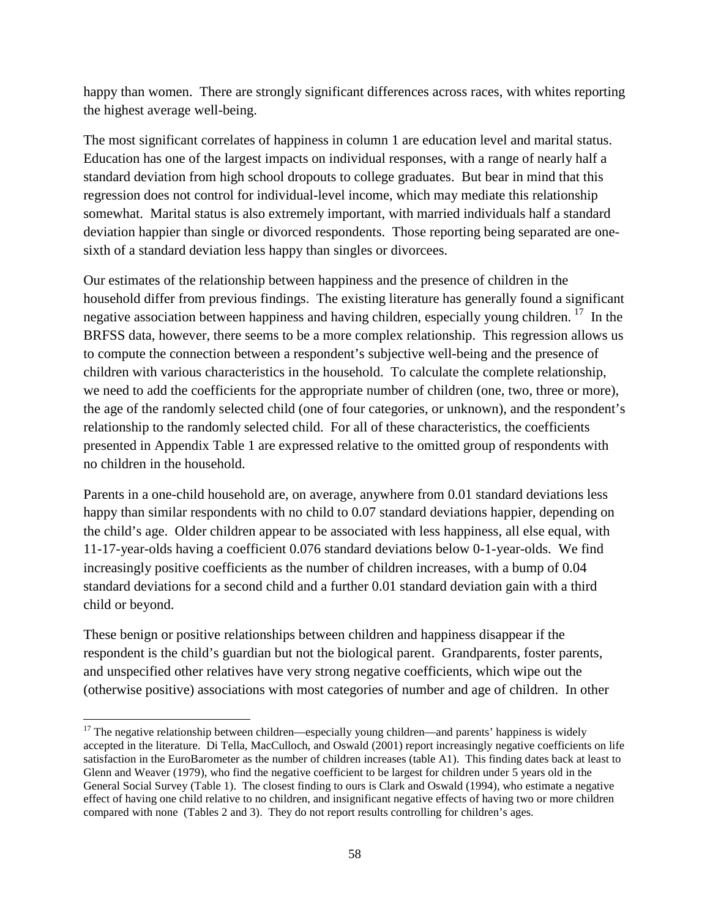happy than women. There are strongly significant differences across races, with whites reporting the highest average well-being.

The most significant correlates of happiness in column 1 are education level and marital status. Education has one of the largest impacts on individual responses, with a range of nearly half a standard deviation from high school dropouts to college graduates. But bear in mind that this regression does not control for individual-level income, which may mediate this relationship somewhat. Marital status is also extremely important, with married individuals half a standard deviation happier than single or divorced respondents. Those reporting being separated are onesixth of a standard deviation less happy than singles or divorcees.

Our estimates of the relationship between happiness and the presence of children in the household differ from previous findings. The existing literature has generally found a significant negative association between happiness and having children, especially young children.<sup>[17](#page-58-0)</sup> In the BRFSS data, however, there seems to be a more complex relationship. This regression allows us to compute the connection between a respondent's subjective well-being and the presence of children with various characteristics in the household. To calculate the complete relationship, we need to add the coefficients for the appropriate number of children (one, two, three or more), the age of the randomly selected child (one of four categories, or unknown), and the respondent's relationship to the randomly selected child. For all of these characteristics, the coefficients presented in Appendix Table 1 are expressed relative to the omitted group of respondents with no children in the household.

Parents in a one-child household are, on average, anywhere from 0.01 standard deviations less happy than similar respondents with no child to 0.07 standard deviations happier, depending on the child's age. Older children appear to be associated with less happiness, all else equal, with 11-17-year-olds having a coefficient 0.076 standard deviations below 0-1-year-olds. We find increasingly positive coefficients as the number of children increases, with a bump of 0.04 standard deviations for a second child and a further 0.01 standard deviation gain with a third child or beyond.

These benign or positive relationships between children and happiness disappear if the respondent is the child's guardian but not the biological parent. Grandparents, foster parents, and unspecified other relatives have very strong negative coefficients, which wipe out the (otherwise positive) associations with most categories of number and age of children. In other

l

<span id="page-58-0"></span> $17$  The negative relationship between children—especially young children—and parents' happiness is widely accepted in the literature. Di Tella, MacCulloch, and Oswald (2001) report increasingly negative coefficients on life satisfaction in the EuroBarometer as the number of children increases (table A1). This finding dates back at least to Glenn and Weaver (1979), who find the negative coefficient to be largest for children under 5 years old in the General Social Survey (Table 1). The closest finding to ours is Clark and Oswald (1994), who estimate a negative effect of having one child relative to no children, and insignificant negative effects of having two or more children compared with none (Tables 2 and 3). They do not report results controlling for children's ages.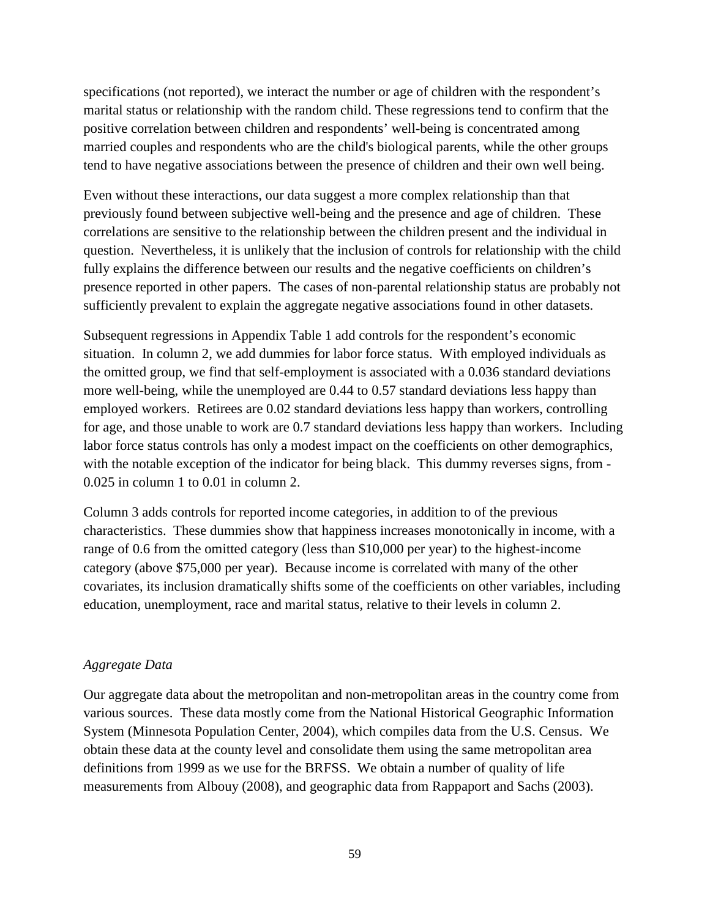specifications (not reported), we interact the number or age of children with the respondent's marital status or relationship with the random child. These regressions tend to confirm that the positive correlation between children and respondents' well-being is concentrated among married couples and respondents who are the child's biological parents, while the other groups tend to have negative associations between the presence of children and their own well being.

Even without these interactions, our data suggest a more complex relationship than that previously found between subjective well-being and the presence and age of children. These correlations are sensitive to the relationship between the children present and the individual in question. Nevertheless, it is unlikely that the inclusion of controls for relationship with the child fully explains the difference between our results and the negative coefficients on children's presence reported in other papers. The cases of non-parental relationship status are probably not sufficiently prevalent to explain the aggregate negative associations found in other datasets.

Subsequent regressions in Appendix Table 1 add controls for the respondent's economic situation. In column 2, we add dummies for labor force status. With employed individuals as the omitted group, we find that self-employment is associated with a 0.036 standard deviations more well-being, while the unemployed are 0.44 to 0.57 standard deviations less happy than employed workers. Retirees are 0.02 standard deviations less happy than workers, controlling for age, and those unable to work are 0.7 standard deviations less happy than workers. Including labor force status controls has only a modest impact on the coefficients on other demographics, with the notable exception of the indicator for being black. This dummy reverses signs, from -0.025 in column 1 to 0.01 in column 2.

Column 3 adds controls for reported income categories, in addition to of the previous characteristics. These dummies show that happiness increases monotonically in income, with a range of 0.6 from the omitted category (less than \$10,000 per year) to the highest-income category (above \$75,000 per year). Because income is correlated with many of the other covariates, its inclusion dramatically shifts some of the coefficients on other variables, including education, unemployment, race and marital status, relative to their levels in column 2.

### *Aggregate Data*

Our aggregate data about the metropolitan and non-metropolitan areas in the country come from various sources. These data mostly come from the National Historical Geographic Information System (Minnesota Population Center, 2004), which compiles data from the U.S. Census. We obtain these data at the county level and consolidate them using the same metropolitan area definitions from 1999 as we use for the BRFSS. We obtain a number of quality of life measurements from Albouy (2008), and geographic data from Rappaport and Sachs (2003).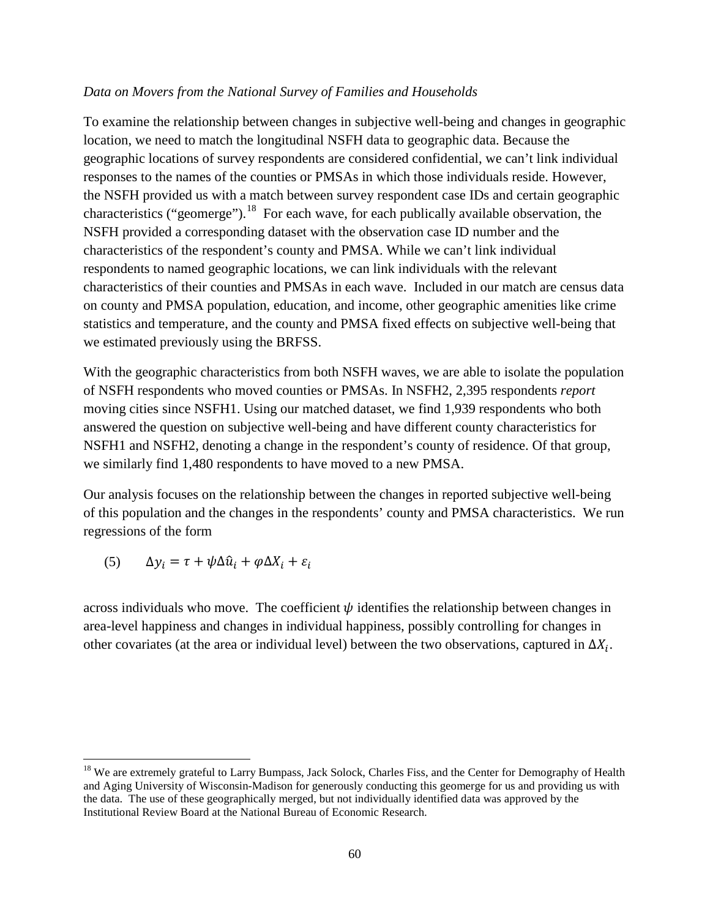### *Data on Movers from the National Survey of Families and Households*

To examine the relationship between changes in subjective well-being and changes in geographic location, we need to match the longitudinal NSFH data to geographic data. Because the geographic locations of survey respondents are considered confidential, we can't link individual responses to the names of the counties or PMSAs in which those individuals reside. However, the NSFH provided us with a match between survey respondent case IDs and certain geographic characteristics ("geomerge").<sup>[18](#page-60-0)</sup> For each wave, for each publically available observation, the NSFH provided a corresponding dataset with the observation case ID number and the characteristics of the respondent's county and PMSA. While we can't link individual respondents to named geographic locations, we can link individuals with the relevant characteristics of their counties and PMSAs in each wave. Included in our match are census data on county and PMSA population, education, and income, other geographic amenities like crime statistics and temperature, and the county and PMSA fixed effects on subjective well-being that we estimated previously using the BRFSS.

With the geographic characteristics from both NSFH waves, we are able to isolate the population of NSFH respondents who moved counties or PMSAs. In NSFH2, 2,395 respondents *report*  moving cities since NSFH1. Using our matched dataset, we find 1,939 respondents who both answered the question on subjective well-being and have different county characteristics for NSFH1 and NSFH2, denoting a change in the respondent's county of residence. Of that group, we similarly find 1,480 respondents to have moved to a new PMSA.

Our analysis focuses on the relationship between the changes in reported subjective well-being of this population and the changes in the respondents' county and PMSA characteristics. We run regressions of the form

(5)  $\Delta y_i = \tau + \psi \Delta \hat{u}_i + \varphi \Delta X_i + \varepsilon_i$ 

l

across individuals who move. The coefficient  $\psi$  identifies the relationship between changes in area-level happiness and changes in individual happiness, possibly controlling for changes in other covariates (at the area or individual level) between the two observations, captured in  $\Delta X_i$ .

<span id="page-60-0"></span><sup>&</sup>lt;sup>18</sup> We are extremely grateful to Larry Bumpass, Jack Solock, Charles Fiss, and the Center for Demography of Health and Aging University of Wisconsin-Madison for generously conducting this geomerge for us and providing us with the data. The use of these geographically merged, but not individually identified data was approved by the Institutional Review Board at the National Bureau of Economic Research.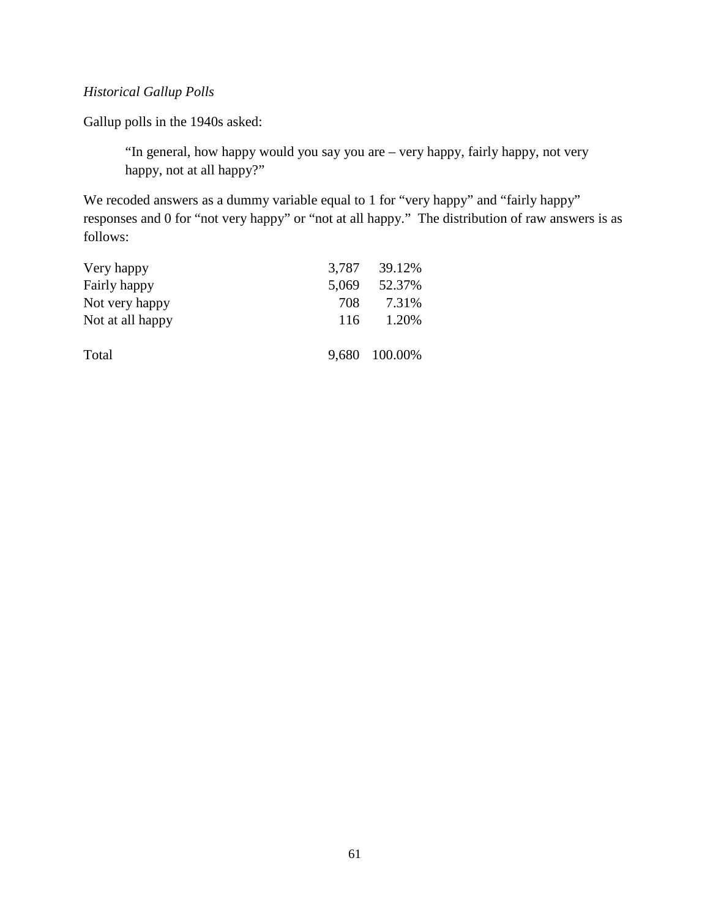# *Historical Gallup Polls*

Gallup polls in the 1940s asked:

"In general, how happy would you say you are – very happy, fairly happy, not very happy, not at all happy?"

We recoded answers as a dummy variable equal to 1 for "very happy" and "fairly happy" responses and 0 for "not very happy" or "not at all happy." The distribution of raw answers is as follows:

| Very happy       | 3,787 | 39.12%  |
|------------------|-------|---------|
| Fairly happy     | 5,069 | 52.37%  |
| Not very happy   | 708   | 7.31%   |
| Not at all happy | 116   | 1.20%   |
|                  |       |         |
| Total            | 9,680 | 100.00% |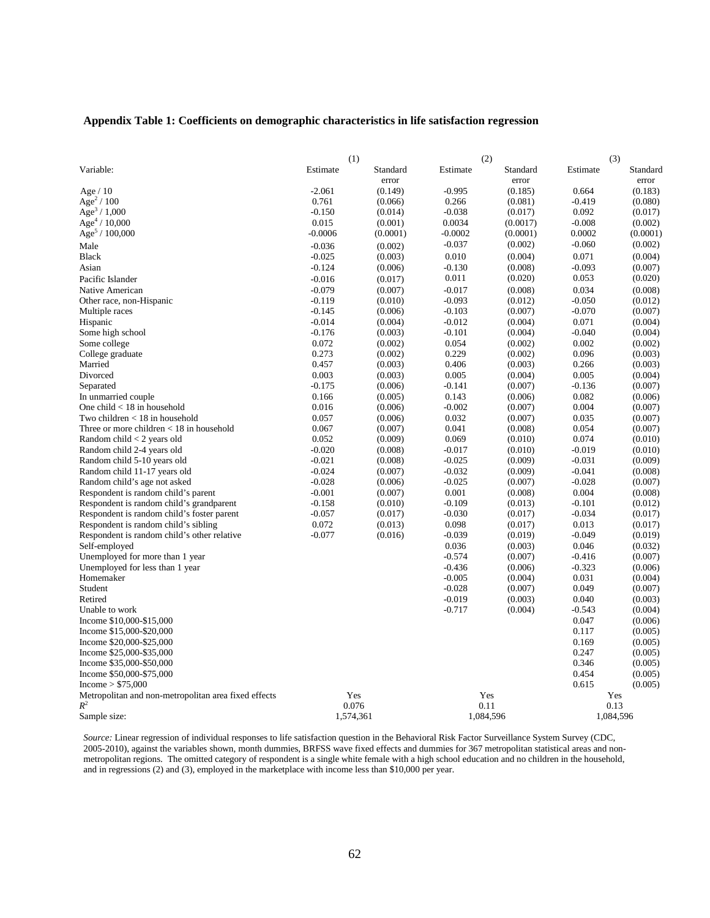#### **Appendix Table 1: Coefficients on demographic characteristics in life satisfaction regression**

|                                                      |                      | (1)       | (2)                  |           | (3)               |                    |  |
|------------------------------------------------------|----------------------|-----------|----------------------|-----------|-------------------|--------------------|--|
| Variable:                                            | Estimate             | Standard  | Estimate             | Standard  | Estimate          | Standard           |  |
|                                                      |                      | error     |                      | error     |                   | error              |  |
| Age $/ 10$                                           | $-2.061$             | (0.149)   | $-0.995$             | (0.185)   | 0.664             | (0.183)            |  |
| Age <sup>2</sup> / 100                               | 0.761                | (0.066)   | 0.266                | (0.081)   | $-0.419$          | (0.080)            |  |
| Age <sup>3</sup> / $1,000$                           | $-0.150$             | (0.014)   | $-0.038$             | (0.017)   | 0.092             | (0.017)            |  |
| Age <sup>4</sup> / 10,000                            | 0.015                | (0.001)   | 0.0034               | (0.0017)  | $-0.008$          | (0.002)            |  |
| Age <sup>5</sup> / $100,000$                         | $-0.0006$            | (0.0001)  | $-0.0002$            | (0.0001)  | 0.0002            | (0.0001)           |  |
| Male                                                 | $-0.036$             | (0.002)   | $-0.037$             | (0.002)   | $-0.060$          | (0.002)            |  |
| <b>Black</b>                                         | $-0.025$             | (0.003)   | 0.010                | (0.004)   | 0.071             | (0.004)            |  |
| Asian                                                | $-0.124$             | (0.006)   | $-0.130$             | (0.008)   | $-0.093$          | (0.007)            |  |
| Pacific Islander                                     | $-0.016$             | (0.017)   | 0.011                | (0.020)   | 0.053             | (0.020)            |  |
| Native American                                      | $-0.079$             | (0.007)   | $-0.017$             | (0.008)   | 0.034             | (0.008)            |  |
|                                                      | $-0.119$             |           | $-0.093$             | (0.012)   | $-0.050$          | (0.012)            |  |
| Other race, non-Hispanic                             |                      | (0.010)   |                      |           |                   |                    |  |
| Multiple races                                       | $-0.145$             | (0.006)   | $-0.103$<br>$-0.012$ | (0.007)   | $-0.070$<br>0.071 | (0.007)            |  |
| Hispanic                                             | $-0.014$<br>$-0.176$ | (0.004)   | $-0.101$             | (0.004)   | $-0.040$          | (0.004)<br>(0.004) |  |
| Some high school                                     |                      | (0.003)   |                      | (0.004)   |                   |                    |  |
| Some college                                         | 0.072                | (0.002)   | 0.054                | (0.002)   | 0.002             | (0.002)            |  |
| College graduate                                     | 0.273                | (0.002)   | 0.229                | (0.002)   | 0.096             | (0.003)            |  |
| Married                                              | 0.457                | (0.003)   | 0.406                | (0.003)   | 0.266             | (0.003)            |  |
| Divorced                                             | 0.003                | (0.003)   | 0.005                | (0.004)   | 0.005             | (0.004)            |  |
| Separated                                            | $-0.175$             | (0.006)   | $-0.141$             | (0.007)   | $-0.136$          | (0.007)            |  |
| In unmarried couple                                  | 0.166                | (0.005)   | 0.143                | (0.006)   | 0.082             | (0.006)            |  |
| One child $<$ 18 in household                        | 0.016                | (0.006)   | $-0.002$             | (0.007)   | 0.004             | (0.007)            |  |
| Two children $<$ 18 in household                     | 0.057                | (0.006)   | 0.032                | (0.007)   | 0.035             | (0.007)            |  |
| Three or more children $<$ 18 in household           | 0.067                | (0.007)   | 0.041                | (0.008)   | 0.054             | (0.007)            |  |
| Random child $<$ 2 years old                         | 0.052                | (0.009)   | 0.069                | (0.010)   | 0.074             | (0.010)            |  |
| Random child 2-4 years old                           | $-0.020$             | (0.008)   | $-0.017$             | (0.010)   | $-0.019$          | (0.010)            |  |
| Random child 5-10 years old                          | $-0.021$             | (0.008)   | $-0.025$             | (0.009)   | $-0.031$          | (0.009)            |  |
| Random child 11-17 years old                         | $-0.024$             | (0.007)   | $-0.032$             | (0.009)   | $-0.041$          | (0.008)            |  |
| Random child's age not asked                         | $-0.028$             | (0.006)   | $-0.025$             | (0.007)   | $-0.028$          | (0.007)            |  |
| Respondent is random child's parent                  | $-0.001$             | (0.007)   | 0.001                | (0.008)   | 0.004             | (0.008)            |  |
| Respondent is random child's grandparent             | $-0.158$             | (0.010)   | $-0.109$             | (0.013)   | $-0.101$          | (0.012)            |  |
| Respondent is random child's foster parent           | $-0.057$             | (0.017)   | $-0.030$             | (0.017)   | $-0.034$          | (0.017)            |  |
| Respondent is random child's sibling                 | 0.072                | (0.013)   | 0.098                | (0.017)   | 0.013             | (0.017)            |  |
| Respondent is random child's other relative          | $-0.077$             | (0.016)   | $-0.039$             | (0.019)   | $-0.049$          | (0.019)            |  |
| Self-employed                                        |                      |           | 0.036                | (0.003)   | 0.046             | (0.032)            |  |
| Unemployed for more than 1 year                      |                      |           | $-0.574$             | (0.007)   | $-0.416$          | (0.007)            |  |
| Unemployed for less than 1 year                      |                      |           | $-0.436$             | (0.006)   | $-0.323$          | (0.006)            |  |
| Homemaker                                            |                      |           | $-0.005$             | (0.004)   | 0.031             | (0.004)            |  |
| Student                                              |                      |           | $-0.028$             | (0.007)   | 0.049             | (0.007)            |  |
| Retired                                              |                      |           | $-0.019$             | (0.003)   | 0.040             | (0.003)            |  |
| Unable to work                                       |                      |           | $-0.717$             | (0.004)   | $-0.543$          | (0.004)            |  |
| Income \$10,000-\$15,000                             |                      |           |                      |           | 0.047             | (0.006)            |  |
| Income \$15,000-\$20,000                             |                      |           |                      |           | 0.117             | (0.005)            |  |
| Income \$20,000-\$25,000                             |                      |           |                      |           | 0.169             | (0.005)            |  |
| Income \$25,000-\$35,000                             |                      |           |                      |           | 0.247             | (0.005)            |  |
| Income \$35,000-\$50,000                             |                      |           |                      |           | 0.346             | (0.005)            |  |
| Income \$50,000-\$75,000                             |                      |           |                      |           | 0.454             | (0.005)            |  |
| Income > \$75,000                                    |                      |           |                      |           | 0.615             | (0.005)            |  |
| Metropolitan and non-metropolitan area fixed effects |                      | Yes       | Yes                  |           | Yes               |                    |  |
| $R^2$                                                |                      | 0.076     | 0.11                 |           | 0.13              |                    |  |
| Sample size:                                         |                      | 1,574,361 |                      | 1,084,596 | 1,084,596         |                    |  |

*Source:* Linear regression of individual responses to life satisfaction question in the Behavioral Risk Factor Surveillance System Survey (CDC, 2005-2010), against the variables shown, month dummies, BRFSS wave fixed effects and dummies for 367 metropolitan statistical areas and nonmetropolitan regions. The omitted category of respondent is a single white female with a high school education and no children in the household, and in regressions (2) and (3), employed in the marketplace with income less than \$10,000 per year.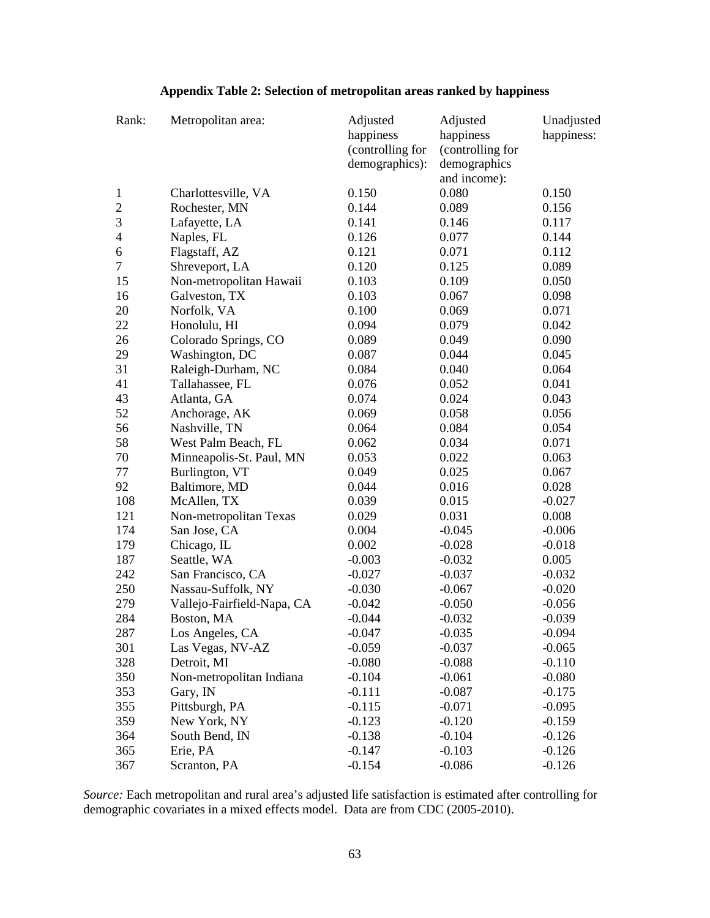|  | Appendix Table 2: Selection of metropolitan areas ranked by happiness |  |
|--|-----------------------------------------------------------------------|--|
|  |                                                                       |  |

| Rank:                    | Metropolitan area:         | Adjusted<br>happiness | Adjusted<br>happiness | Unadjusted<br>happiness: |
|--------------------------|----------------------------|-----------------------|-----------------------|--------------------------|
|                          |                            | (controlling for      | (controlling for      |                          |
|                          |                            | demographics):        | demographics          |                          |
|                          |                            |                       | and income):          |                          |
| $\mathbf{1}$             | Charlottesville, VA        | 0.150                 | 0.080                 | 0.150                    |
| $\overline{2}$           | Rochester, MN              | 0.144                 | 0.089                 | 0.156                    |
| 3                        | Lafayette, LA              | 0.141                 | 0.146                 | 0.117                    |
| $\overline{\mathcal{L}}$ | Naples, FL                 | 0.126                 | 0.077                 | 0.144                    |
| 6                        | Flagstaff, AZ              | 0.121                 | 0.071                 | 0.112                    |
| $\overline{7}$           | Shreveport, LA             | 0.120                 | 0.125                 | 0.089                    |
| 15                       | Non-metropolitan Hawaii    | 0.103                 | 0.109                 | 0.050                    |
| 16                       | Galveston, TX              | 0.103                 | 0.067                 | 0.098                    |
| 20                       | Norfolk, VA                | 0.100                 | 0.069                 | 0.071                    |
| 22                       | Honolulu, HI               | 0.094                 | 0.079                 | 0.042                    |
| 26                       | Colorado Springs, CO       | 0.089                 | 0.049                 | 0.090                    |
| 29                       | Washington, DC             | 0.087                 | 0.044                 | 0.045                    |
| 31                       | Raleigh-Durham, NC         | 0.084                 | 0.040                 | 0.064                    |
| 41                       | Tallahassee, FL            | 0.076                 | 0.052                 | 0.041                    |
| 43                       | Atlanta, GA                | 0.074                 | 0.024                 | 0.043                    |
| 52                       | Anchorage, AK              | 0.069                 | 0.058                 | 0.056                    |
| 56                       | Nashville, TN              | 0.064                 | 0.084                 | 0.054                    |
| 58                       | West Palm Beach, FL        | 0.062                 | 0.034                 | 0.071                    |
| 70                       | Minneapolis-St. Paul, MN   | 0.053                 | 0.022                 | 0.063                    |
| 77                       | Burlington, VT             | 0.049                 | 0.025                 | 0.067                    |
| 92                       | Baltimore, MD              | 0.044                 | 0.016                 | 0.028                    |
| 108                      | McAllen, TX                | 0.039                 | 0.015                 | $-0.027$                 |
| 121                      | Non-metropolitan Texas     | 0.029                 | 0.031                 | 0.008                    |
| 174                      | San Jose, CA               | 0.004                 | $-0.045$              | $-0.006$                 |
| 179                      | Chicago, IL                | 0.002                 | $-0.028$              | $-0.018$                 |
| 187                      | Seattle, WA                | $-0.003$              | $-0.032$              | 0.005                    |
| 242                      | San Francisco, CA          | $-0.027$              | $-0.037$              | $-0.032$                 |
| 250                      | Nassau-Suffolk, NY         | $-0.030$              | $-0.067$              | $-0.020$                 |
| 279                      | Vallejo-Fairfield-Napa, CA | $-0.042$              | $-0.050$              | $-0.056$                 |
| 284                      | Boston, MA                 | $-0.044$              | $-0.032$              | $-0.039$                 |
| 287                      | Los Angeles, CA            | $-0.047$              | $-0.035$              | $-0.094$                 |
| 301                      | Las Vegas, NV-AZ           | $-0.059$              | $-0.037$              | $-0.065$                 |
| 328                      | Detroit, MI                | $-0.080$              | $-0.088$              | $-0.110$                 |
| 350                      | Non-metropolitan Indiana   | $-0.104$              | $-0.061$              | $-0.080$                 |
| 353                      | Gary, IN                   | $-0.111$              | $-0.087$              | $-0.175$                 |
| 355                      | Pittsburgh, PA             | $-0.115$              | $-0.071$              | $-0.095$                 |
| 359                      | New York, NY               | $-0.123$              | $-0.120$              | $-0.159$                 |
| 364                      | South Bend, IN             | $-0.138$              | $-0.104$              | $-0.126$                 |
| 365                      | Erie, PA                   | $-0.147$              | $-0.103$              | $-0.126$                 |
| 367                      | Scranton, PA               | $-0.154$              | $-0.086$              | $-0.126$                 |

*Source:* Each metropolitan and rural area's adjusted life satisfaction is estimated after controlling for demographic covariates in a mixed effects model. Data are from CDC (2005-2010).